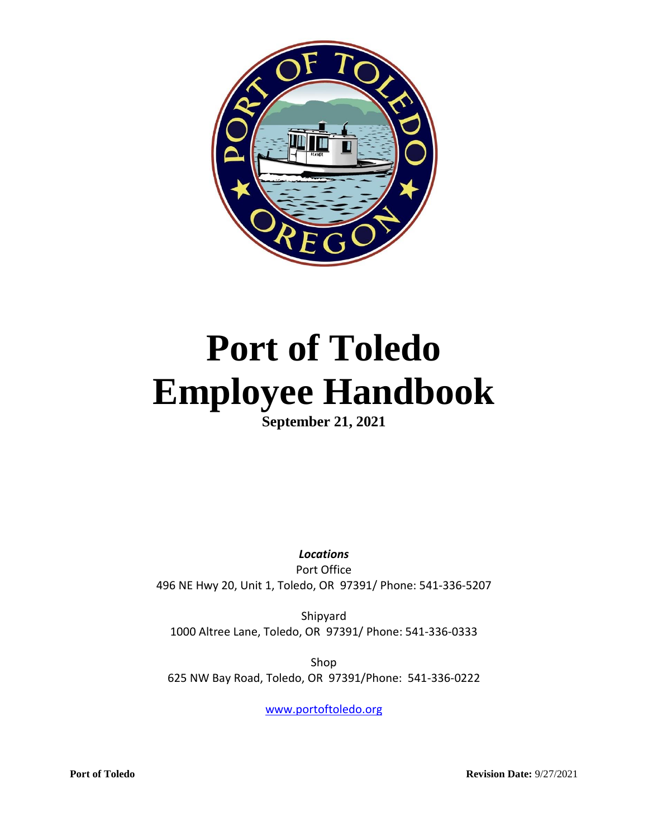

# **Port of Toledo Employee Handbook**

**September 21, 2021**

*Locations* Port Office 496 NE Hwy 20, Unit 1, Toledo, OR 97391/ Phone: 541-336-5207

Shipyard 1000 Altree Lane, Toledo, OR 97391/ Phone: 541-336-0333

Shop 625 NW Bay Road, Toledo, OR 97391/Phone: 541-336-0222

[www.portoftoledo.org](http://www.portoftoledo.org/)

**Port of Toledo Revision Date:** 9/27/2021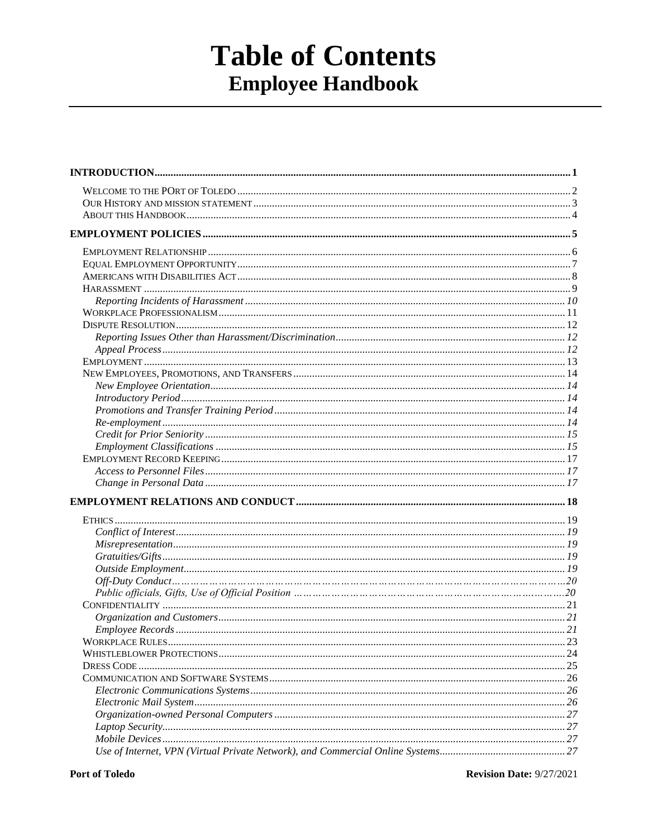## **Table of Contents Employee Handbook**

**Revision Date: 9/27/2021**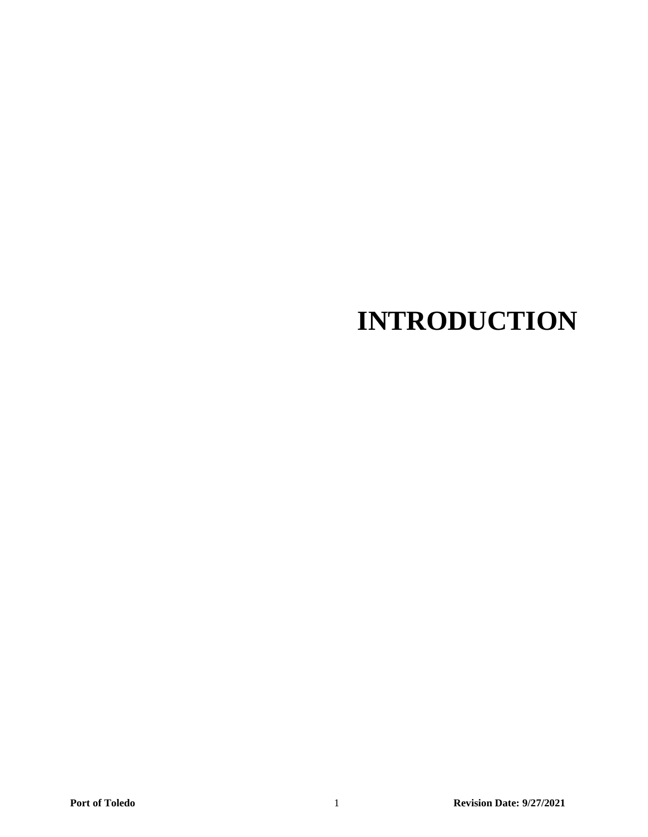## **INTRODUCTION**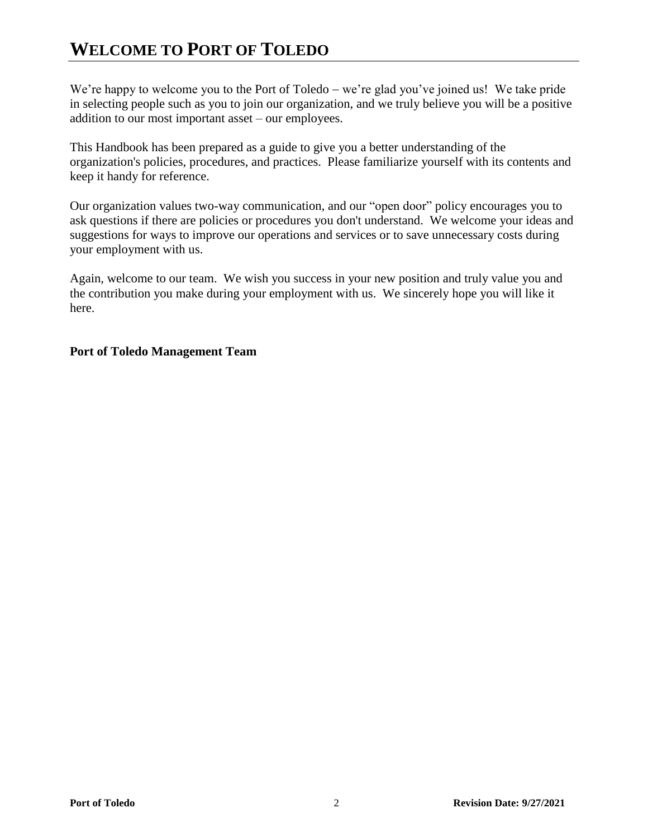## **WELCOME TO PORT OF TOLEDO**

We're happy to welcome you to the Port of Toledo – we're glad you've joined us! We take pride in selecting people such as you to join our organization, and we truly believe you will be a positive addition to our most important asset – our employees.

This Handbook has been prepared as a guide to give you a better understanding of the organization's policies, procedures, and practices. Please familiarize yourself with its contents and keep it handy for reference.

Our organization values two-way communication, and our "open door" policy encourages you to ask questions if there are policies or procedures you don't understand. We welcome your ideas and suggestions for ways to improve our operations and services or to save unnecessary costs during your employment with us.

Again, welcome to our team. We wish you success in your new position and truly value you and the contribution you make during your employment with us. We sincerely hope you will like it here.

#### **Port of Toledo Management Team**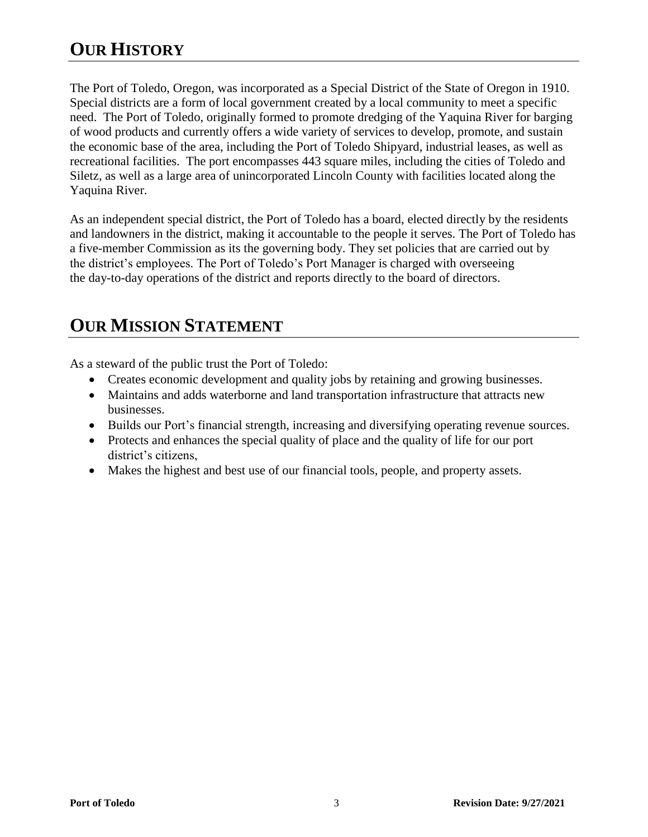## **OUR HISTORY**

The Port of Toledo, Oregon, was incorporated as a Special District of the State of Oregon in 1910. Special districts are a form of local government created by a local community to meet a specific need. The Port of Toledo, originally formed to promote dredging of the Yaquina River for barging of wood products and currently offers a wide variety of services to develop, promote, and sustain the economic base of the area, including the Port of Toledo Shipyard, industrial leases, as well as recreational facilities. The port encompasses 443 square miles, including the cities of Toledo and Siletz, as well as a large area of unincorporated Lincoln County with facilities located along the Yaquina River.

As an independent special district, the Port of Toledo has a board, elected directly by the residents and landowners in the district, making it accountable to the people it serves. The Port of Toledo has a five-member Commission as its the governing body. They set policies that are carried out by the district's employees. The Port of Toledo's Port Manager is charged with overseeing the day-to-day operations of the district and reports directly to the board of directors.

## **OUR MISSION STATEMENT**

As a steward of the public trust the Port of Toledo:

- Creates economic development and quality jobs by retaining and growing businesses.
- Maintains and adds waterborne and land transportation infrastructure that attracts new businesses.
- Builds our Port's financial strength, increasing and diversifying operating revenue sources.
- Protects and enhances the special quality of place and the quality of life for our port district's citizens,
- Makes the highest and best use of our financial tools, people, and property assets.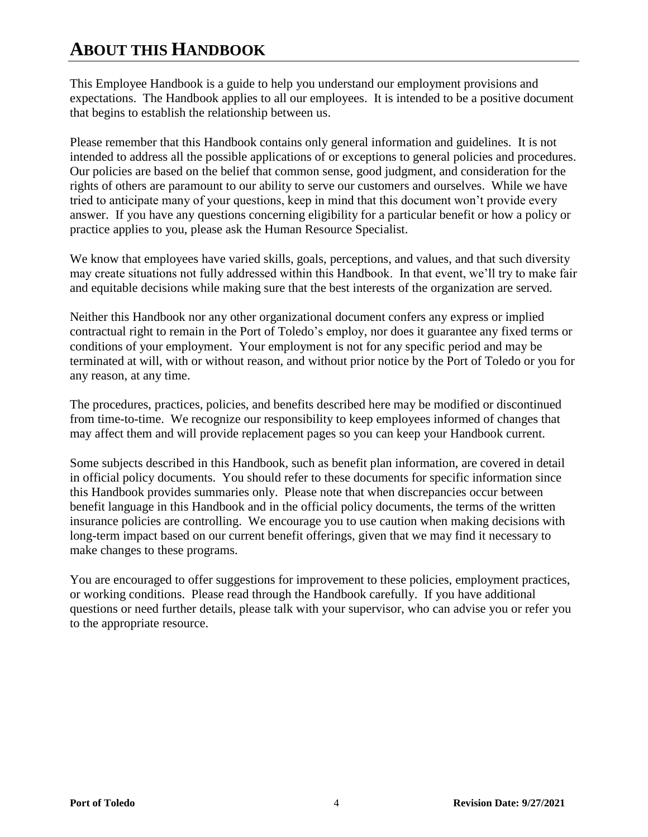## **ABOUT THIS HANDBOOK**

This Employee Handbook is a guide to help you understand our employment provisions and expectations. The Handbook applies to all our employees. It is intended to be a positive document that begins to establish the relationship between us.

Please remember that this Handbook contains only general information and guidelines. It is not intended to address all the possible applications of or exceptions to general policies and procedures. Our policies are based on the belief that common sense, good judgment, and consideration for the rights of others are paramount to our ability to serve our customers and ourselves. While we have tried to anticipate many of your questions, keep in mind that this document won't provide every answer. If you have any questions concerning eligibility for a particular benefit or how a policy or practice applies to you, please ask the Human Resource Specialist.

We know that employees have varied skills, goals, perceptions, and values, and that such diversity may create situations not fully addressed within this Handbook. In that event, we'll try to make fair and equitable decisions while making sure that the best interests of the organization are served.

Neither this Handbook nor any other organizational document confers any express or implied contractual right to remain in the Port of Toledo's employ, nor does it guarantee any fixed terms or conditions of your employment. Your employment is not for any specific period and may be terminated at will, with or without reason, and without prior notice by the Port of Toledo or you for any reason, at any time.

The procedures, practices, policies, and benefits described here may be modified or discontinued from time-to-time. We recognize our responsibility to keep employees informed of changes that may affect them and will provide replacement pages so you can keep your Handbook current.

Some subjects described in this Handbook, such as benefit plan information, are covered in detail in official policy documents. You should refer to these documents for specific information since this Handbook provides summaries only. Please note that when discrepancies occur between benefit language in this Handbook and in the official policy documents, the terms of the written insurance policies are controlling. We encourage you to use caution when making decisions with long-term impact based on our current benefit offerings, given that we may find it necessary to make changes to these programs.

You are encouraged to offer suggestions for improvement to these policies, employment practices, or working conditions. Please read through the Handbook carefully. If you have additional questions or need further details, please talk with your supervisor, who can advise you or refer you to the appropriate resource.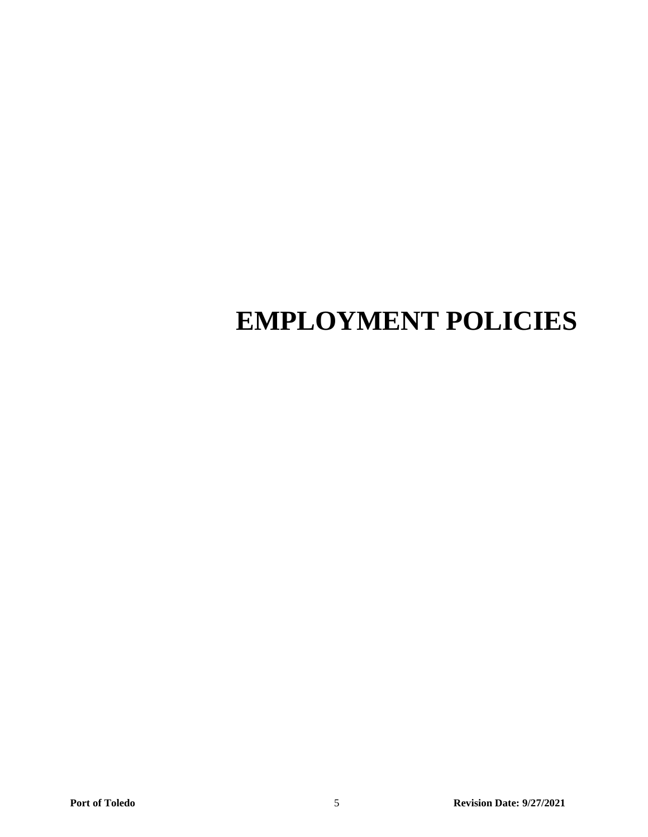## **EMPLOYMENT POLICIES**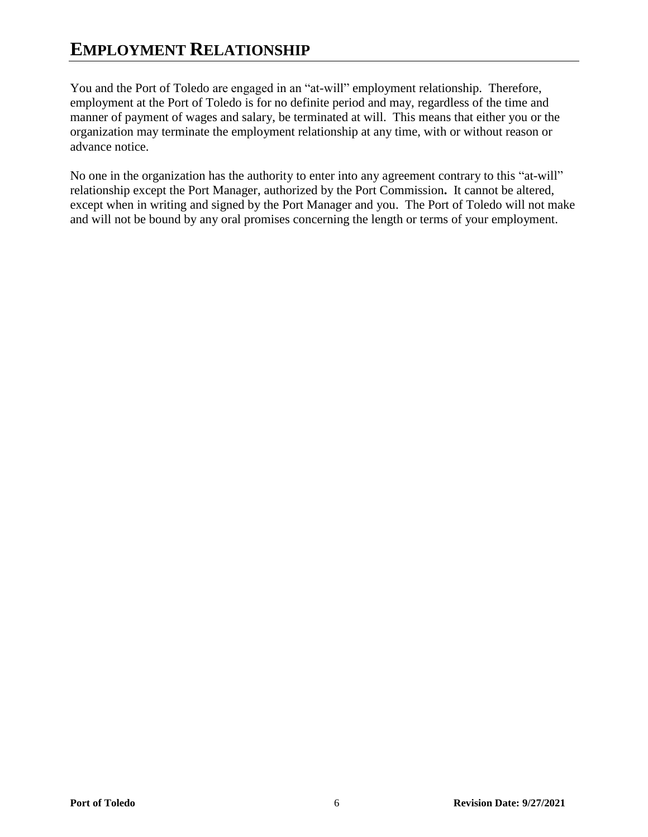## **EMPLOYMENT RELATIONSHIP**

You and the Port of Toledo are engaged in an "at-will" employment relationship. Therefore, employment at the Port of Toledo is for no definite period and may, regardless of the time and manner of payment of wages and salary, be terminated at will. This means that either you or the organization may terminate the employment relationship at any time, with or without reason or advance notice.

No one in the organization has the authority to enter into any agreement contrary to this "at-will" relationship except the Port Manager, authorized by the Port Commission**.** It cannot be altered, except when in writing and signed by the Port Manager and you. The Port of Toledo will not make and will not be bound by any oral promises concerning the length or terms of your employment.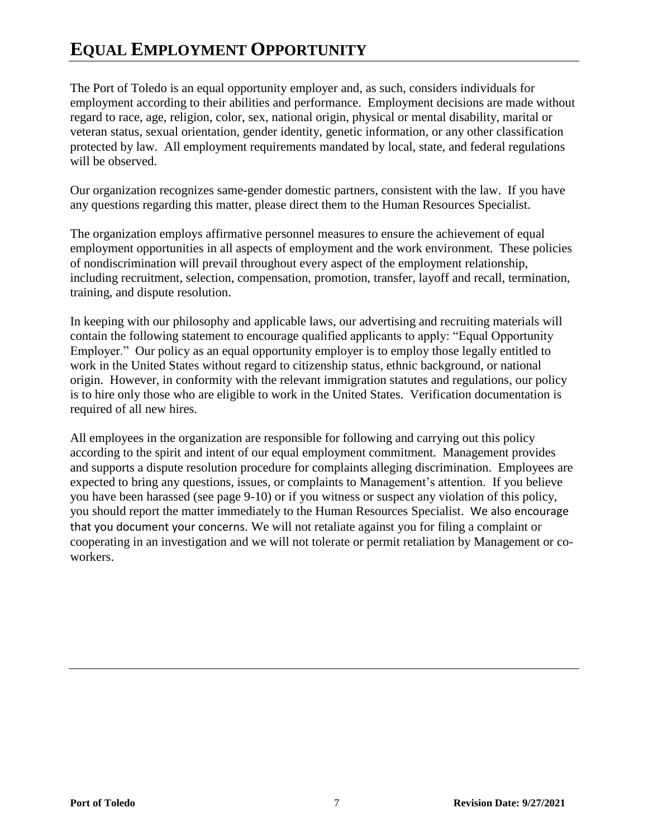## **EQUAL EMPLOYMENT OPPORTUNITY**

The Port of Toledo is an equal opportunity employer and, as such, considers individuals for employment according to their abilities and performance. Employment decisions are made without regard to race, age, religion, color, sex, national origin, physical or mental disability, marital or veteran status, sexual orientation, gender identity, genetic information, or any other classification protected by law. All employment requirements mandated by local, state, and federal regulations will be observed.

Our organization recognizes same-gender domestic partners, consistent with the law. If you have any questions regarding this matter, please direct them to the Human Resources Specialist.

The organization employs affirmative personnel measures to ensure the achievement of equal employment opportunities in all aspects of employment and the work environment. These policies of nondiscrimination will prevail throughout every aspect of the employment relationship, including recruitment, selection, compensation, promotion, transfer, layoff and recall, termination, training, and dispute resolution.

In keeping with our philosophy and applicable laws, our advertising and recruiting materials will contain the following statement to encourage qualified applicants to apply: "Equal Opportunity Employer." Our policy as an equal opportunity employer is to employ those legally entitled to work in the United States without regard to citizenship status, ethnic background, or national origin. However, in conformity with the relevant immigration statutes and regulations, our policy is to hire only those who are eligible to work in the United States. Verification documentation is required of all new hires.

All employees in the organization are responsible for following and carrying out this policy according to the spirit and intent of our equal employment commitment. Management provides and supports a dispute resolution procedure for complaints alleging discrimination. Employees are expected to bring any questions, issues, or complaints to Management's attention. If you believe you have been harassed (see page 9-10) or if you witness or suspect any violation of this policy, you should report the matter immediately to the Human Resources Specialist. We also encourage that you document your concerns. We will not retaliate against you for filing a complaint or cooperating in an investigation and we will not tolerate or permit retaliation by Management or coworkers.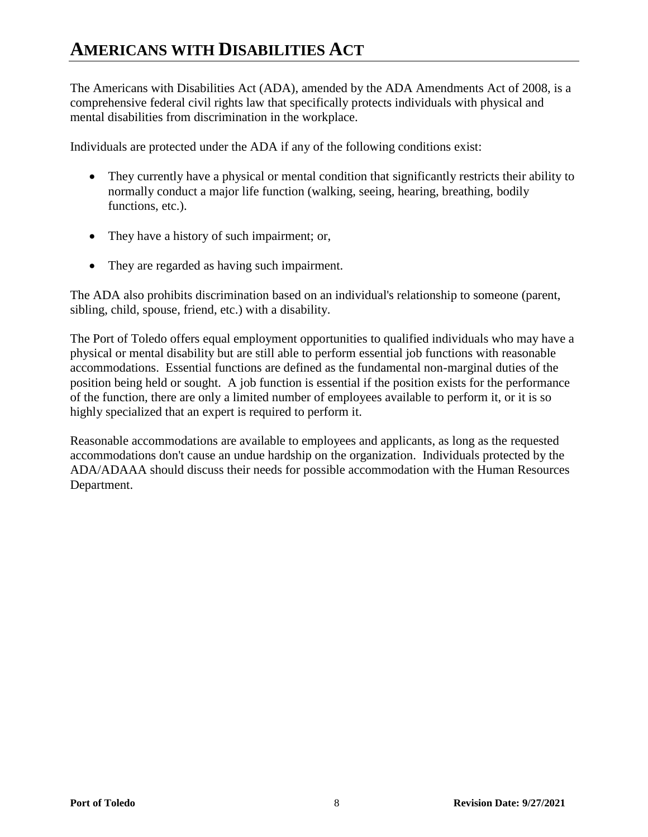The Americans with Disabilities Act (ADA), amended by the ADA Amendments Act of 2008, is a comprehensive federal civil rights law that specifically protects individuals with physical and mental disabilities from discrimination in the workplace.

Individuals are protected under the ADA if any of the following conditions exist:

- They currently have a physical or mental condition that significantly restricts their ability to normally conduct a major life function (walking, seeing, hearing, breathing, bodily functions, etc.).
- They have a history of such impairment; or,
- They are regarded as having such impairment.

The ADA also prohibits discrimination based on an individual's relationship to someone (parent, sibling, child, spouse, friend, etc.) with a disability.

The Port of Toledo offers equal employment opportunities to qualified individuals who may have a physical or mental disability but are still able to perform essential job functions with reasonable accommodations. Essential functions are defined as the fundamental non-marginal duties of the position being held or sought. A job function is essential if the position exists for the performance of the function, there are only a limited number of employees available to perform it, or it is so highly specialized that an expert is required to perform it.

Reasonable accommodations are available to employees and applicants, as long as the requested accommodations don't cause an undue hardship on the organization. Individuals protected by the ADA/ADAAA should discuss their needs for possible accommodation with the Human Resources Department.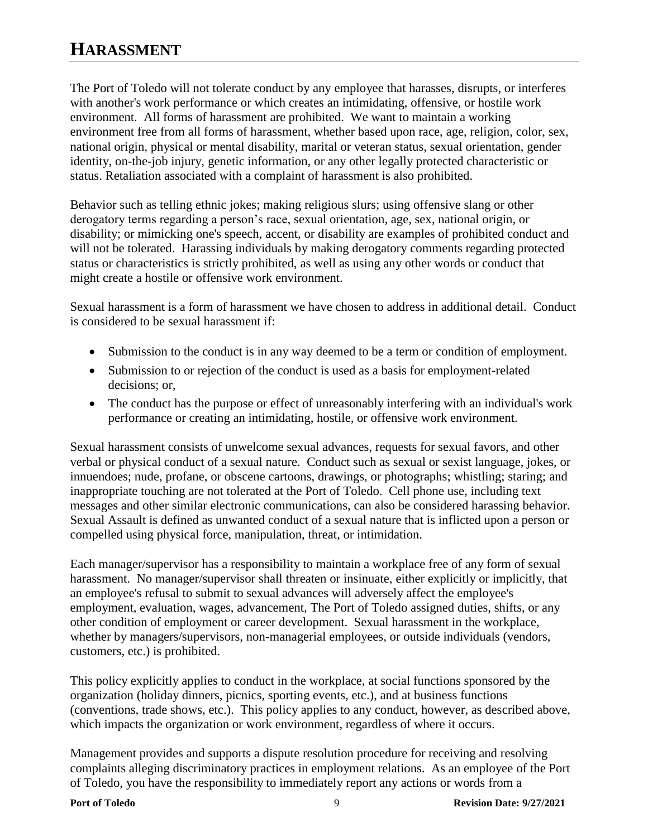## **HARASSMENT**

The Port of Toledo will not tolerate conduct by any employee that harasses, disrupts, or interferes with another's work performance or which creates an intimidating, offensive, or hostile work environment. All forms of harassment are prohibited. We want to maintain a working environment free from all forms of harassment, whether based upon race, age, religion, color, sex, national origin, physical or mental disability, marital or veteran status, sexual orientation, gender identity, on-the-job injury, genetic information, or any other legally protected characteristic or status. Retaliation associated with a complaint of harassment is also prohibited.

Behavior such as telling ethnic jokes; making religious slurs; using offensive slang or other derogatory terms regarding a person's race, sexual orientation, age, sex, national origin, or disability; or mimicking one's speech, accent, or disability are examples of prohibited conduct and will not be tolerated. Harassing individuals by making derogatory comments regarding protected status or characteristics is strictly prohibited, as well as using any other words or conduct that might create a hostile or offensive work environment.

Sexual harassment is a form of harassment we have chosen to address in additional detail. Conduct is considered to be sexual harassment if:

- Submission to the conduct is in any way deemed to be a term or condition of employment.
- Submission to or rejection of the conduct is used as a basis for employment-related decisions; or,
- The conduct has the purpose or effect of unreasonably interfering with an individual's work performance or creating an intimidating, hostile, or offensive work environment.

Sexual harassment consists of unwelcome sexual advances, requests for sexual favors, and other verbal or physical conduct of a sexual nature. Conduct such as sexual or sexist language, jokes, or innuendoes; nude, profane, or obscene cartoons, drawings, or photographs; whistling; staring; and inappropriate touching are not tolerated at the Port of Toledo. Cell phone use, including text messages and other similar electronic communications, can also be considered harassing behavior. Sexual Assault is defined as unwanted conduct of a sexual nature that is inflicted upon a person or compelled using physical force, manipulation, threat, or intimidation.

Each manager/supervisor has a responsibility to maintain a workplace free of any form of sexual harassment. No manager/supervisor shall threaten or insinuate, either explicitly or implicitly, that an employee's refusal to submit to sexual advances will adversely affect the employee's employment, evaluation, wages, advancement, The Port of Toledo assigned duties, shifts, or any other condition of employment or career development. Sexual harassment in the workplace, whether by managers/supervisors, non-managerial employees, or outside individuals (vendors, customers, etc.) is prohibited.

This policy explicitly applies to conduct in the workplace, at social functions sponsored by the organization (holiday dinners, picnics, sporting events, etc.), and at business functions (conventions, trade shows, etc.). This policy applies to any conduct, however, as described above, which impacts the organization or work environment, regardless of where it occurs.

Management provides and supports a dispute resolution procedure for receiving and resolving complaints alleging discriminatory practices in employment relations. As an employee of the Port of Toledo, you have the responsibility to immediately report any actions or words from a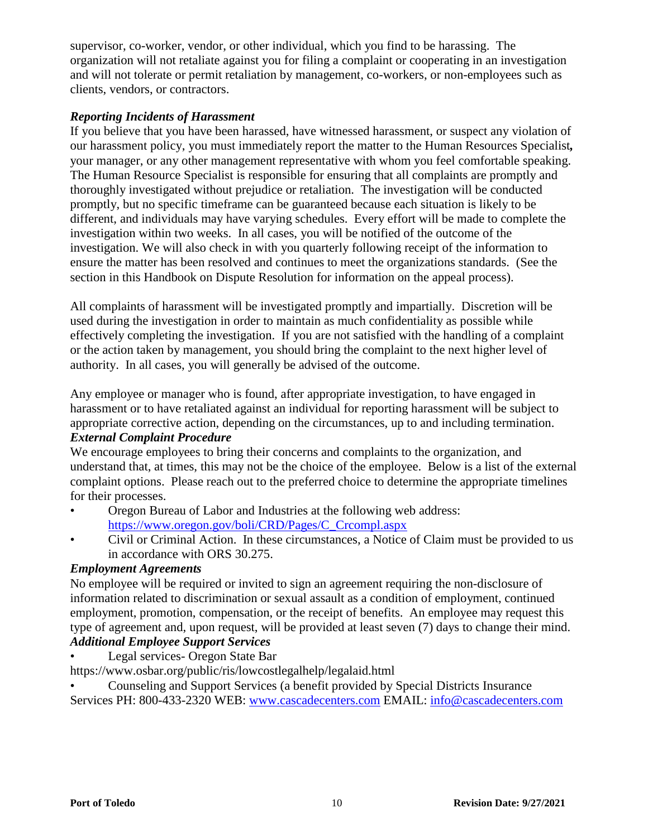supervisor, co-worker, vendor, or other individual, which you find to be harassing. The organization will not retaliate against you for filing a complaint or cooperating in an investigation and will not tolerate or permit retaliation by management, co-workers, or non-employees such as clients, vendors, or contractors.

#### *Reporting Incidents of Harassment*

If you believe that you have been harassed, have witnessed harassment, or suspect any violation of our harassment policy, you must immediately report the matter to the Human Resources Specialist*,*  your manager, or any other management representative with whom you feel comfortable speaking. The Human Resource Specialist is responsible for ensuring that all complaints are promptly and thoroughly investigated without prejudice or retaliation. The investigation will be conducted promptly, but no specific timeframe can be guaranteed because each situation is likely to be different, and individuals may have varying schedules. Every effort will be made to complete the investigation within two weeks. In all cases, you will be notified of the outcome of the investigation. We will also check in with you quarterly following receipt of the information to ensure the matter has been resolved and continues to meet the organizations standards. (See the section in this Handbook on Dispute Resolution for information on the appeal process).

All complaints of harassment will be investigated promptly and impartially. Discretion will be used during the investigation in order to maintain as much confidentiality as possible while effectively completing the investigation. If you are not satisfied with the handling of a complaint or the action taken by management, you should bring the complaint to the next higher level of authority. In all cases, you will generally be advised of the outcome.

Any employee or manager who is found, after appropriate investigation, to have engaged in harassment or to have retaliated against an individual for reporting harassment will be subject to appropriate corrective action, depending on the circumstances, up to and including termination.

#### *External Complaint Procedure*

We encourage employees to bring their concerns and complaints to the organization, and understand that, at times, this may not be the choice of the employee. Below is a list of the external complaint options. Please reach out to the preferred choice to determine the appropriate timelines for their processes.

- Oregon Bureau of Labor and Industries at the following web address: [https://www.oregon.gov/boli/CRD/Pages/C\\_Crcompl.aspx](https://www.oregon.gov/boli/CRD/Pages/C_Crcompl.aspx)
- Civil or Criminal Action. In these circumstances, a Notice of Claim must be provided to us in accordance with ORS 30.275.

#### *Employment Agreements*

No employee will be required or invited to sign an agreement requiring the non-disclosure of information related to discrimination or sexual assault as a condition of employment, continued employment, promotion, compensation, or the receipt of benefits. An employee may request this type of agreement and, upon request, will be provided at least seven (7) days to change their mind. *Additional Employee Support Services*

- Legal services- Oregon State Bar
- https://www.osbar.org/public/ris/lowcostlegalhelp/legalaid.html
- Counseling and Support Services (a benefit provided by Special Districts Insurance Services PH: 800-433-2320 WEB: [www.cascadecenters.com](http://www.cascadecenters.com/) EMAIL: [info@cascadecenters.com](mailto:info@cascadecenters.com)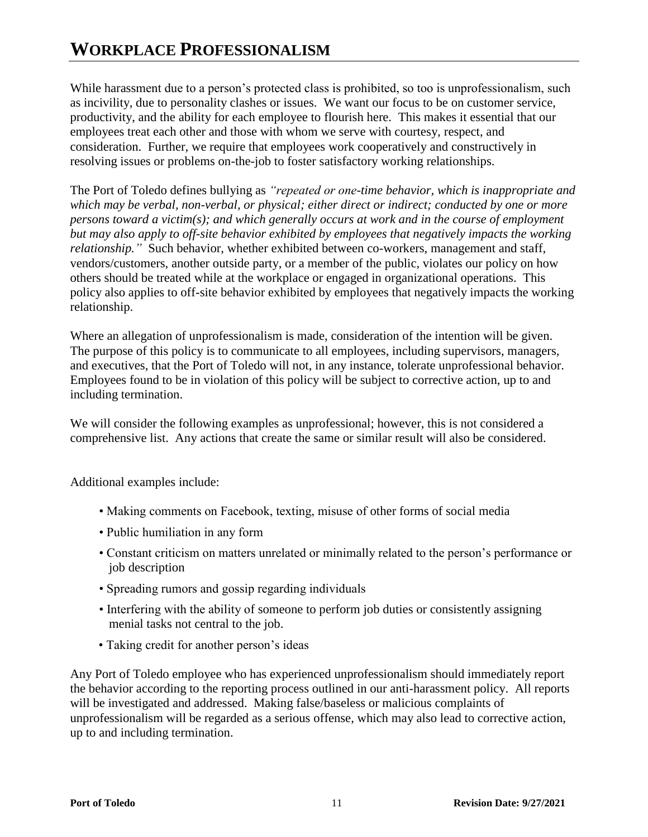While harassment due to a person's protected class is prohibited, so too is unprofessionalism, such as incivility, due to personality clashes or issues. We want our focus to be on customer service, productivity, and the ability for each employee to flourish here. This makes it essential that our employees treat each other and those with whom we serve with courtesy, respect, and consideration. Further, we require that employees work cooperatively and constructively in resolving issues or problems on-the-job to foster satisfactory working relationships.

The Port of Toledo defines bullying as *"repeated or one-time behavior, which is inappropriate and which may be verbal, non-verbal, or physical; either direct or indirect; conducted by one or more persons toward a victim(s); and which generally occurs at work and in the course of employment but may also apply to off-site behavior exhibited by employees that negatively impacts the working relationship."* Such behavior, whether exhibited between co-workers, management and staff, vendors/customers, another outside party, or a member of the public, violates our policy on how others should be treated while at the workplace or engaged in organizational operations. This policy also applies to off-site behavior exhibited by employees that negatively impacts the working relationship.

Where an allegation of unprofessionalism is made, consideration of the intention will be given. The purpose of this policy is to communicate to all employees, including supervisors, managers, and executives, that the Port of Toledo will not, in any instance, tolerate unprofessional behavior. Employees found to be in violation of this policy will be subject to corrective action, up to and including termination.

We will consider the following examples as unprofessional; however, this is not considered a comprehensive list. Any actions that create the same or similar result will also be considered.

Additional examples include:

- Making comments on Facebook, texting, misuse of other forms of social media
- Public humiliation in any form
- Constant criticism on matters unrelated or minimally related to the person's performance or job description
- Spreading rumors and gossip regarding individuals
- Interfering with the ability of someone to perform job duties or consistently assigning menial tasks not central to the job.
- Taking credit for another person's ideas

Any Port of Toledo employee who has experienced unprofessionalism should immediately report the behavior according to the reporting process outlined in our anti-harassment policy. All reports will be investigated and addressed. Making false/baseless or malicious complaints of unprofessionalism will be regarded as a serious offense, which may also lead to corrective action, up to and including termination.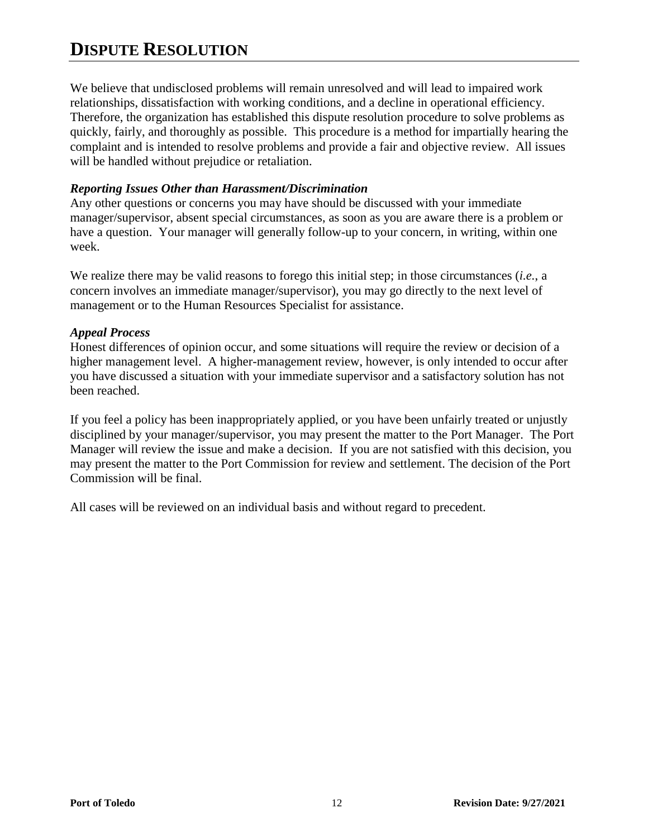## **DISPUTE RESOLUTION**

We believe that undisclosed problems will remain unresolved and will lead to impaired work relationships, dissatisfaction with working conditions, and a decline in operational efficiency. Therefore, the organization has established this dispute resolution procedure to solve problems as quickly, fairly, and thoroughly as possible. This procedure is a method for impartially hearing the complaint and is intended to resolve problems and provide a fair and objective review. All issues will be handled without prejudice or retaliation.

#### *Reporting Issues Other than Harassment/Discrimination*

Any other questions or concerns you may have should be discussed with your immediate manager/supervisor, absent special circumstances, as soon as you are aware there is a problem or have a question. Your manager will generally follow-up to your concern, in writing, within one week.

We realize there may be valid reasons to forego this initial step; in those circumstances (*i.e.*, a concern involves an immediate manager/supervisor), you may go directly to the next level of management or to the Human Resources Specialist for assistance.

#### *Appeal Process*

Honest differences of opinion occur, and some situations will require the review or decision of a higher management level. A higher-management review, however, is only intended to occur after you have discussed a situation with your immediate supervisor and a satisfactory solution has not been reached.

If you feel a policy has been inappropriately applied, or you have been unfairly treated or unjustly disciplined by your manager/supervisor, you may present the matter to the Port Manager. The Port Manager will review the issue and make a decision. If you are not satisfied with this decision, you may present the matter to the Port Commission for review and settlement. The decision of the Port Commission will be final.

All cases will be reviewed on an individual basis and without regard to precedent.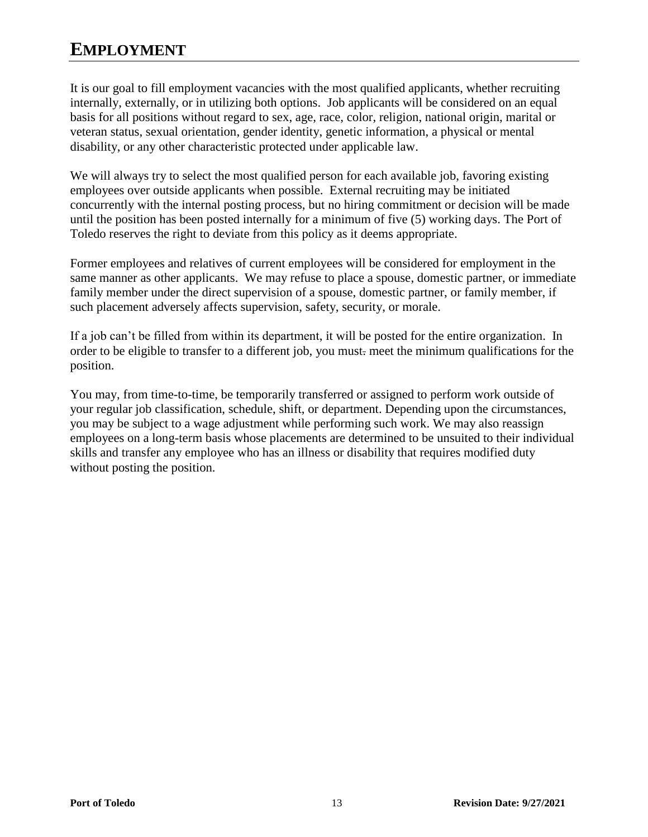## **EMPLOYMENT**

It is our goal to fill employment vacancies with the most qualified applicants, whether recruiting internally, externally, or in utilizing both options. Job applicants will be considered on an equal basis for all positions without regard to sex, age, race, color, religion, national origin, marital or veteran status, sexual orientation, gender identity, genetic information, a physical or mental disability, or any other characteristic protected under applicable law.

We will always try to select the most qualified person for each available job, favoring existing employees over outside applicants when possible. External recruiting may be initiated concurrently with the internal posting process, but no hiring commitment or decision will be made until the position has been posted internally for a minimum of five (5) working days. The Port of Toledo reserves the right to deviate from this policy as it deems appropriate.

Former employees and relatives of current employees will be considered for employment in the same manner as other applicants. We may refuse to place a spouse, domestic partner, or immediate family member under the direct supervision of a spouse, domestic partner, or family member, if such placement adversely affects supervision, safety, security, or morale.

If a job can't be filled from within its department, it will be posted for the entire organization. In order to be eligible to transfer to a different job, you must. meet the minimum qualifications for the position.

You may, from time-to-time, be temporarily transferred or assigned to perform work outside of your regular job classification, schedule, shift, or department. Depending upon the circumstances, you may be subject to a wage adjustment while performing such work. We may also reassign employees on a long-term basis whose placements are determined to be unsuited to their individual skills and transfer any employee who has an illness or disability that requires modified duty without posting the position.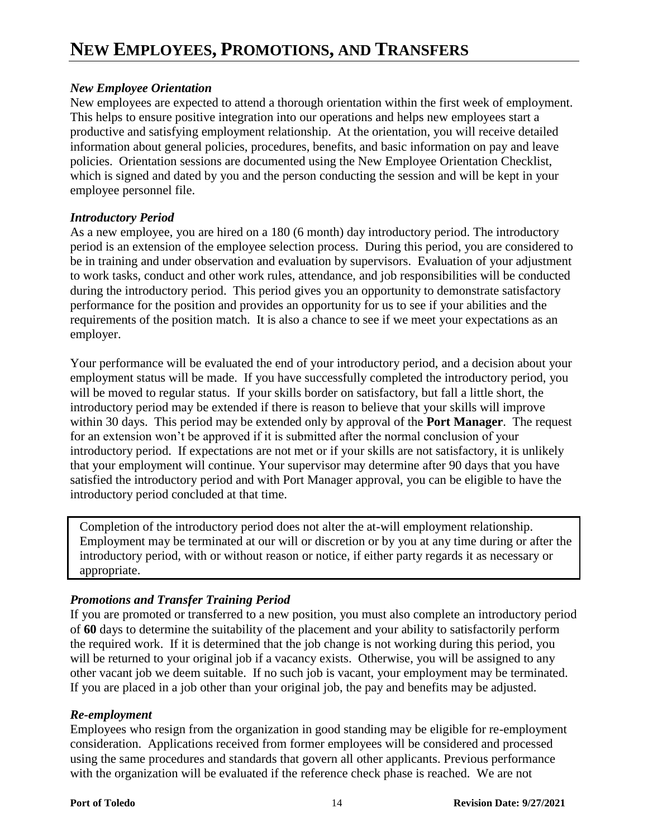#### *New Employee Orientation*

New employees are expected to attend a thorough orientation within the first week of employment. This helps to ensure positive integration into our operations and helps new employees start a productive and satisfying employment relationship. At the orientation, you will receive detailed information about general policies, procedures, benefits, and basic information on pay and leave policies. Orientation sessions are documented using the New Employee Orientation Checklist, which is signed and dated by you and the person conducting the session and will be kept in your employee personnel file.

#### *Introductory Period*

As a new employee, you are hired on a 180 (6 month) day introductory period. The introductory period is an extension of the employee selection process. During this period, you are considered to be in training and under observation and evaluation by supervisors. Evaluation of your adjustment to work tasks, conduct and other work rules, attendance, and job responsibilities will be conducted during the introductory period. This period gives you an opportunity to demonstrate satisfactory performance for the position and provides an opportunity for us to see if your abilities and the requirements of the position match. It is also a chance to see if we meet your expectations as an employer.

Your performance will be evaluated the end of your introductory period, and a decision about your employment status will be made. If you have successfully completed the introductory period, you will be moved to regular status. If your skills border on satisfactory, but fall a little short, the introductory period may be extended if there is reason to believe that your skills will improve within 30 days. This period may be extended only by approval of the **Port Manager**. The request for an extension won't be approved if it is submitted after the normal conclusion of your introductory period. If expectations are not met or if your skills are not satisfactory, it is unlikely that your employment will continue. Your supervisor may determine after 90 days that you have satisfied the introductory period and with Port Manager approval, you can be eligible to have the introductory period concluded at that time.

Completion of the introductory period does not alter the at-will employment relationship. Employment may be terminated at our will or discretion or by you at any time during or after the introductory period, with or without reason or notice, if either party regards it as necessary or appropriate.

#### *Promotions and Transfer Training Period*

If you are promoted or transferred to a new position, you must also complete an introductory period of **60** days to determine the suitability of the placement and your ability to satisfactorily perform the required work. If it is determined that the job change is not working during this period, you will be returned to your original job if a vacancy exists. Otherwise, you will be assigned to any other vacant job we deem suitable. If no such job is vacant, your employment may be terminated. If you are placed in a job other than your original job, the pay and benefits may be adjusted.

#### *Re-employment*

Employees who resign from the organization in good standing may be eligible for re-employment consideration. Applications received from former employees will be considered and processed using the same procedures and standards that govern all other applicants. Previous performance with the organization will be evaluated if the reference check phase is reached. We are not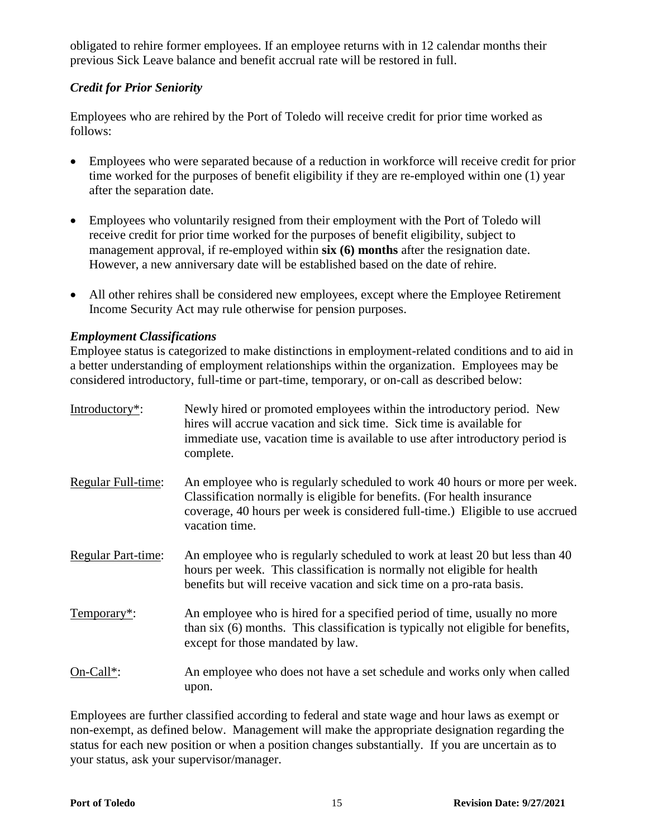obligated to rehire former employees. If an employee returns with in 12 calendar months their previous Sick Leave balance and benefit accrual rate will be restored in full.

#### *Credit for Prior Seniority*

Employees who are rehired by the Port of Toledo will receive credit for prior time worked as follows:

- Employees who were separated because of a reduction in workforce will receive credit for prior time worked for the purposes of benefit eligibility if they are re-employed within one (1) year after the separation date.
- Employees who voluntarily resigned from their employment with the Port of Toledo will receive credit for prior time worked for the purposes of benefit eligibility, subject to management approval, if re-employed within **six (6) months** after the resignation date. However, a new anniversary date will be established based on the date of rehire.
- All other rehires shall be considered new employees, except where the Employee Retirement Income Security Act may rule otherwise for pension purposes.

#### *Employment Classifications*

Employee status is categorized to make distinctions in employment-related conditions and to aid in a better understanding of employment relationships within the organization. Employees may be considered introductory, full-time or part-time, temporary, or on-call as described below:

| Introductory <sup>*</sup> : | Newly hired or promoted employees within the introductory period. New<br>hires will accrue vacation and sick time. Sick time is available for<br>immediate use, vacation time is available to use after introductory period is<br>complete.             |
|-----------------------------|---------------------------------------------------------------------------------------------------------------------------------------------------------------------------------------------------------------------------------------------------------|
| Regular Full-time:          | An employee who is regularly scheduled to work 40 hours or more per week.<br>Classification normally is eligible for benefits. (For health insurance<br>coverage, 40 hours per week is considered full-time.) Eligible to use accrued<br>vacation time. |
| <b>Regular Part-time:</b>   | An employee who is regularly scheduled to work at least 20 but less than 40<br>hours per week. This classification is normally not eligible for health<br>benefits but will receive vacation and sick time on a pro-rata basis.                         |
| Temporary*:                 | An employee who is hired for a specified period of time, usually no more<br>than six (6) months. This classification is typically not eligible for benefits,<br>except for those mandated by law.                                                       |
| $On-Call^*$ :               | An employee who does not have a set schedule and works only when called<br>upon.                                                                                                                                                                        |

Employees are further classified according to federal and state wage and hour laws as exempt or non-exempt, as defined below. Management will make the appropriate designation regarding the status for each new position or when a position changes substantially. If you are uncertain as to your status, ask your supervisor/manager.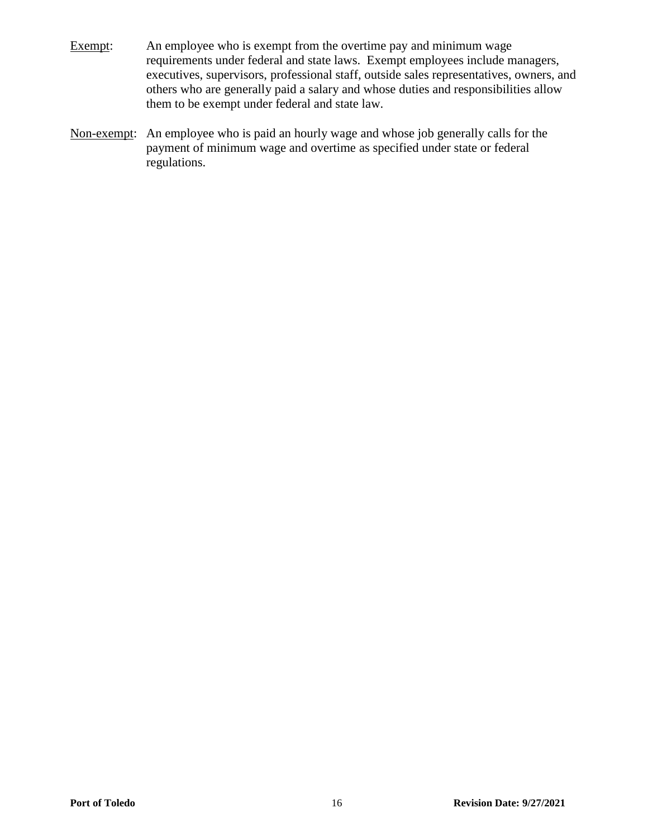- Exempt: An employee who is exempt from the overtime pay and minimum wage requirements under federal and state laws. Exempt employees include managers, executives, supervisors, professional staff, outside sales representatives, owners, and others who are generally paid a salary and whose duties and responsibilities allow them to be exempt under federal and state law.
- Non-exempt: An employee who is paid an hourly wage and whose job generally calls for the payment of minimum wage and overtime as specified under state or federal regulations.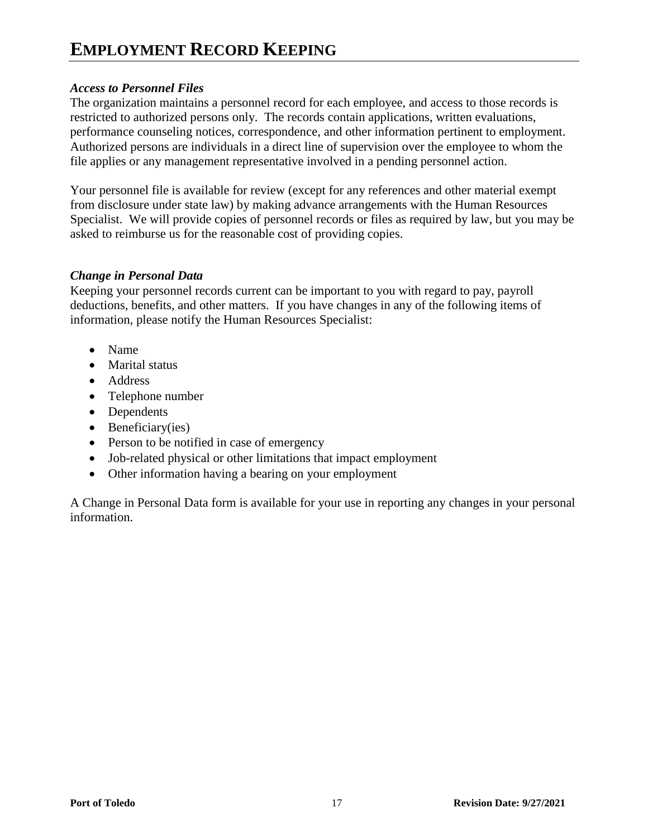## **EMPLOYMENT RECORD KEEPING**

#### *Access to Personnel Files*

The organization maintains a personnel record for each employee, and access to those records is restricted to authorized persons only. The records contain applications, written evaluations, performance counseling notices, correspondence, and other information pertinent to employment. Authorized persons are individuals in a direct line of supervision over the employee to whom the file applies or any management representative involved in a pending personnel action.

Your personnel file is available for review (except for any references and other material exempt from disclosure under state law) by making advance arrangements with the Human Resources Specialist. We will provide copies of personnel records or files as required by law, but you may be asked to reimburse us for the reasonable cost of providing copies.

#### *Change in Personal Data*

Keeping your personnel records current can be important to you with regard to pay, payroll deductions, benefits, and other matters. If you have changes in any of the following items of information, please notify the Human Resources Specialist:

- Name
- Marital status
- Address
- Telephone number
- Dependents
- Beneficiary(ies)
- Person to be notified in case of emergency
- Job-related physical or other limitations that impact employment
- Other information having a bearing on your employment

A Change in Personal Data form is available for your use in reporting any changes in your personal information.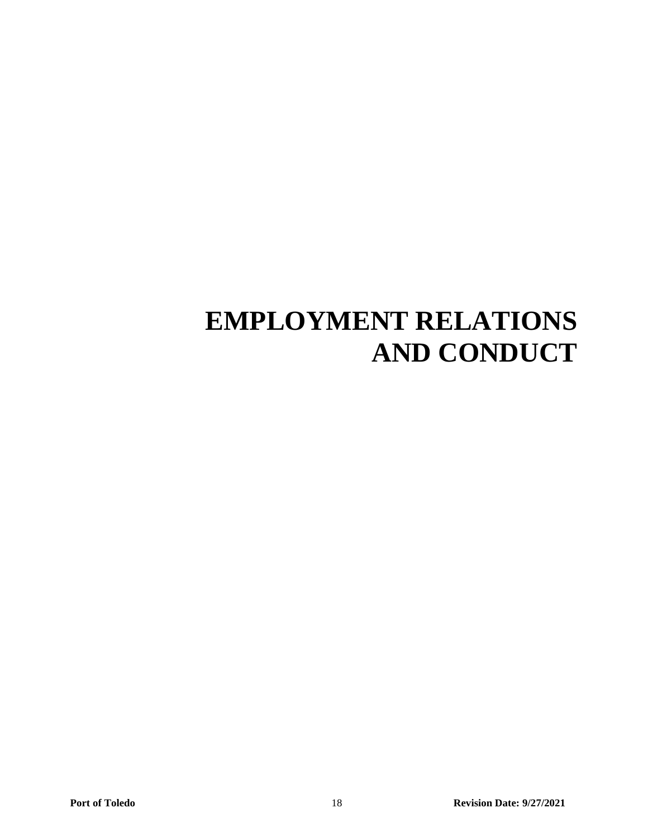## **EMPLOYMENT RELATIONS AND CONDUCT**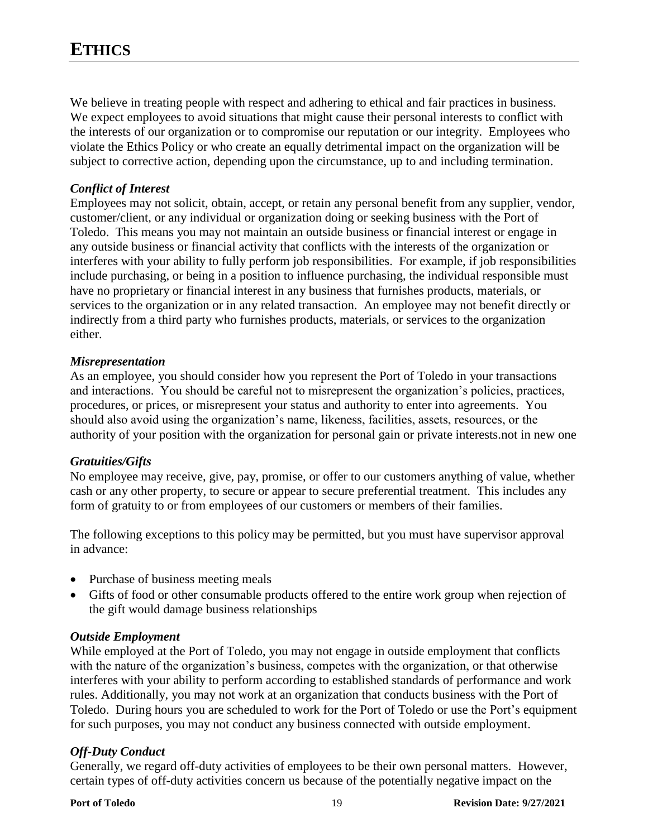We believe in treating people with respect and adhering to ethical and fair practices in business. We expect employees to avoid situations that might cause their personal interests to conflict with the interests of our organization or to compromise our reputation or our integrity. Employees who violate the Ethics Policy or who create an equally detrimental impact on the organization will be subject to corrective action, depending upon the circumstance, up to and including termination.

#### *Conflict of Interest*

Employees may not solicit, obtain, accept, or retain any personal benefit from any supplier, vendor, customer/client, or any individual or organization doing or seeking business with the Port of Toledo. This means you may not maintain an outside business or financial interest or engage in any outside business or financial activity that conflicts with the interests of the organization or interferes with your ability to fully perform job responsibilities. For example, if job responsibilities include purchasing, or being in a position to influence purchasing, the individual responsible must have no proprietary or financial interest in any business that furnishes products, materials, or services to the organization or in any related transaction. An employee may not benefit directly or indirectly from a third party who furnishes products, materials, or services to the organization either.

#### *Misrepresentation*

As an employee, you should consider how you represent the Port of Toledo in your transactions and interactions. You should be careful not to misrepresent the organization's policies, practices, procedures, or prices, or misrepresent your status and authority to enter into agreements. You should also avoid using the organization's name, likeness, facilities, assets, resources, or the authority of your position with the organization for personal gain or private interests.not in new one

#### *Gratuities/Gifts*

No employee may receive, give, pay, promise, or offer to our customers anything of value, whether cash or any other property, to secure or appear to secure preferential treatment. This includes any form of gratuity to or from employees of our customers or members of their families.

The following exceptions to this policy may be permitted, but you must have supervisor approval in advance:

- Purchase of business meeting meals
- Gifts of food or other consumable products offered to the entire work group when rejection of the gift would damage business relationships

#### *Outside Employment*

While employed at the Port of Toledo, you may not engage in outside employment that conflicts with the nature of the organization's business, competes with the organization, or that otherwise interferes with your ability to perform according to established standards of performance and work rules. Additionally, you may not work at an organization that conducts business with the Port of Toledo. During hours you are scheduled to work for the Port of Toledo or use the Port's equipment for such purposes, you may not conduct any business connected with outside employment.

#### *Off-Duty Conduct*

Generally, we regard off-duty activities of employees to be their own personal matters. However, certain types of off-duty activities concern us because of the potentially negative impact on the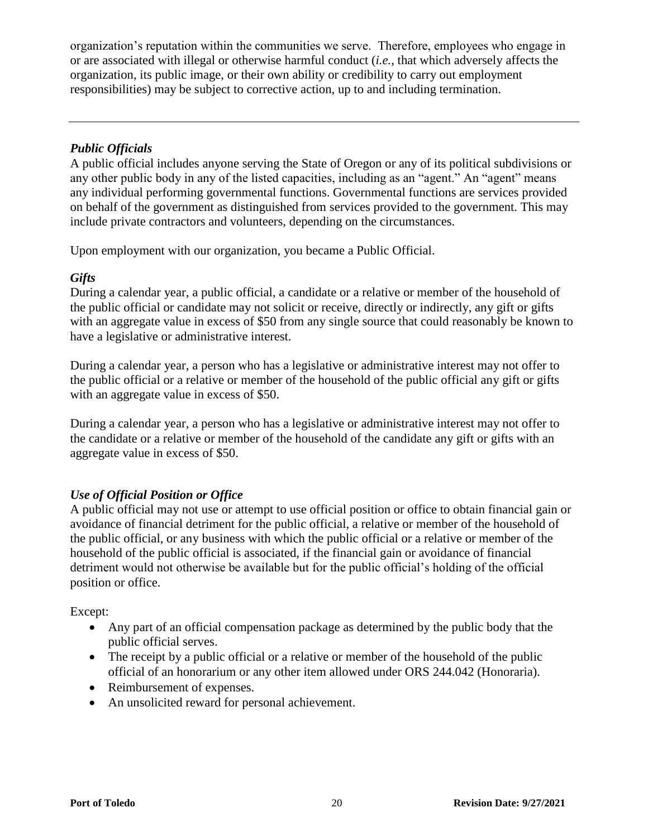organization's reputation within the communities we serve. Therefore, employees who engage in or are associated with illegal or otherwise harmful conduct (*i.e.*, that which adversely affects the organization, its public image, or their own ability or credibility to carry out employment responsibilities) may be subject to corrective action, up to and including termination.

#### *Public Officials*

A public official includes anyone serving the State of Oregon or any of its political subdivisions or any other public body in any of the listed capacities, including as an "agent." An "agent" means any individual performing governmental functions. Governmental functions are services provided on behalf of the government as distinguished from services provided to the government. This may include private contractors and volunteers, depending on the circumstances.

Upon employment with our organization, you became a Public Official.

#### *Gifts*

During a calendar year, a public official, a candidate or a relative or member of the household of the public official or candidate may not solicit or receive, directly or indirectly, any gift or gifts with an aggregate value in excess of \$50 from any single source that could reasonably be known to have a legislative or administrative interest.

During a calendar year, a person who has a legislative or administrative interest may not offer to the public official or a relative or member of the household of the public official any gift or gifts with an aggregate value in excess of \$50.

During a calendar year, a person who has a legislative or administrative interest may not offer to the candidate or a relative or member of the household of the candidate any gift or gifts with an aggregate value in excess of \$50.

#### *Use of Official Position or Office*

A public official may not use or attempt to use official position or office to obtain financial gain or avoidance of financial detriment for the public official, a relative or member of the household of the public official, or any business with which the public official or a relative or member of the household of the public official is associated, if the financial gain or avoidance of financial detriment would not otherwise be available but for the public official's holding of the official position or office.

#### Except:

- Any part of an official compensation package as determined by the public body that the public official serves.
- The receipt by a public official or a relative or member of the household of the public official of an honorarium or any other item allowed under ORS 244.042 (Honoraria).
- Reimbursement of expenses.
- An unsolicited reward for personal achievement.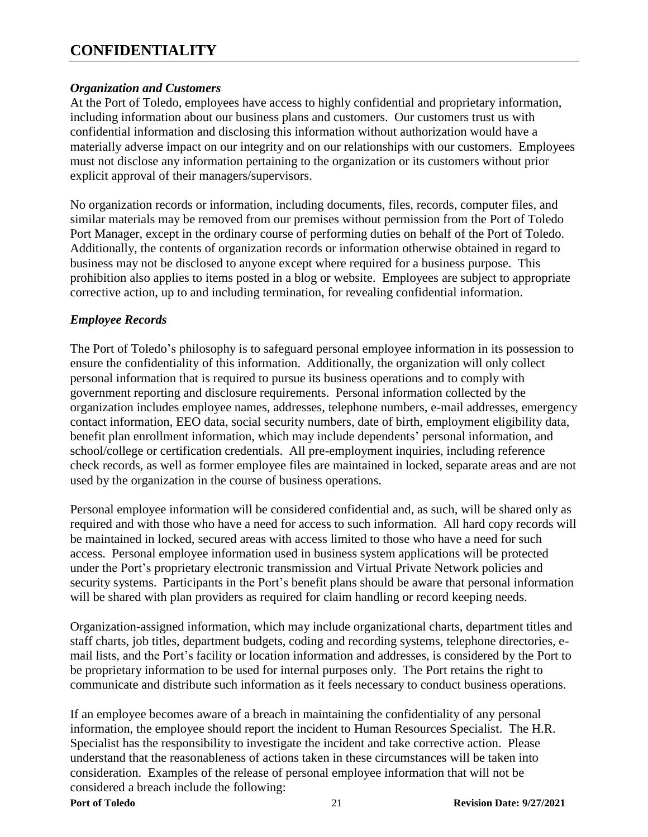#### **CONFIDENTIALITY**

#### *Organization and Customers*

At the Port of Toledo, employees have access to highly confidential and proprietary information, including information about our business plans and customers. Our customers trust us with confidential information and disclosing this information without authorization would have a materially adverse impact on our integrity and on our relationships with our customers. Employees must not disclose any information pertaining to the organization or its customers without prior explicit approval of their managers/supervisors.

No organization records or information, including documents, files, records, computer files, and similar materials may be removed from our premises without permission from the Port of Toledo Port Manager, except in the ordinary course of performing duties on behalf of the Port of Toledo. Additionally, the contents of organization records or information otherwise obtained in regard to business may not be disclosed to anyone except where required for a business purpose. This prohibition also applies to items posted in a blog or website. Employees are subject to appropriate corrective action, up to and including termination, for revealing confidential information.

#### *Employee Records*

The Port of Toledo's philosophy is to safeguard personal employee information in its possession to ensure the confidentiality of this information. Additionally, the organization will only collect personal information that is required to pursue its business operations and to comply with government reporting and disclosure requirements. Personal information collected by the organization includes employee names, addresses, telephone numbers, e-mail addresses, emergency contact information, EEO data, social security numbers, date of birth, employment eligibility data, benefit plan enrollment information, which may include dependents' personal information, and school/college or certification credentials. All pre-employment inquiries, including reference check records, as well as former employee files are maintained in locked, separate areas and are not used by the organization in the course of business operations.

Personal employee information will be considered confidential and, as such, will be shared only as required and with those who have a need for access to such information. All hard copy records will be maintained in locked, secured areas with access limited to those who have a need for such access. Personal employee information used in business system applications will be protected under the Port's proprietary electronic transmission and Virtual Private Network policies and security systems. Participants in the Port's benefit plans should be aware that personal information will be shared with plan providers as required for claim handling or record keeping needs.

Organization-assigned information, which may include organizational charts, department titles and staff charts, job titles, department budgets, coding and recording systems, telephone directories, email lists, and the Port's facility or location information and addresses, is considered by the Port to be proprietary information to be used for internal purposes only. The Port retains the right to communicate and distribute such information as it feels necessary to conduct business operations.

If an employee becomes aware of a breach in maintaining the confidentiality of any personal information, the employee should report the incident to Human Resources Specialist. The H.R. Specialist has the responsibility to investigate the incident and take corrective action. Please understand that the reasonableness of actions taken in these circumstances will be taken into consideration. Examples of the release of personal employee information that will not be considered a breach include the following: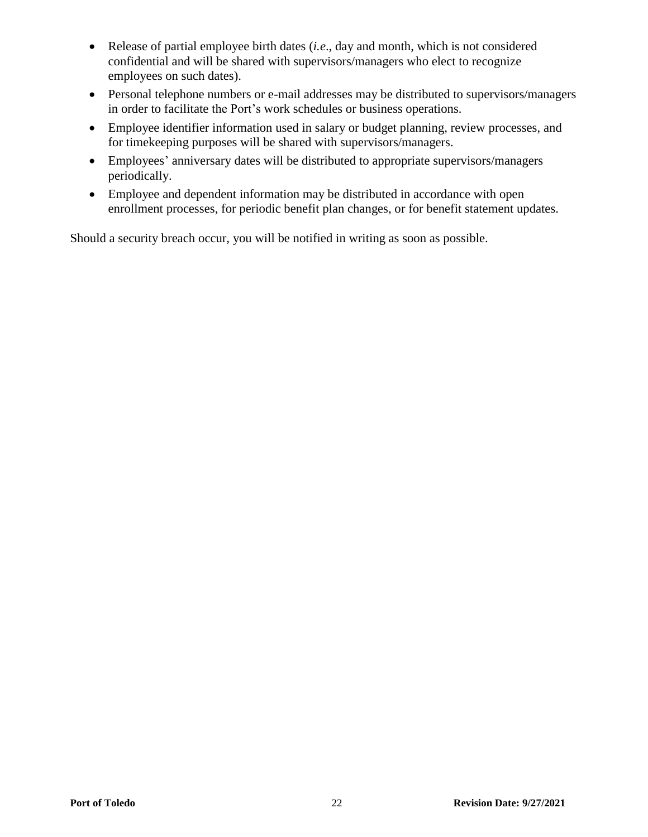- Release of partial employee birth dates (*i.e*., day and month, which is not considered confidential and will be shared with supervisors/managers who elect to recognize employees on such dates).
- Personal telephone numbers or e-mail addresses may be distributed to supervisors/managers in order to facilitate the Port's work schedules or business operations.
- Employee identifier information used in salary or budget planning, review processes, and for timekeeping purposes will be shared with supervisors/managers.
- Employees' anniversary dates will be distributed to appropriate supervisors/managers periodically.
- Employee and dependent information may be distributed in accordance with open enrollment processes, for periodic benefit plan changes, or for benefit statement updates.

Should a security breach occur, you will be notified in writing as soon as possible.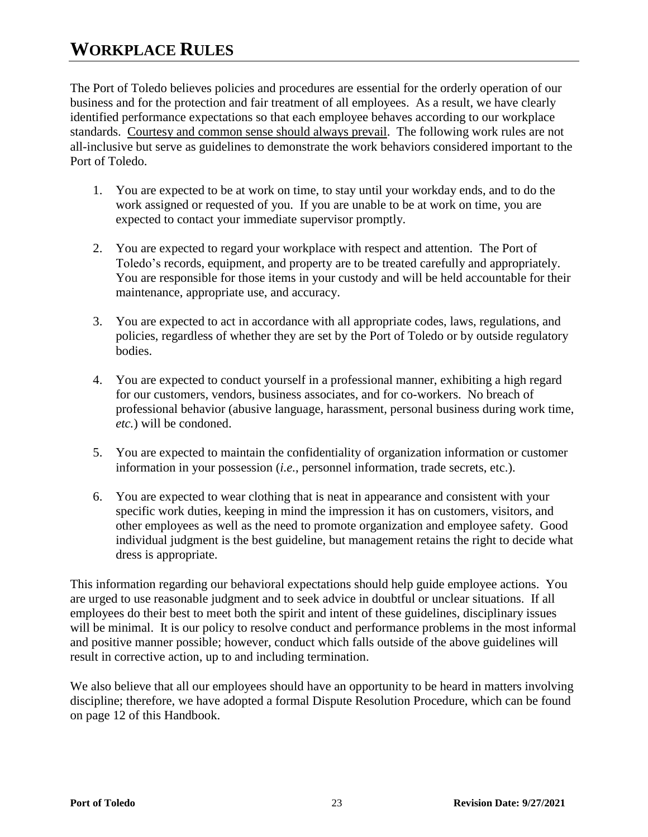### **WORKPLACE RULES**

The Port of Toledo believes policies and procedures are essential for the orderly operation of our business and for the protection and fair treatment of all employees. As a result, we have clearly identified performance expectations so that each employee behaves according to our workplace standards. Courtesy and common sense should always prevail. The following work rules are not all-inclusive but serve as guidelines to demonstrate the work behaviors considered important to the Port of Toledo.

- 1. You are expected to be at work on time, to stay until your workday ends, and to do the work assigned or requested of you. If you are unable to be at work on time, you are expected to contact your immediate supervisor promptly.
- 2. You are expected to regard your workplace with respect and attention. The Port of Toledo's records, equipment, and property are to be treated carefully and appropriately. You are responsible for those items in your custody and will be held accountable for their maintenance, appropriate use, and accuracy.
- 3. You are expected to act in accordance with all appropriate codes, laws, regulations, and policies, regardless of whether they are set by the Port of Toledo or by outside regulatory bodies.
- 4. You are expected to conduct yourself in a professional manner, exhibiting a high regard for our customers, vendors, business associates, and for co-workers. No breach of professional behavior (abusive language, harassment, personal business during work time, *etc.*) will be condoned.
- 5. You are expected to maintain the confidentiality of organization information or customer information in your possession (*i.e.*, personnel information, trade secrets, etc.).
- 6. You are expected to wear clothing that is neat in appearance and consistent with your specific work duties, keeping in mind the impression it has on customers, visitors, and other employees as well as the need to promote organization and employee safety. Good individual judgment is the best guideline, but management retains the right to decide what dress is appropriate.

This information regarding our behavioral expectations should help guide employee actions. You are urged to use reasonable judgment and to seek advice in doubtful or unclear situations. If all employees do their best to meet both the spirit and intent of these guidelines, disciplinary issues will be minimal. It is our policy to resolve conduct and performance problems in the most informal and positive manner possible; however, conduct which falls outside of the above guidelines will result in corrective action, up to and including termination.

We also believe that all our employees should have an opportunity to be heard in matters involving discipline; therefore, we have adopted a formal Dispute Resolution Procedure, which can be found on page 12 of this Handbook.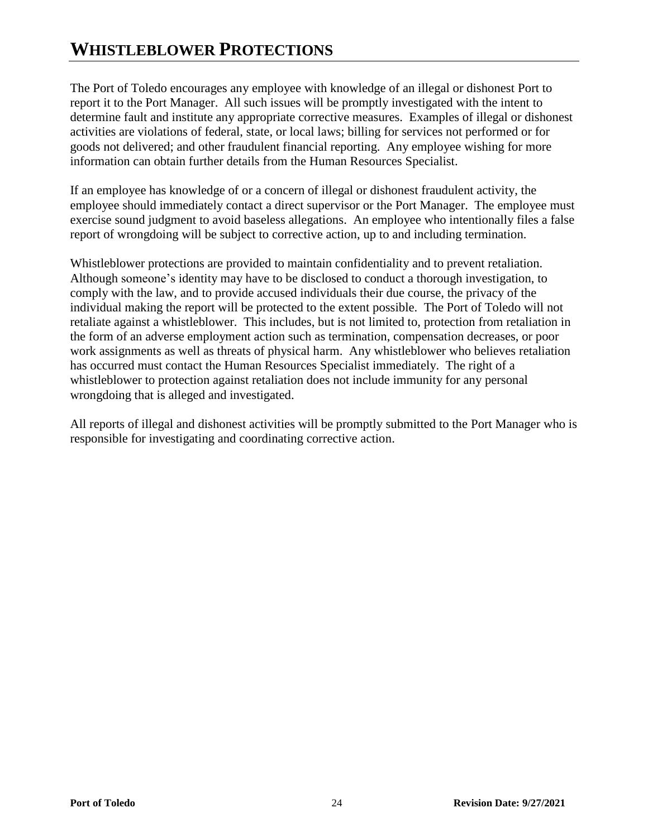## **WHISTLEBLOWER PROTECTIONS**

The Port of Toledo encourages any employee with knowledge of an illegal or dishonest Port to report it to the Port Manager. All such issues will be promptly investigated with the intent to determine fault and institute any appropriate corrective measures. Examples of illegal or dishonest activities are violations of federal, state, or local laws; billing for services not performed or for goods not delivered; and other fraudulent financial reporting. Any employee wishing for more information can obtain further details from the Human Resources Specialist.

If an employee has knowledge of or a concern of illegal or dishonest fraudulent activity, the employee should immediately contact a direct supervisor or the Port Manager. The employee must exercise sound judgment to avoid baseless allegations. An employee who intentionally files a false report of wrongdoing will be subject to corrective action, up to and including termination.

Whistleblower protections are provided to maintain confidentiality and to prevent retaliation. Although someone's identity may have to be disclosed to conduct a thorough investigation, to comply with the law, and to provide accused individuals their due course, the privacy of the individual making the report will be protected to the extent possible. The Port of Toledo will not retaliate against a whistleblower. This includes, but is not limited to, protection from retaliation in the form of an adverse employment action such as termination, compensation decreases, or poor work assignments as well as threats of physical harm. Any whistleblower who believes retaliation has occurred must contact the Human Resources Specialist immediately. The right of a whistleblower to protection against retaliation does not include immunity for any personal wrongdoing that is alleged and investigated.

All reports of illegal and dishonest activities will be promptly submitted to the Port Manager who is responsible for investigating and coordinating corrective action.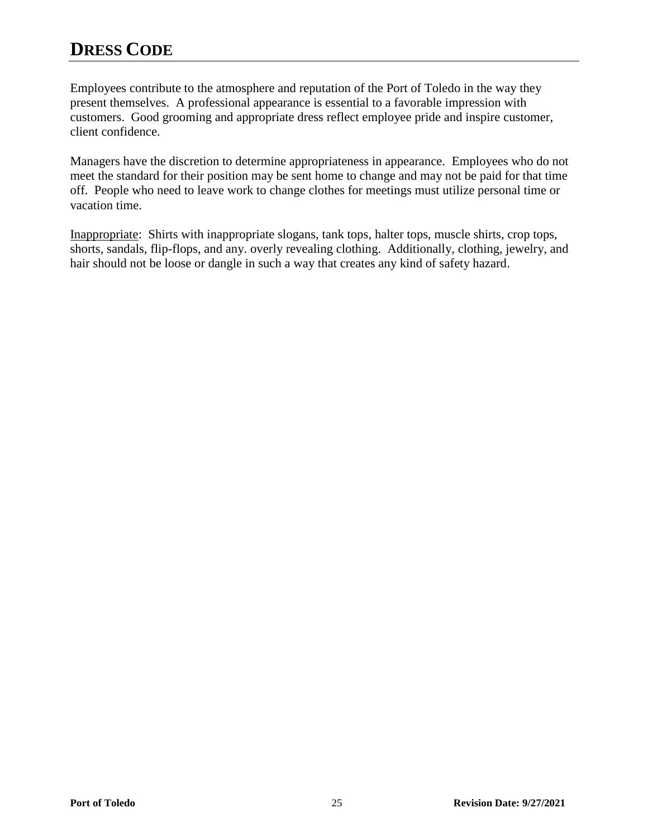## **DRESS CODE**

Employees contribute to the atmosphere and reputation of the Port of Toledo in the way they present themselves. A professional appearance is essential to a favorable impression with customers. Good grooming and appropriate dress reflect employee pride and inspire customer, client confidence.

Managers have the discretion to determine appropriateness in appearance. Employees who do not meet the standard for their position may be sent home to change and may not be paid for that time off. People who need to leave work to change clothes for meetings must utilize personal time or vacation time.

Inappropriate: Shirts with inappropriate slogans, tank tops, halter tops, muscle shirts, crop tops, shorts, sandals, flip-flops, and any. overly revealing clothing. Additionally, clothing, jewelry, and hair should not be loose or dangle in such a way that creates any kind of safety hazard.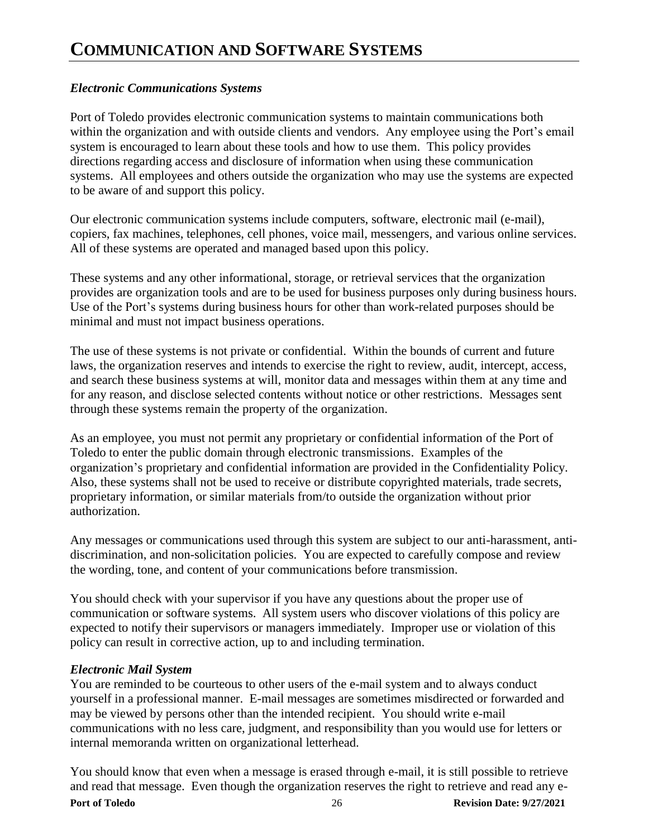#### *Electronic Communications Systems*

Port of Toledo provides electronic communication systems to maintain communications both within the organization and with outside clients and vendors. Any employee using the Port's email system is encouraged to learn about these tools and how to use them. This policy provides directions regarding access and disclosure of information when using these communication systems. All employees and others outside the organization who may use the systems are expected to be aware of and support this policy.

Our electronic communication systems include computers, software, electronic mail (e-mail), copiers, fax machines, telephones, cell phones, voice mail, messengers, and various online services. All of these systems are operated and managed based upon this policy.

These systems and any other informational, storage, or retrieval services that the organization provides are organization tools and are to be used for business purposes only during business hours. Use of the Port's systems during business hours for other than work-related purposes should be minimal and must not impact business operations.

The use of these systems is not private or confidential. Within the bounds of current and future laws, the organization reserves and intends to exercise the right to review, audit, intercept, access, and search these business systems at will, monitor data and messages within them at any time and for any reason, and disclose selected contents without notice or other restrictions. Messages sent through these systems remain the property of the organization.

As an employee, you must not permit any proprietary or confidential information of the Port of Toledo to enter the public domain through electronic transmissions. Examples of the organization's proprietary and confidential information are provided in the Confidentiality Policy. Also, these systems shall not be used to receive or distribute copyrighted materials, trade secrets, proprietary information, or similar materials from/to outside the organization without prior authorization.

Any messages or communications used through this system are subject to our anti-harassment, antidiscrimination, and non-solicitation policies. You are expected to carefully compose and review the wording, tone, and content of your communications before transmission.

You should check with your supervisor if you have any questions about the proper use of communication or software systems. All system users who discover violations of this policy are expected to notify their supervisors or managers immediately. Improper use or violation of this policy can result in corrective action, up to and including termination.

#### *Electronic Mail System*

You are reminded to be courteous to other users of the e-mail system and to always conduct yourself in a professional manner. E-mail messages are sometimes misdirected or forwarded and may be viewed by persons other than the intended recipient. You should write e-mail communications with no less care, judgment, and responsibility than you would use for letters or internal memoranda written on organizational letterhead.

You should know that even when a message is erased through e-mail, it is still possible to retrieve and read that message. Even though the organization reserves the right to retrieve and read any e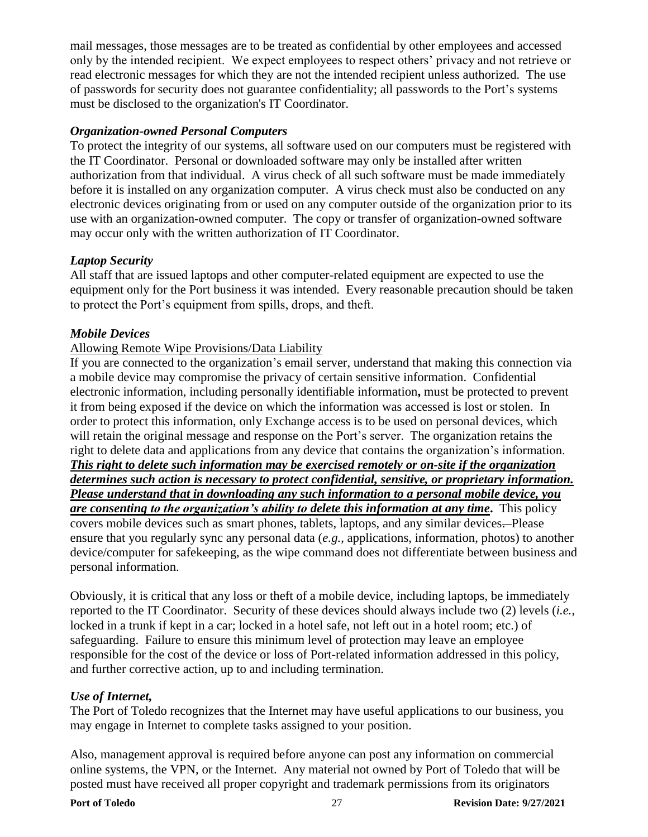mail messages, those messages are to be treated as confidential by other employees and accessed only by the intended recipient. We expect employees to respect others' privacy and not retrieve or read electronic messages for which they are not the intended recipient unless authorized. The use of passwords for security does not guarantee confidentiality; all passwords to the Port's systems must be disclosed to the organization's IT Coordinator.

#### *Organization-owned Personal Computers*

To protect the integrity of our systems, all software used on our computers must be registered with the IT Coordinator. Personal or downloaded software may only be installed after written authorization from that individual. A virus check of all such software must be made immediately before it is installed on any organization computer. A virus check must also be conducted on any electronic devices originating from or used on any computer outside of the organization prior to its use with an organization-owned computer. The copy or transfer of organization-owned software may occur only with the written authorization of IT Coordinator.

#### *Laptop Security*

All staff that are issued laptops and other computer-related equipment are expected to use the equipment only for the Port business it was intended. Every reasonable precaution should be taken to protect the Port's equipment from spills, drops, and theft.

#### *Mobile Devices*

#### Allowing Remote Wipe Provisions/Data Liability

If you are connected to the organization's email server, understand that making this connection via a mobile device may compromise the privacy of certain sensitive information. Confidential electronic information, including personally identifiable information**,** must be protected to prevent it from being exposed if the device on which the information was accessed is lost or stolen. In order to protect this information, only Exchange access is to be used on personal devices, which will retain the original message and response on the Port's server. The organization retains the right to delete data and applications from any device that contains the organization's information. *This right to delete such information may be exercised remotely or on-site if the organization determines such action is necessary to protect confidential, sensitive, or proprietary information. Please understand that in downloading any such information to a personal mobile device, you are consenting to the organization's ability to delete this information at any time***.** This policy covers mobile devices such as smart phones, tablets, laptops, and any similar devices. Please ensure that you regularly sync any personal data (*e.g.*, applications, information, photos) to another

device/computer for safekeeping, as the wipe command does not differentiate between business and personal information.

Obviously, it is critical that any loss or theft of a mobile device, including laptops, be immediately reported to the IT Coordinator. Security of these devices should always include two (2) levels (*i.e.*, locked in a trunk if kept in a car; locked in a hotel safe, not left out in a hotel room; etc.) of safeguarding. Failure to ensure this minimum level of protection may leave an employee responsible for the cost of the device or loss of Port-related information addressed in this policy, and further corrective action, up to and including termination.

#### *Use of Internet,*

The Port of Toledo recognizes that the Internet may have useful applications to our business, you may engage in Internet to complete tasks assigned to your position.

Also, management approval is required before anyone can post any information on commercial online systems, the VPN, or the Internet. Any material not owned by Port of Toledo that will be posted must have received all proper copyright and trademark permissions from its originators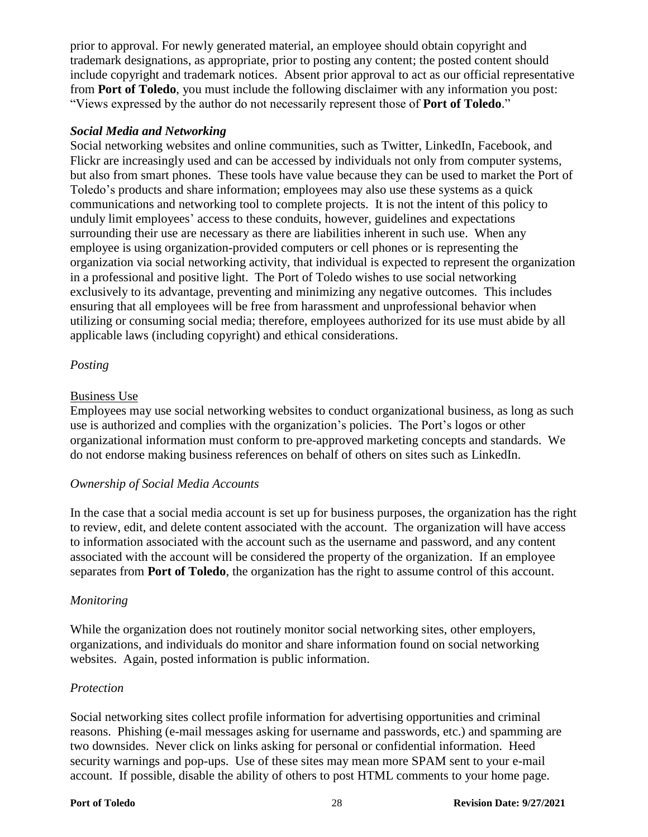prior to approval. For newly generated material, an employee should obtain copyright and trademark designations, as appropriate, prior to posting any content; the posted content should include copyright and trademark notices. Absent prior approval to act as our official representative from **Port of Toledo**, you must include the following disclaimer with any information you post: "Views expressed by the author do not necessarily represent those of **Port of Toledo**."

#### *Social Media and Networking*

Social networking websites and online communities, such as Twitter, LinkedIn, Facebook, and Flickr are increasingly used and can be accessed by individuals not only from computer systems, but also from smart phones. These tools have value because they can be used to market the Port of Toledo's products and share information; employees may also use these systems as a quick communications and networking tool to complete projects. It is not the intent of this policy to unduly limit employees' access to these conduits, however, guidelines and expectations surrounding their use are necessary as there are liabilities inherent in such use. When any employee is using organization-provided computers or cell phones or is representing the organization via social networking activity, that individual is expected to represent the organization in a professional and positive light. The Port of Toledo wishes to use social networking exclusively to its advantage, preventing and minimizing any negative outcomes. This includes ensuring that all employees will be free from harassment and unprofessional behavior when utilizing or consuming social media; therefore, employees authorized for its use must abide by all applicable laws (including copyright) and ethical considerations.

#### *Posting*

#### Business Use

Employees may use social networking websites to conduct organizational business, as long as such use is authorized and complies with the organization's policies. The Port's logos or other organizational information must conform to pre-approved marketing concepts and standards. We do not endorse making business references on behalf of others on sites such as LinkedIn.

#### *Ownership of Social Media Accounts*

In the case that a social media account is set up for business purposes, the organization has the right to review, edit, and delete content associated with the account. The organization will have access to information associated with the account such as the username and password, and any content associated with the account will be considered the property of the organization. If an employee separates from **Port of Toledo**, the organization has the right to assume control of this account.

#### *Monitoring*

While the organization does not routinely monitor social networking sites, other employers, organizations, and individuals do monitor and share information found on social networking websites. Again, posted information is public information.

#### *Protection*

Social networking sites collect profile information for advertising opportunities and criminal reasons. Phishing (e-mail messages asking for username and passwords, etc.) and spamming are two downsides. Never click on links asking for personal or confidential information. Heed security warnings and pop-ups. Use of these sites may mean more SPAM sent to your e-mail account. If possible, disable the ability of others to post HTML comments to your home page.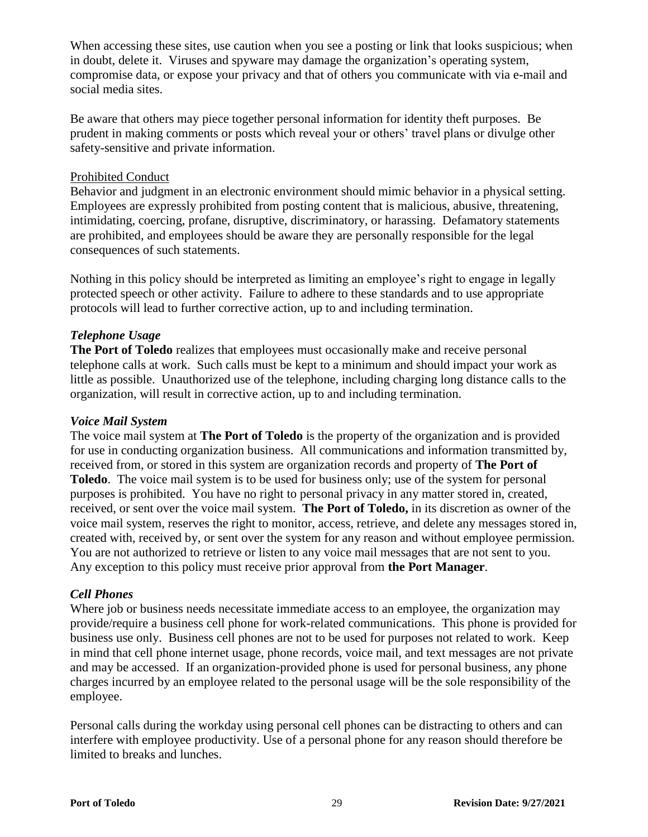When accessing these sites, use caution when you see a posting or link that looks suspicious; when in doubt, delete it. Viruses and spyware may damage the organization's operating system, compromise data, or expose your privacy and that of others you communicate with via e-mail and social media sites.

Be aware that others may piece together personal information for identity theft purposes. Be prudent in making comments or posts which reveal your or others' travel plans or divulge other safety-sensitive and private information.

#### Prohibited Conduct

Behavior and judgment in an electronic environment should mimic behavior in a physical setting. Employees are expressly prohibited from posting content that is malicious, abusive, threatening, intimidating, coercing, profane, disruptive, discriminatory, or harassing. Defamatory statements are prohibited, and employees should be aware they are personally responsible for the legal consequences of such statements.

Nothing in this policy should be interpreted as limiting an employee's right to engage in legally protected speech or other activity. Failure to adhere to these standards and to use appropriate protocols will lead to further corrective action, up to and including termination.

#### *Telephone Usage*

**The Port of Toledo** realizes that employees must occasionally make and receive personal telephone calls at work. Such calls must be kept to a minimum and should impact your work as little as possible. Unauthorized use of the telephone, including charging long distance calls to the organization, will result in corrective action, up to and including termination.

#### *Voice Mail System*

The voice mail system at **The Port of Toledo** is the property of the organization and is provided for use in conducting organization business. All communications and information transmitted by, received from, or stored in this system are organization records and property of **The Port of Toledo**. The voice mail system is to be used for business only; use of the system for personal purposes is prohibited. You have no right to personal privacy in any matter stored in, created, received, or sent over the voice mail system. **The Port of Toledo,** in its discretion as owner of the voice mail system, reserves the right to monitor, access, retrieve, and delete any messages stored in, created with, received by, or sent over the system for any reason and without employee permission. You are not authorized to retrieve or listen to any voice mail messages that are not sent to you. Any exception to this policy must receive prior approval from **the Port Manager**.

#### *Cell Phones*

Where job or business needs necessitate immediate access to an employee, the organization may provide/require a business cell phone for work-related communications. This phone is provided for business use only. Business cell phones are not to be used for purposes not related to work. Keep in mind that cell phone internet usage, phone records, voice mail, and text messages are not private and may be accessed. If an organization-provided phone is used for personal business, any phone charges incurred by an employee related to the personal usage will be the sole responsibility of the employee.

Personal calls during the workday using personal cell phones can be distracting to others and can interfere with employee productivity. Use of a personal phone for any reason should therefore be limited to breaks and lunches.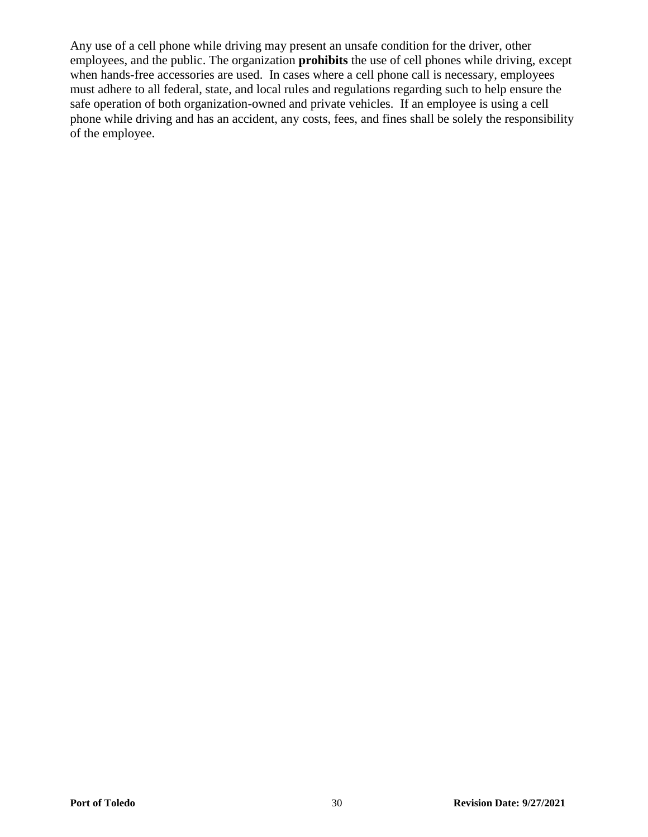Any use of a cell phone while driving may present an unsafe condition for the driver, other employees, and the public. The organization **prohibits** the use of cell phones while driving, except when hands-free accessories are used. In cases where a cell phone call is necessary, employees must adhere to all federal, state, and local rules and regulations regarding such to help ensure the safe operation of both organization-owned and private vehicles. If an employee is using a cell phone while driving and has an accident, any costs, fees, and fines shall be solely the responsibility of the employee.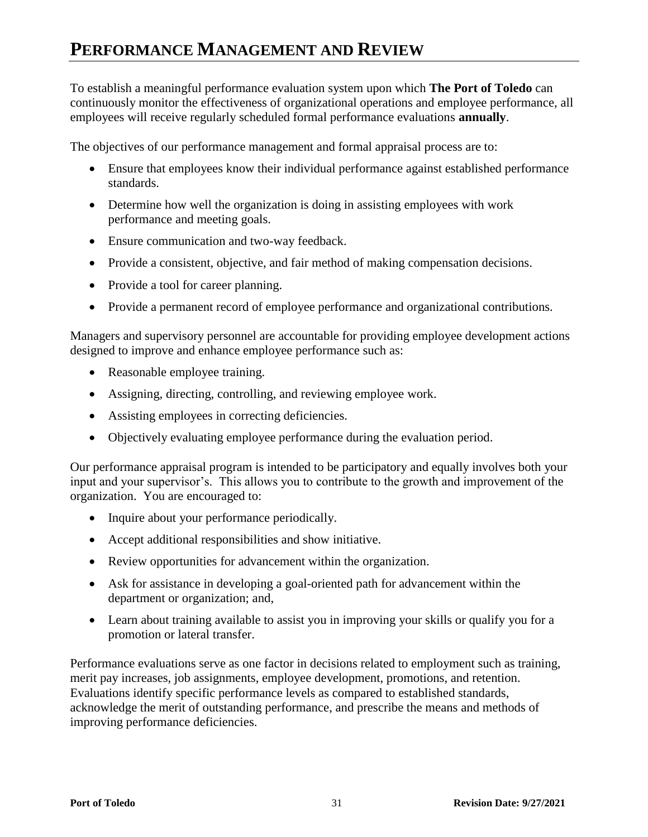## **PERFORMANCE MANAGEMENT AND REVIEW**

To establish a meaningful performance evaluation system upon which **The Port of Toledo** can continuously monitor the effectiveness of organizational operations and employee performance, all employees will receive regularly scheduled formal performance evaluations **annually**.

The objectives of our performance management and formal appraisal process are to:

- Ensure that employees know their individual performance against established performance standards.
- Determine how well the organization is doing in assisting employees with work performance and meeting goals.
- Ensure communication and two-way feedback.
- Provide a consistent, objective, and fair method of making compensation decisions.
- Provide a tool for career planning.
- Provide a permanent record of employee performance and organizational contributions.

Managers and supervisory personnel are accountable for providing employee development actions designed to improve and enhance employee performance such as:

- Reasonable employee training.
- Assigning, directing, controlling, and reviewing employee work.
- Assisting employees in correcting deficiencies.
- Objectively evaluating employee performance during the evaluation period.

Our performance appraisal program is intended to be participatory and equally involves both your input and your supervisor's. This allows you to contribute to the growth and improvement of the organization. You are encouraged to:

- Inquire about your performance periodically.
- Accept additional responsibilities and show initiative.
- Review opportunities for advancement within the organization.
- Ask for assistance in developing a goal-oriented path for advancement within the department or organization; and,
- Learn about training available to assist you in improving your skills or qualify you for a promotion or lateral transfer.

Performance evaluations serve as one factor in decisions related to employment such as training, merit pay increases, job assignments, employee development, promotions, and retention. Evaluations identify specific performance levels as compared to established standards, acknowledge the merit of outstanding performance, and prescribe the means and methods of improving performance deficiencies.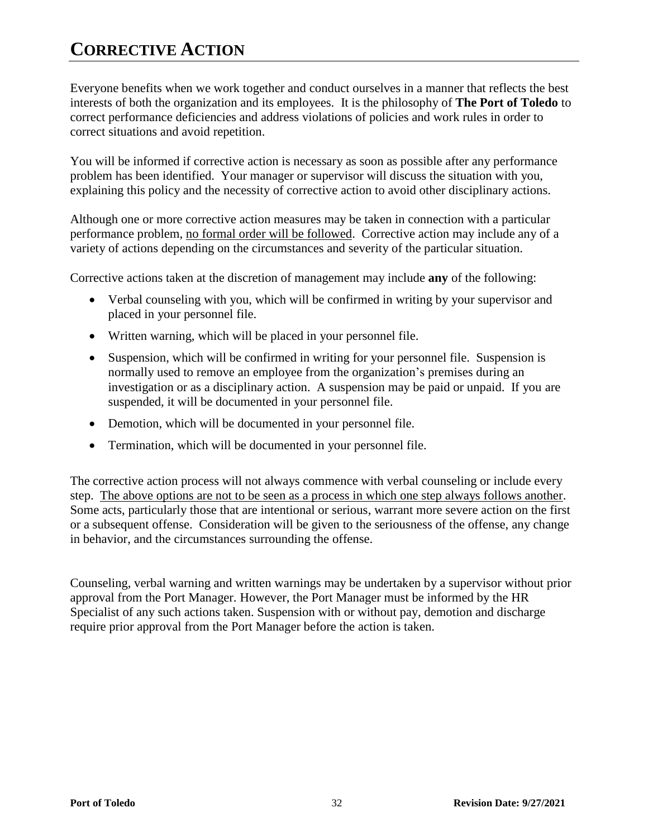## **CORRECTIVE ACTION**

Everyone benefits when we work together and conduct ourselves in a manner that reflects the best interests of both the organization and its employees. It is the philosophy of **The Port of Toledo** to correct performance deficiencies and address violations of policies and work rules in order to correct situations and avoid repetition.

You will be informed if corrective action is necessary as soon as possible after any performance problem has been identified. Your manager or supervisor will discuss the situation with you, explaining this policy and the necessity of corrective action to avoid other disciplinary actions.

Although one or more corrective action measures may be taken in connection with a particular performance problem, no formal order will be followed. Corrective action may include any of a variety of actions depending on the circumstances and severity of the particular situation.

Corrective actions taken at the discretion of management may include **any** of the following:

- Verbal counseling with you, which will be confirmed in writing by your supervisor and placed in your personnel file.
- Written warning, which will be placed in your personnel file.
- Suspension, which will be confirmed in writing for your personnel file. Suspension is normally used to remove an employee from the organization's premises during an investigation or as a disciplinary action. A suspension may be paid or unpaid. If you are suspended, it will be documented in your personnel file.
- Demotion, which will be documented in your personnel file.
- Termination, which will be documented in your personnel file.

The corrective action process will not always commence with verbal counseling or include every step. The above options are not to be seen as a process in which one step always follows another. Some acts, particularly those that are intentional or serious, warrant more severe action on the first or a subsequent offense. Consideration will be given to the seriousness of the offense, any change in behavior, and the circumstances surrounding the offense.

Counseling, verbal warning and written warnings may be undertaken by a supervisor without prior approval from the Port Manager. However, the Port Manager must be informed by the HR Specialist of any such actions taken. Suspension with or without pay, demotion and discharge require prior approval from the Port Manager before the action is taken.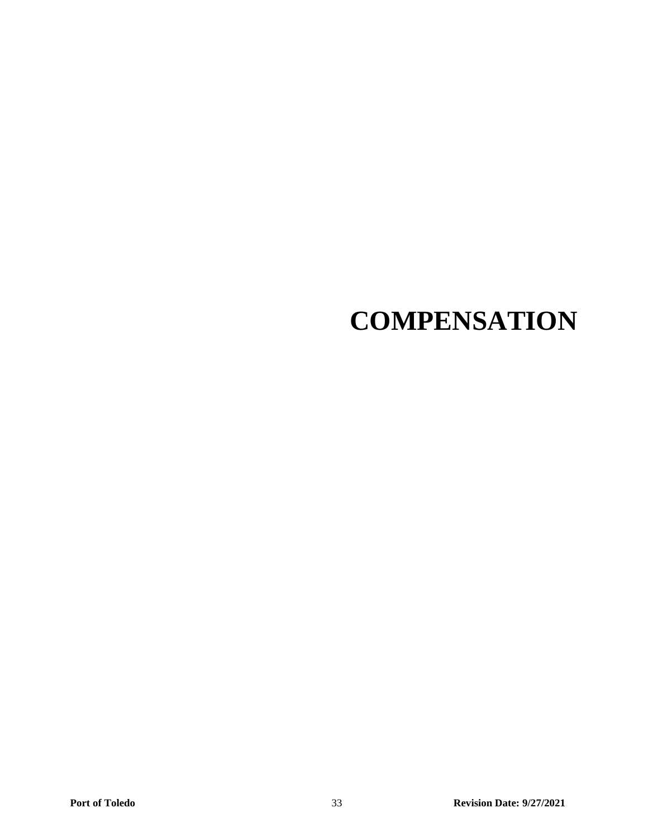# **COMPENSATION**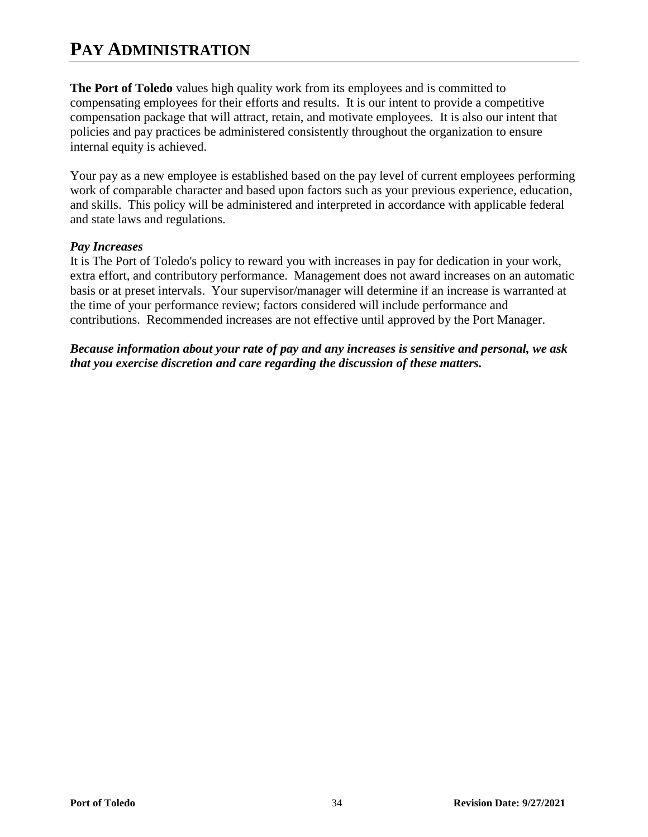## **PAY ADMINISTRATION**

**The Port of Toledo** values high quality work from its employees and is committed to compensating employees for their efforts and results. It is our intent to provide a competitive compensation package that will attract, retain, and motivate employees. It is also our intent that policies and pay practices be administered consistently throughout the organization to ensure internal equity is achieved.

Your pay as a new employee is established based on the pay level of current employees performing work of comparable character and based upon factors such as your previous experience, education, and skills. This policy will be administered and interpreted in accordance with applicable federal and state laws and regulations.

#### *Pay Increases*

It is The Port of Toledo's policy to reward you with increases in pay for dedication in your work, extra effort, and contributory performance. Management does not award increases on an automatic basis or at preset intervals. Your supervisor/manager will determine if an increase is warranted at the time of your performance review; factors considered will include performance and contributions. Recommended increases are not effective until approved by the Port Manager.

*Because information about your rate of pay and any increases is sensitive and personal, we ask that you exercise discretion and care regarding the discussion of these matters.*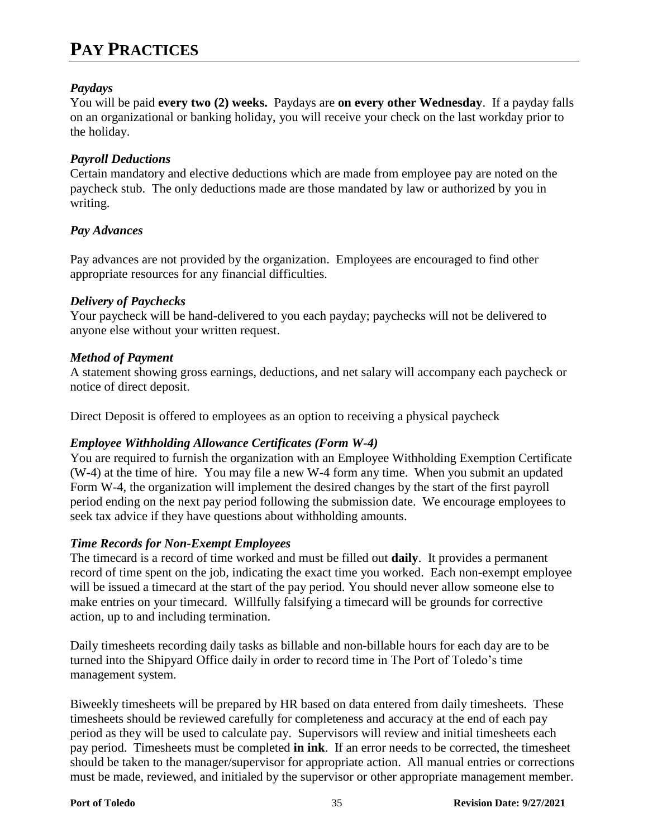## **PAY PRACTICES**

#### *Paydays*

You will be paid **every two (2) weeks.** Paydays are **on every other Wednesday**. If a payday falls on an organizational or banking holiday, you will receive your check on the last workday prior to the holiday.

#### *Payroll Deductions*

Certain mandatory and elective deductions which are made from employee pay are noted on the paycheck stub. The only deductions made are those mandated by law or authorized by you in writing.

#### *Pay Advances*

Pay advances are not provided by the organization. Employees are encouraged to find other appropriate resources for any financial difficulties.

#### *Delivery of Paychecks*

Your paycheck will be hand-delivered to you each payday; paychecks will not be delivered to anyone else without your written request.

#### *Method of Payment*

A statement showing gross earnings, deductions, and net salary will accompany each paycheck or notice of direct deposit.

Direct Deposit is offered to employees as an option to receiving a physical paycheck

#### *Employee Withholding Allowance Certificates (Form W-4)*

You are required to furnish the organization with an Employee Withholding Exemption Certificate (W-4) at the time of hire. You may file a new W-4 form any time. When you submit an updated Form W-4, the organization will implement the desired changes by the start of the first payroll period ending on the next pay period following the submission date. We encourage employees to seek tax advice if they have questions about withholding amounts.

#### *Time Records for Non-Exempt Employees*

The timecard is a record of time worked and must be filled out **daily**. It provides a permanent record of time spent on the job, indicating the exact time you worked. Each non-exempt employee will be issued a timecard at the start of the pay period. You should never allow someone else to make entries on your timecard. Willfully falsifying a timecard will be grounds for corrective action, up to and including termination.

Daily timesheets recording daily tasks as billable and non-billable hours for each day are to be turned into the Shipyard Office daily in order to record time in The Port of Toledo's time management system.

Biweekly timesheets will be prepared by HR based on data entered from daily timesheets. These timesheets should be reviewed carefully for completeness and accuracy at the end of each pay period as they will be used to calculate pay. Supervisors will review and initial timesheets each pay period. Timesheets must be completed **in ink**. If an error needs to be corrected, the timesheet should be taken to the manager/supervisor for appropriate action. All manual entries or corrections must be made, reviewed, and initialed by the supervisor or other appropriate management member.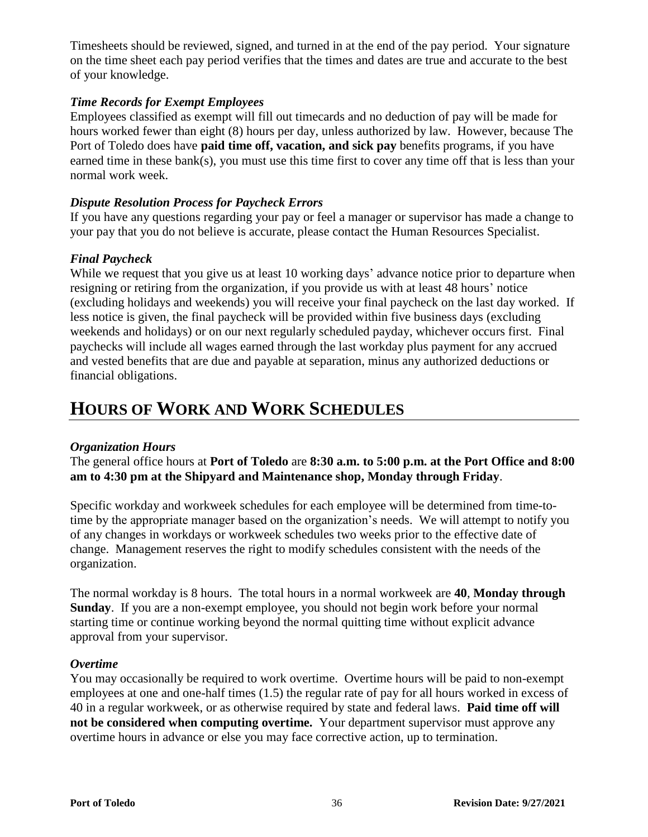Timesheets should be reviewed, signed, and turned in at the end of the pay period. Your signature on the time sheet each pay period verifies that the times and dates are true and accurate to the best of your knowledge.

#### *Time Records for Exempt Employees*

Employees classified as exempt will fill out timecards and no deduction of pay will be made for hours worked fewer than eight (8) hours per day, unless authorized by law. However, because The Port of Toledo does have **paid time off, vacation, and sick pay** benefits programs, if you have earned time in these bank(s), you must use this time first to cover any time off that is less than your normal work week.

#### *Dispute Resolution Process for Paycheck Errors*

If you have any questions regarding your pay or feel a manager or supervisor has made a change to your pay that you do not believe is accurate, please contact the Human Resources Specialist.

### *Final Paycheck*

While we request that you give us at least 10 working days' advance notice prior to departure when resigning or retiring from the organization, if you provide us with at least 48 hours' notice (excluding holidays and weekends) you will receive your final paycheck on the last day worked. If less notice is given, the final paycheck will be provided within five business days (excluding weekends and holidays) or on our next regularly scheduled payday, whichever occurs first. Final paychecks will include all wages earned through the last workday plus payment for any accrued and vested benefits that are due and payable at separation, minus any authorized deductions or financial obligations.

### **HOURS OF WORK AND WORK SCHEDULES**

#### *Organization Hours*

The general office hours at **Port of Toledo** are **8:30 a.m. to 5:00 p.m. at the Port Office and 8:00 am to 4:30 pm at the Shipyard and Maintenance shop, Monday through Friday**.

Specific workday and workweek schedules for each employee will be determined from time-totime by the appropriate manager based on the organization's needs. We will attempt to notify you of any changes in workdays or workweek schedules two weeks prior to the effective date of change. Management reserves the right to modify schedules consistent with the needs of the organization.

The normal workday is 8 hours. The total hours in a normal workweek are **40**, **Monday through Sunday**. If you are a non-exempt employee, you should not begin work before your normal starting time or continue working beyond the normal quitting time without explicit advance approval from your supervisor.

#### *Overtime*

You may occasionally be required to work overtime. Overtime hours will be paid to non-exempt employees at one and one-half times (1.5) the regular rate of pay for all hours worked in excess of 40 in a regular workweek, or as otherwise required by state and federal laws. **Paid time off will not be considered when computing overtime.** Your department supervisor must approve any overtime hours in advance or else you may face corrective action, up to termination.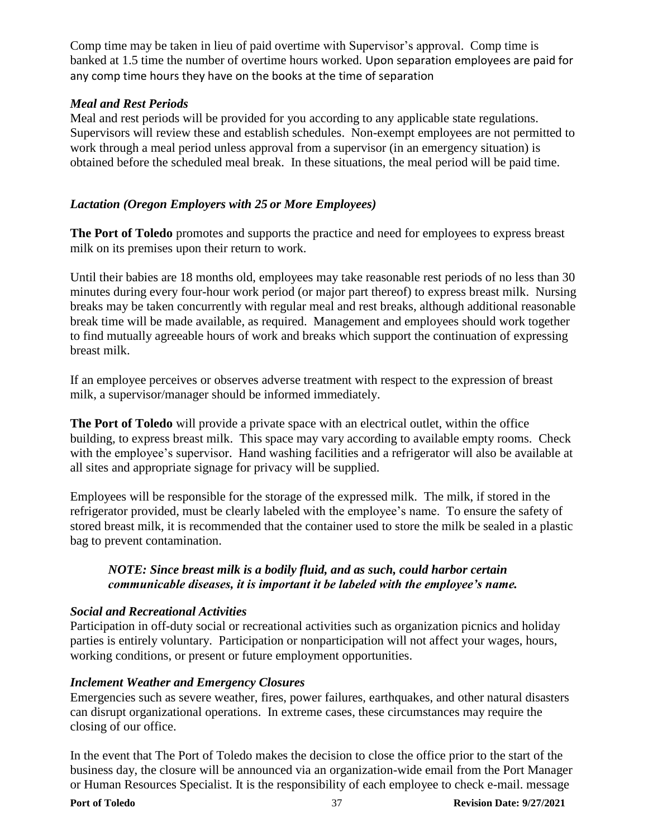Comp time may be taken in lieu of paid overtime with Supervisor's approval. Comp time is banked at 1.5 time the number of overtime hours worked. Upon separation employees are paid for any comp time hours they have on the books at the time of separation

#### *Meal and Rest Periods*

Meal and rest periods will be provided for you according to any applicable state regulations. Supervisors will review these and establish schedules. Non-exempt employees are not permitted to work through a meal period unless approval from a supervisor (in an emergency situation) is obtained before the scheduled meal break. In these situations, the meal period will be paid time.

#### *Lactation (Oregon Employers with 25 or More Employees)*

**The Port of Toledo** promotes and supports the practice and need for employees to express breast milk on its premises upon their return to work.

Until their babies are 18 months old, employees may take reasonable rest periods of no less than 30 minutes during every four-hour work period (or major part thereof) to express breast milk. Nursing breaks may be taken concurrently with regular meal and rest breaks, although additional reasonable break time will be made available, as required. Management and employees should work together to find mutually agreeable hours of work and breaks which support the continuation of expressing breast milk.

If an employee perceives or observes adverse treatment with respect to the expression of breast milk, a supervisor/manager should be informed immediately.

**The Port of Toledo** will provide a private space with an electrical outlet, within the office building, to express breast milk. This space may vary according to available empty rooms. Check with the employee's supervisor. Hand washing facilities and a refrigerator will also be available at all sites and appropriate signage for privacy will be supplied.

Employees will be responsible for the storage of the expressed milk. The milk, if stored in the refrigerator provided, must be clearly labeled with the employee's name. To ensure the safety of stored breast milk, it is recommended that the container used to store the milk be sealed in a plastic bag to prevent contamination.

#### *NOTE: Since breast milk is a bodily fluid, and as such, could harbor certain communicable diseases, it is important it be labeled with the employee's name.*

#### *Social and Recreational Activities*

Participation in off-duty social or recreational activities such as organization picnics and holiday parties is entirely voluntary. Participation or nonparticipation will not affect your wages, hours, working conditions, or present or future employment opportunities.

#### *Inclement Weather and Emergency Closures*

Emergencies such as severe weather, fires, power failures, earthquakes, and other natural disasters can disrupt organizational operations. In extreme cases, these circumstances may require the closing of our office.

In the event that The Port of Toledo makes the decision to close the office prior to the start of the business day, the closure will be announced via an organization-wide email from the Port Manager or Human Resources Specialist. It is the responsibility of each employee to check e-mail. message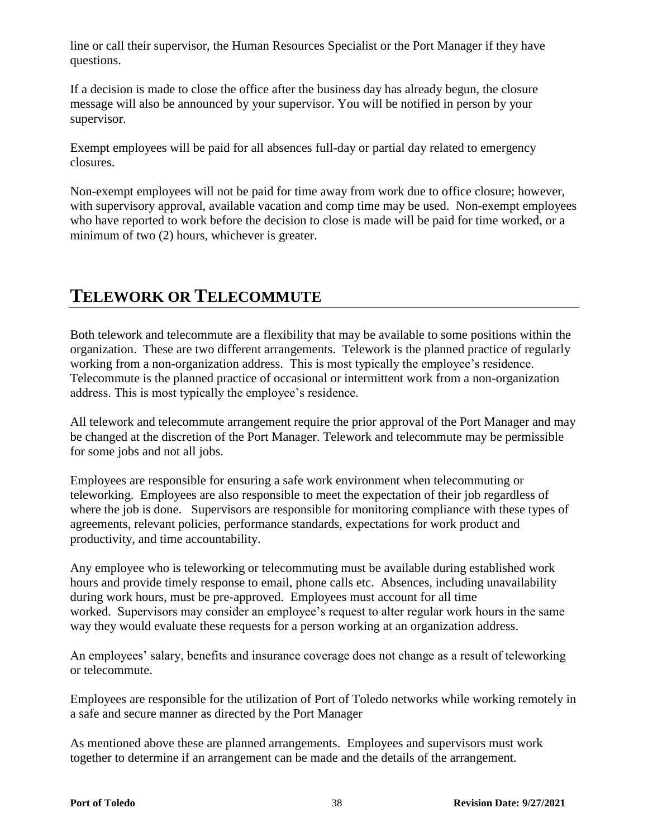line or call their supervisor, the Human Resources Specialist or the Port Manager if they have questions.

If a decision is made to close the office after the business day has already begun, the closure message will also be announced by your supervisor. You will be notified in person by your supervisor.

Exempt employees will be paid for all absences full-day or partial day related to emergency closures.

Non-exempt employees will not be paid for time away from work due to office closure; however, with supervisory approval, available vacation and comp time may be used. Non-exempt employees who have reported to work before the decision to close is made will be paid for time worked, or a minimum of two (2) hours, whichever is greater.

## **TELEWORK OR TELECOMMUTE**

Both telework and telecommute are a flexibility that may be available to some positions within the organization. These are two different arrangements. Telework is the planned practice of regularly working from a non-organization address. This is most typically the employee's residence. Telecommute is the planned practice of occasional or intermittent work from a non-organization address. This is most typically the employee's residence.

All telework and telecommute arrangement require the prior approval of the Port Manager and may be changed at the discretion of the Port Manager. Telework and telecommute may be permissible for some jobs and not all jobs.

Employees are responsible for ensuring a safe work environment when telecommuting or teleworking. Employees are also responsible to meet the expectation of their job regardless of where the job is done. Supervisors are responsible for monitoring compliance with these types of agreements, relevant policies, performance standards, expectations for work product and productivity, and time accountability.

Any employee who is teleworking or telecommuting must be available during established work hours and provide timely response to email, phone calls etc. Absences, including unavailability during work hours, must be pre-approved. Employees must account for all time worked. Supervisors may consider an employee's request to alter regular work hours in the same way they would evaluate these requests for a person working at an organization address.

An employees' salary, benefits and insurance coverage does not change as a result of teleworking or telecommute.

Employees are responsible for the utilization of Port of Toledo networks while working remotely in a safe and secure manner as directed by the Port Manager

As mentioned above these are planned arrangements. Employees and supervisors must work together to determine if an arrangement can be made and the details of the arrangement.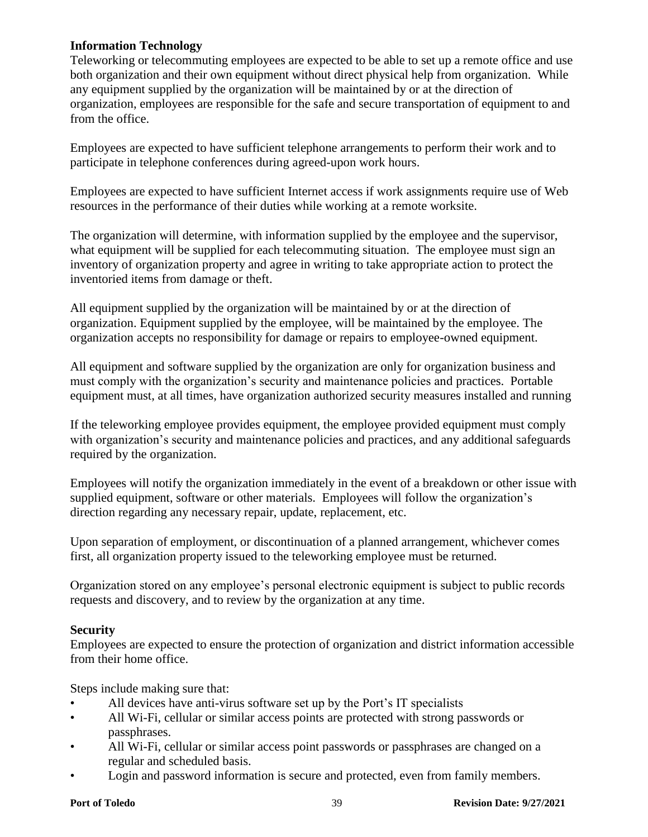#### **Information Technology**

Teleworking or telecommuting employees are expected to be able to set up a remote office and use both organization and their own equipment without direct physical help from organization. While any equipment supplied by the organization will be maintained by or at the direction of organization, employees are responsible for the safe and secure transportation of equipment to and from the office.

Employees are expected to have sufficient telephone arrangements to perform their work and to participate in telephone conferences during agreed-upon work hours.

Employees are expected to have sufficient Internet access if work assignments require use of Web resources in the performance of their duties while working at a remote worksite.

The organization will determine, with information supplied by the employee and the supervisor, what equipment will be supplied for each telecommuting situation. The employee must sign an inventory of organization property and agree in writing to take appropriate action to protect the inventoried items from damage or theft.

All equipment supplied by the organization will be maintained by or at the direction of organization. Equipment supplied by the employee, will be maintained by the employee. The organization accepts no responsibility for damage or repairs to employee-owned equipment.

All equipment and software supplied by the organization are only for organization business and must comply with the organization's security and maintenance policies and practices. Portable equipment must, at all times, have organization authorized security measures installed and running

If the teleworking employee provides equipment, the employee provided equipment must comply with organization's security and maintenance policies and practices, and any additional safeguards required by the organization.

Employees will notify the organization immediately in the event of a breakdown or other issue with supplied equipment, software or other materials. Employees will follow the organization's direction regarding any necessary repair, update, replacement, etc.

Upon separation of employment, or discontinuation of a planned arrangement, whichever comes first, all organization property issued to the teleworking employee must be returned.

Organization stored on any employee's personal electronic equipment is subject to public records requests and discovery, and to review by the organization at any time.

#### **Security**

Employees are expected to ensure the protection of organization and district information accessible from their home office.

Steps include making sure that:

- All devices have anti-virus software set up by the Port's IT specialists
- All Wi-Fi, cellular or similar access points are protected with strong passwords or passphrases.
- All Wi-Fi, cellular or similar access point passwords or passphrases are changed on a regular and scheduled basis.
- Login and password information is secure and protected, even from family members.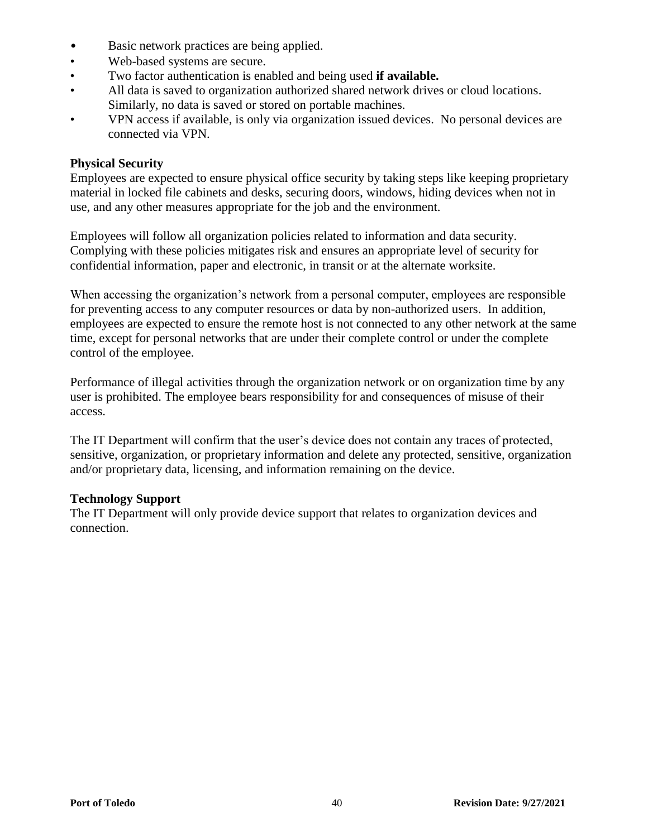- Basic network practices are being applied.
- Web-based systems are secure.
- Two factor authentication is enabled and being used **if available.**
- All data is saved to organization authorized shared network drives or cloud locations. Similarly, no data is saved or stored on portable machines.
- VPN access if available, is only via organization issued devices. No personal devices are connected via VPN.

#### **Physical Security**

Employees are expected to ensure physical office security by taking steps like keeping proprietary material in locked file cabinets and desks, securing doors, windows, hiding devices when not in use, and any other measures appropriate for the job and the environment.

Employees will follow all organization policies related to information and data security. Complying with these policies mitigates risk and ensures an appropriate level of security for confidential information, paper and electronic, in transit or at the alternate worksite.

When accessing the organization's network from a personal computer, employees are responsible for preventing access to any computer resources or data by non-authorized users. In addition, employees are expected to ensure the remote host is not connected to any other network at the same time, except for personal networks that are under their complete control or under the complete control of the employee.

Performance of illegal activities through the organization network or on organization time by any user is prohibited. The employee bears responsibility for and consequences of misuse of their access.

The IT Department will confirm that the user's device does not contain any traces of protected, sensitive, organization, or proprietary information and delete any protected, sensitive, organization and/or proprietary data, licensing, and information remaining on the device.

#### **Technology Support**

The IT Department will only provide device support that relates to organization devices and connection.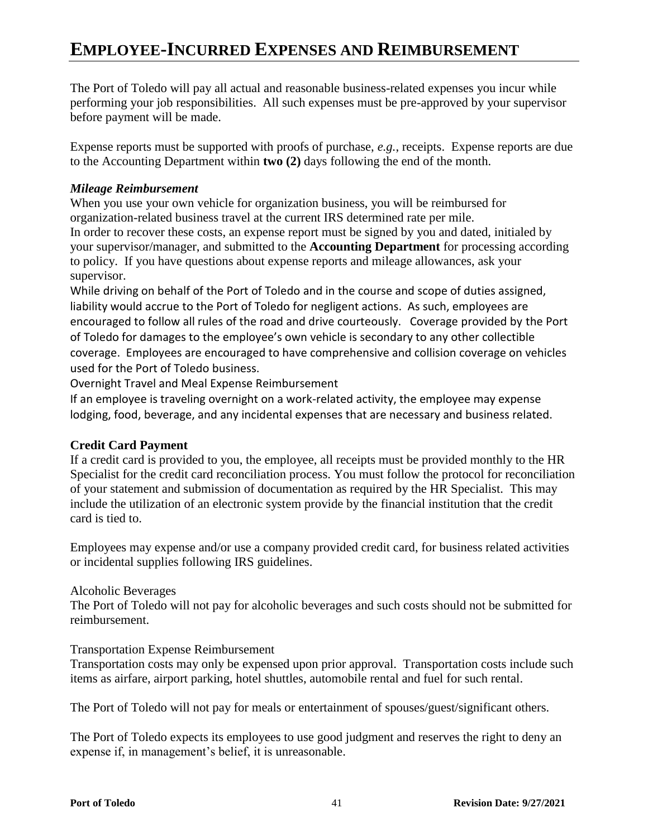## **EMPLOYEE-INCURRED EXPENSES AND REIMBURSEMENT**

The Port of Toledo will pay all actual and reasonable business-related expenses you incur while performing your job responsibilities. All such expenses must be pre-approved by your supervisor before payment will be made.

Expense reports must be supported with proofs of purchase, *e.g.*, receipts. Expense reports are due to the Accounting Department within **two (2)** days following the end of the month.

#### *Mileage Reimbursement*

When you use your own vehicle for organization business, you will be reimbursed for organization-related business travel at the current IRS determined rate per mile. In order to recover these costs, an expense report must be signed by you and dated, initialed by your supervisor/manager, and submitted to the **Accounting Department** for processing according to policy. If you have questions about expense reports and mileage allowances, ask your supervisor.

While driving on behalf of the Port of Toledo and in the course and scope of duties assigned, liability would accrue to the Port of Toledo for negligent actions. As such, employees are encouraged to follow all rules of the road and drive courteously. Coverage provided by the Port of Toledo for damages to the employee's own vehicle is secondary to any other collectible coverage. Employees are encouraged to have comprehensive and collision coverage on vehicles used for the Port of Toledo business.

Overnight Travel and Meal Expense Reimbursement

If an employee is traveling overnight on a work-related activity, the employee may expense lodging, food, beverage, and any incidental expenses that are necessary and business related.

#### **Credit Card Payment**

If a credit card is provided to you, the employee, all receipts must be provided monthly to the HR Specialist for the credit card reconciliation process. You must follow the protocol for reconciliation of your statement and submission of documentation as required by the HR Specialist. This may include the utilization of an electronic system provide by the financial institution that the credit card is tied to.

Employees may expense and/or use a company provided credit card, for business related activities or incidental supplies following IRS guidelines.

#### Alcoholic Beverages

The Port of Toledo will not pay for alcoholic beverages and such costs should not be submitted for reimbursement.

#### Transportation Expense Reimbursement

Transportation costs may only be expensed upon prior approval. Transportation costs include such items as airfare, airport parking, hotel shuttles, automobile rental and fuel for such rental.

The Port of Toledo will not pay for meals or entertainment of spouses/guest/significant others.

The Port of Toledo expects its employees to use good judgment and reserves the right to deny an expense if, in management's belief, it is unreasonable.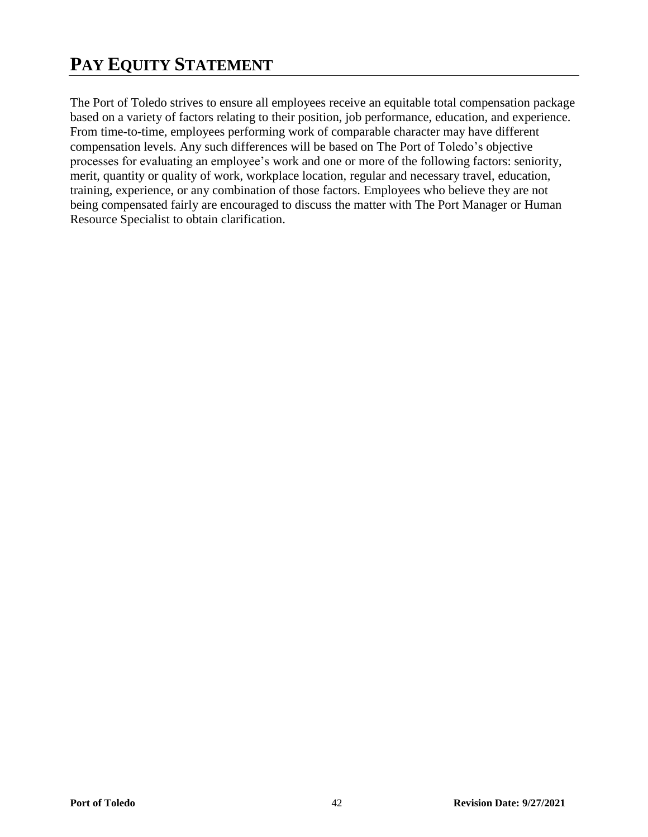## **PAY EQUITY STATEMENT**

The Port of Toledo strives to ensure all employees receive an equitable total compensation package based on a variety of factors relating to their position, job performance, education, and experience. From time-to-time, employees performing work of comparable character may have different compensation levels. Any such differences will be based on The Port of Toledo's objective processes for evaluating an employee's work and one or more of the following factors: seniority, merit, quantity or quality of work, workplace location, regular and necessary travel, education, training, experience, or any combination of those factors. Employees who believe they are not being compensated fairly are encouraged to discuss the matter with The Port Manager or Human Resource Specialist to obtain clarification.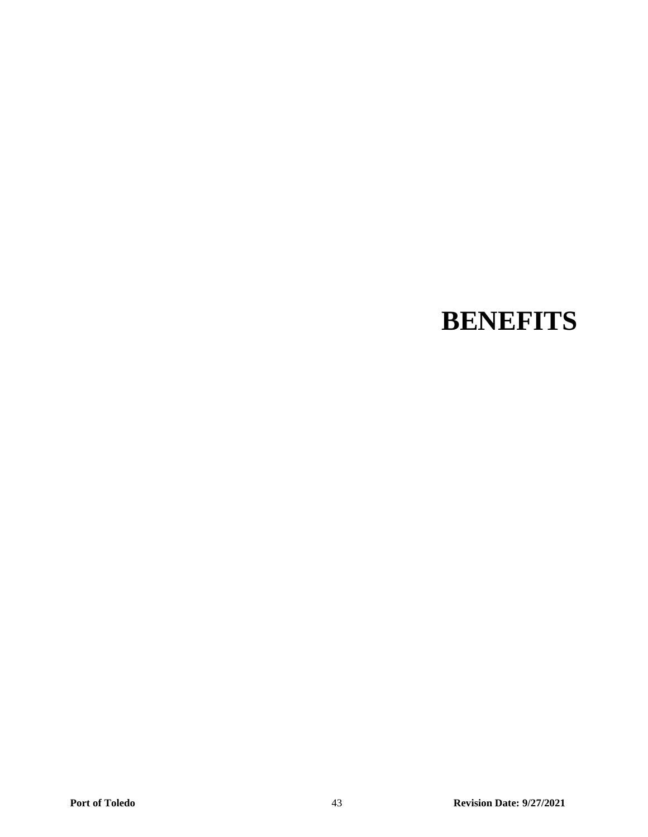## **BENEFITS**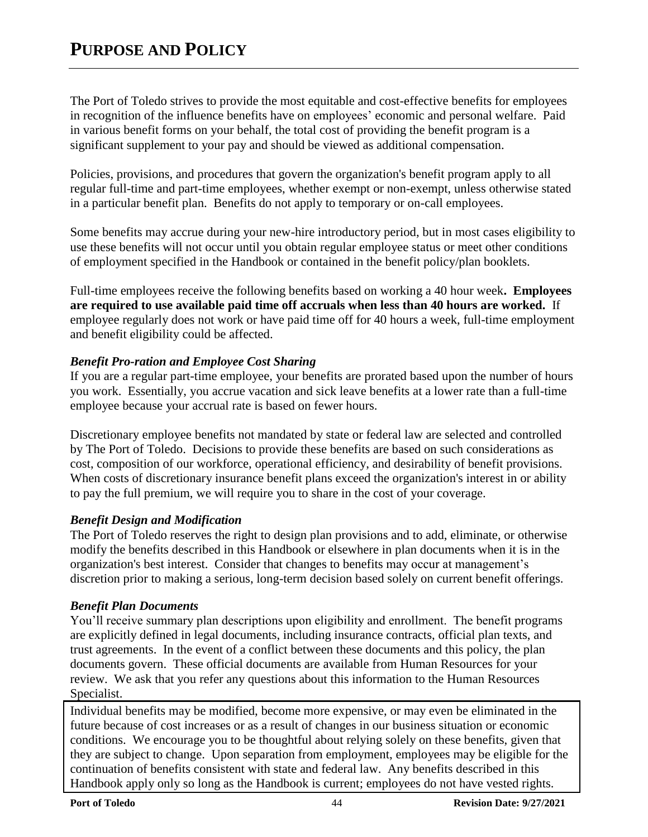The Port of Toledo strives to provide the most equitable and cost-effective benefits for employees in recognition of the influence benefits have on employees' economic and personal welfare. Paid in various benefit forms on your behalf, the total cost of providing the benefit program is a significant supplement to your pay and should be viewed as additional compensation.

Policies, provisions, and procedures that govern the organization's benefit program apply to all regular full-time and part-time employees, whether exempt or non-exempt, unless otherwise stated in a particular benefit plan. Benefits do not apply to temporary or on-call employees.

Some benefits may accrue during your new-hire introductory period, but in most cases eligibility to use these benefits will not occur until you obtain regular employee status or meet other conditions of employment specified in the Handbook or contained in the benefit policy/plan booklets.

Full-time employees receive the following benefits based on working a 40 hour week**. Employees are required to use available paid time off accruals when less than 40 hours are worked.** If employee regularly does not work or have paid time off for 40 hours a week, full-time employment and benefit eligibility could be affected.

#### *Benefit Pro-ration and Employee Cost Sharing*

If you are a regular part-time employee, your benefits are prorated based upon the number of hours you work. Essentially, you accrue vacation and sick leave benefits at a lower rate than a full-time employee because your accrual rate is based on fewer hours.

Discretionary employee benefits not mandated by state or federal law are selected and controlled by The Port of Toledo. Decisions to provide these benefits are based on such considerations as cost, composition of our workforce, operational efficiency, and desirability of benefit provisions. When costs of discretionary insurance benefit plans exceed the organization's interest in or ability to pay the full premium, we will require you to share in the cost of your coverage.

#### *Benefit Design and Modification*

The Port of Toledo reserves the right to design plan provisions and to add, eliminate, or otherwise modify the benefits described in this Handbook or elsewhere in plan documents when it is in the organization's best interest. Consider that changes to benefits may occur at management's discretion prior to making a serious, long-term decision based solely on current benefit offerings.

#### *Benefit Plan Documents*

You'll receive summary plan descriptions upon eligibility and enrollment. The benefit programs are explicitly defined in legal documents, including insurance contracts, official plan texts, and trust agreements. In the event of a conflict between these documents and this policy, the plan documents govern. These official documents are available from Human Resources for your review. We ask that you refer any questions about this information to the Human Resources Specialist.

Individual benefits may be modified, become more expensive, or may even be eliminated in the future because of cost increases or as a result of changes in our business situation or economic conditions. We encourage you to be thoughtful about relying solely on these benefits, given that they are subject to change. Upon separation from employment, employees may be eligible for the continuation of benefits consistent with state and federal law. Any benefits described in this Handbook apply only so long as the Handbook is current; employees do not have vested rights.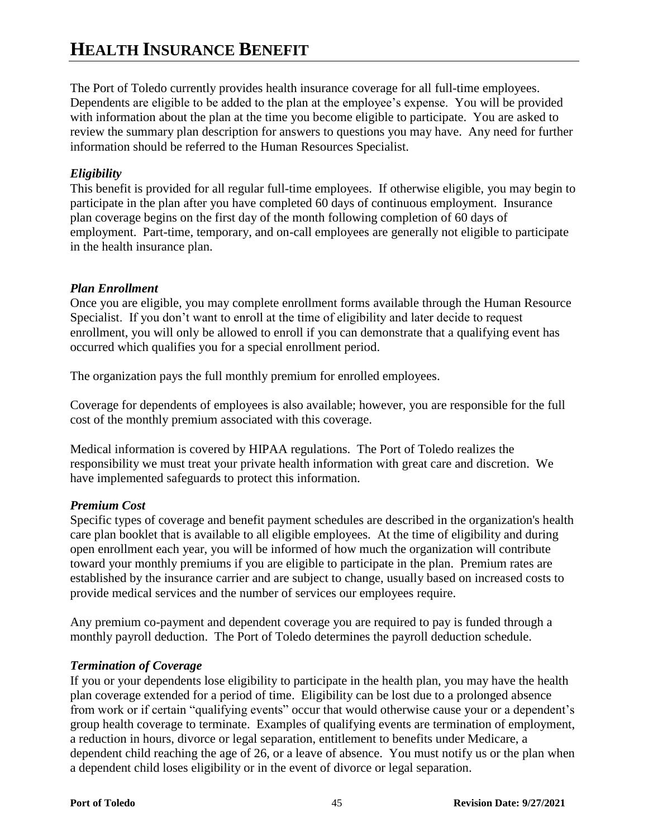## **HEALTH INSURANCE BENEFIT**

The Port of Toledo currently provides health insurance coverage for all full-time employees. Dependents are eligible to be added to the plan at the employee's expense. You will be provided with information about the plan at the time you become eligible to participate. You are asked to review the summary plan description for answers to questions you may have. Any need for further information should be referred to the Human Resources Specialist.

#### *Eligibility*

This benefit is provided for all regular full-time employees. If otherwise eligible, you may begin to participate in the plan after you have completed 60 days of continuous employment. Insurance plan coverage begins on the first day of the month following completion of 60 days of employment. Part-time, temporary, and on-call employees are generally not eligible to participate in the health insurance plan.

#### *Plan Enrollment*

Once you are eligible, you may complete enrollment forms available through the Human Resource Specialist. If you don't want to enroll at the time of eligibility and later decide to request enrollment, you will only be allowed to enroll if you can demonstrate that a qualifying event has occurred which qualifies you for a special enrollment period.

The organization pays the full monthly premium for enrolled employees.

Coverage for dependents of employees is also available; however, you are responsible for the full cost of the monthly premium associated with this coverage.

Medical information is covered by HIPAA regulations. The Port of Toledo realizes the responsibility we must treat your private health information with great care and discretion. We have implemented safeguards to protect this information.

#### *Premium Cost*

Specific types of coverage and benefit payment schedules are described in the organization's health care plan booklet that is available to all eligible employees. At the time of eligibility and during open enrollment each year, you will be informed of how much the organization will contribute toward your monthly premiums if you are eligible to participate in the plan. Premium rates are established by the insurance carrier and are subject to change, usually based on increased costs to provide medical services and the number of services our employees require.

Any premium co-payment and dependent coverage you are required to pay is funded through a monthly payroll deduction. The Port of Toledo determines the payroll deduction schedule.

#### *Termination of Coverage*

If you or your dependents lose eligibility to participate in the health plan, you may have the health plan coverage extended for a period of time. Eligibility can be lost due to a prolonged absence from work or if certain "qualifying events" occur that would otherwise cause your or a dependent's group health coverage to terminate. Examples of qualifying events are termination of employment, a reduction in hours, divorce or legal separation, entitlement to benefits under Medicare, a dependent child reaching the age of 26, or a leave of absence. You must notify us or the plan when a dependent child loses eligibility or in the event of divorce or legal separation.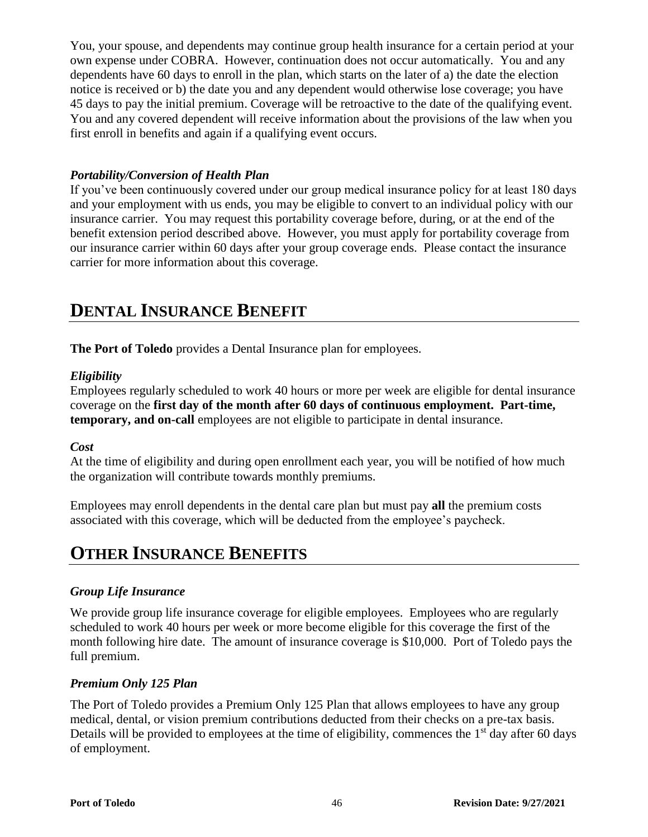You, your spouse, and dependents may continue group health insurance for a certain period at your own expense under COBRA. However, continuation does not occur automatically. You and any dependents have 60 days to enroll in the plan, which starts on the later of a) the date the election notice is received or b) the date you and any dependent would otherwise lose coverage; you have 45 days to pay the initial premium. Coverage will be retroactive to the date of the qualifying event. You and any covered dependent will receive information about the provisions of the law when you first enroll in benefits and again if a qualifying event occurs.

#### *Portability/Conversion of Health Plan*

If you've been continuously covered under our group medical insurance policy for at least 180 days and your employment with us ends, you may be eligible to convert to an individual policy with our insurance carrier. You may request this portability coverage before, during, or at the end of the benefit extension period described above. However, you must apply for portability coverage from our insurance carrier within 60 days after your group coverage ends. Please contact the insurance carrier for more information about this coverage.

## **DENTAL INSURANCE BENEFIT**

**The Port of Toledo** provides a Dental Insurance plan for employees.

#### *Eligibility*

Employees regularly scheduled to work 40 hours or more per week are eligible for dental insurance coverage on the **first day of the month after 60 days of continuous employment. Part-time, temporary, and on-call** employees are not eligible to participate in dental insurance.

#### *Cost*

At the time of eligibility and during open enrollment each year, you will be notified of how much the organization will contribute towards monthly premiums.

Employees may enroll dependents in the dental care plan but must pay **all** the premium costs associated with this coverage, which will be deducted from the employee's paycheck.

## **OTHER INSURANCE BENEFITS**

### *Group Life Insurance*

We provide group life insurance coverage for eligible employees. Employees who are regularly scheduled to work 40 hours per week or more become eligible for this coverage the first of the month following hire date. The amount of insurance coverage is \$10,000. Port of Toledo pays the full premium.

#### *Premium Only 125 Plan*

The Port of Toledo provides a Premium Only 125 Plan that allows employees to have any group medical, dental, or vision premium contributions deducted from their checks on a pre-tax basis. Details will be provided to employees at the time of eligibility, commences the 1<sup>st</sup> day after 60 days of employment.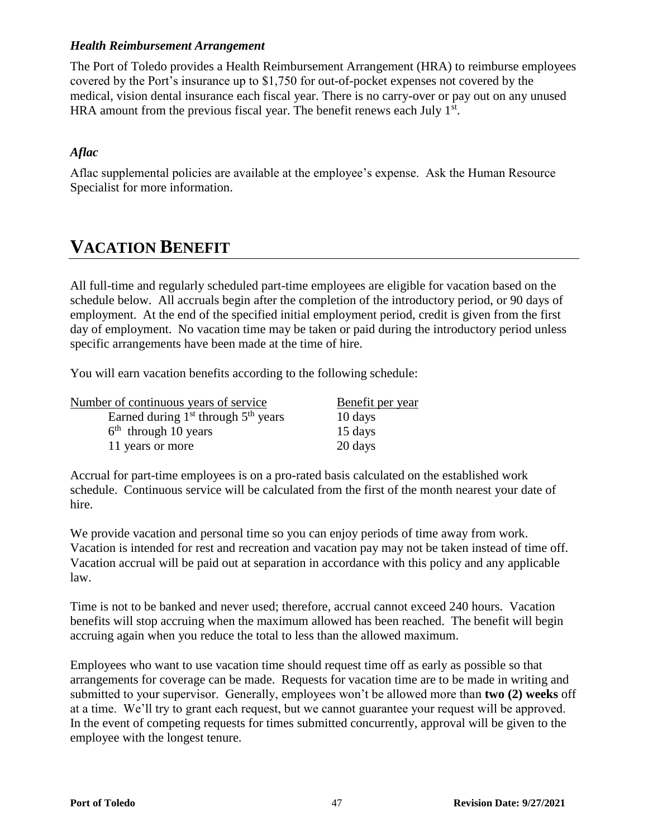#### *Health Reimbursement Arrangement*

The Port of Toledo provides a Health Reimbursement Arrangement (HRA) to reimburse employees covered by the Port's insurance up to \$1,750 for out-of-pocket expenses not covered by the medical, vision dental insurance each fiscal year. There is no carry-over or pay out on any unused HRA amount from the previous fiscal year. The benefit renews each July  $1<sup>st</sup>$ .

#### *Aflac*

Aflac supplemental policies are available at the employee's expense. Ask the Human Resource Specialist for more information.

## **VACATION BENEFIT**

All full-time and regularly scheduled part-time employees are eligible for vacation based on the schedule below. All accruals begin after the completion of the introductory period, or 90 days of employment. At the end of the specified initial employment period, credit is given from the first day of employment. No vacation time may be taken or paid during the introductory period unless specific arrangements have been made at the time of hire.

You will earn vacation benefits according to the following schedule:

| Number of continuous years of service   | Benefit per year |  |
|-----------------------------------------|------------------|--|
| Earned during $1st$ through $5th$ years | 10 days          |  |
| $6th$ through 10 years                  | 15 days          |  |
| 11 years or more                        | 20 days          |  |

Accrual for part-time employees is on a pro-rated basis calculated on the established work schedule. Continuous service will be calculated from the first of the month nearest your date of hire.

We provide vacation and personal time so you can enjoy periods of time away from work. Vacation is intended for rest and recreation and vacation pay may not be taken instead of time off. Vacation accrual will be paid out at separation in accordance with this policy and any applicable law.

Time is not to be banked and never used; therefore, accrual cannot exceed 240 hours. Vacation benefits will stop accruing when the maximum allowed has been reached. The benefit will begin accruing again when you reduce the total to less than the allowed maximum.

Employees who want to use vacation time should request time off as early as possible so that arrangements for coverage can be made. Requests for vacation time are to be made in writing and submitted to your supervisor. Generally, employees won't be allowed more than **two (2) weeks** off at a time. We'll try to grant each request, but we cannot guarantee your request will be approved. In the event of competing requests for times submitted concurrently, approval will be given to the employee with the longest tenure.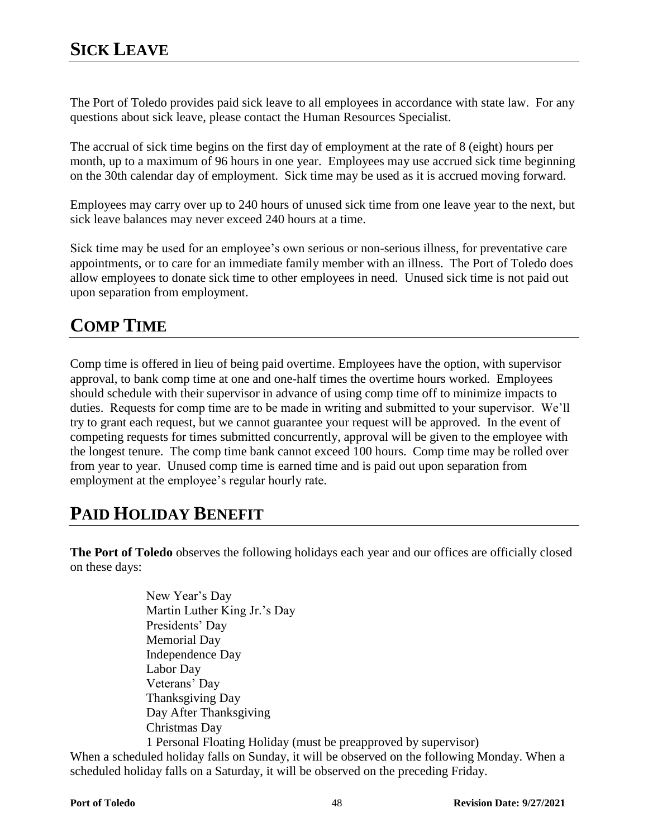The Port of Toledo provides paid sick leave to all employees in accordance with state law. For any questions about sick leave, please contact the Human Resources Specialist.

The accrual of sick time begins on the first day of employment at the rate of 8 (eight) hours per month, up to a maximum of 96 hours in one year. Employees may use accrued sick time beginning on the 30th calendar day of employment. Sick time may be used as it is accrued moving forward.

Employees may carry over up to 240 hours of unused sick time from one leave year to the next, but sick leave balances may never exceed 240 hours at a time.

Sick time may be used for an employee's own serious or non-serious illness, for preventative care appointments, or to care for an immediate family member with an illness. The Port of Toledo does allow employees to donate sick time to other employees in need. Unused sick time is not paid out upon separation from employment.

## **COMP TIME**

Comp time is offered in lieu of being paid overtime. Employees have the option, with supervisor approval, to bank comp time at one and one-half times the overtime hours worked. Employees should schedule with their supervisor in advance of using comp time off to minimize impacts to duties. Requests for comp time are to be made in writing and submitted to your supervisor. We'll try to grant each request, but we cannot guarantee your request will be approved. In the event of competing requests for times submitted concurrently, approval will be given to the employee with the longest tenure. The comp time bank cannot exceed 100 hours. Comp time may be rolled over from year to year. Unused comp time is earned time and is paid out upon separation from employment at the employee's regular hourly rate.

## **PAID HOLIDAY BENEFIT**

The Port of Toledo observes the following holidays each year and our offices are officially closed on these days:

> New Year's Day Martin Luther King Jr.'s Day Presidents' Day Memorial Day Independence Day Labor Day Veterans' Day Thanksgiving Day Day After Thanksgiving Christmas Day 1 Personal Floating Holiday (must be preapproved by supervisor)

When a scheduled holiday falls on Sunday, it will be observed on the following Monday. When a scheduled holiday falls on a Saturday, it will be observed on the preceding Friday.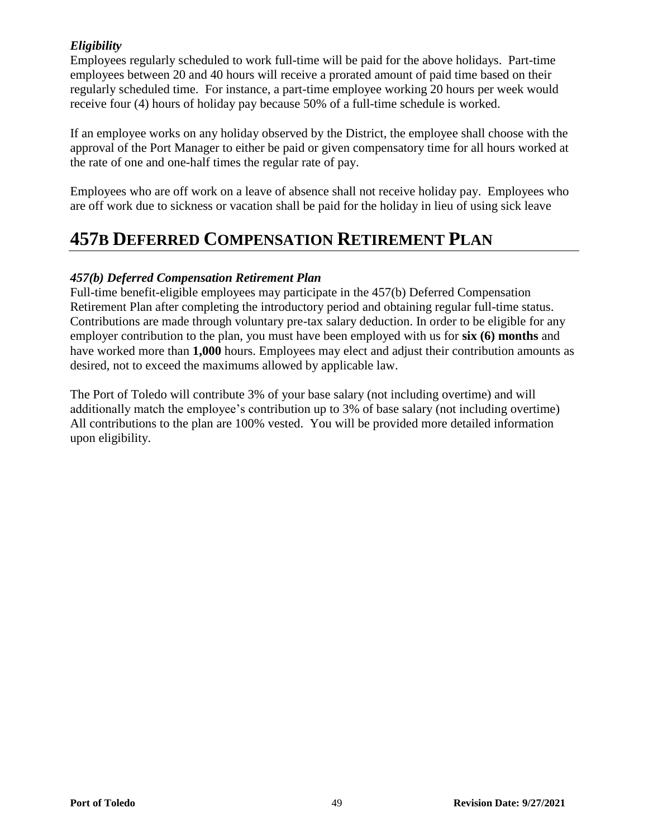### *Eligibility*

Employees regularly scheduled to work full-time will be paid for the above holidays. Part-time employees between 20 and 40 hours will receive a prorated amount of paid time based on their regularly scheduled time. For instance, a part-time employee working 20 hours per week would receive four (4) hours of holiday pay because 50% of a full-time schedule is worked.

If an employee works on any holiday observed by the District, the employee shall choose with the approval of the Port Manager to either be paid or given compensatory time for all hours worked at the rate of one and one-half times the regular rate of pay.

Employees who are off work on a leave of absence shall not receive holiday pay. Employees who are off work due to sickness or vacation shall be paid for the holiday in lieu of using sick leave

## **457B DEFERRED COMPENSATION RETIREMENT PLAN**

#### *457(b) Deferred Compensation Retirement Plan*

Full-time benefit-eligible employees may participate in the 457(b) Deferred Compensation Retirement Plan after completing the introductory period and obtaining regular full-time status. Contributions are made through voluntary pre-tax salary deduction. In order to be eligible for any employer contribution to the plan, you must have been employed with us for **six (6) months** and have worked more than **1,000** hours. Employees may elect and adjust their contribution amounts as desired, not to exceed the maximums allowed by applicable law.

The Port of Toledo will contribute 3% of your base salary (not including overtime) and will additionally match the employee's contribution up to 3% of base salary (not including overtime) All contributions to the plan are 100% vested. You will be provided more detailed information upon eligibility.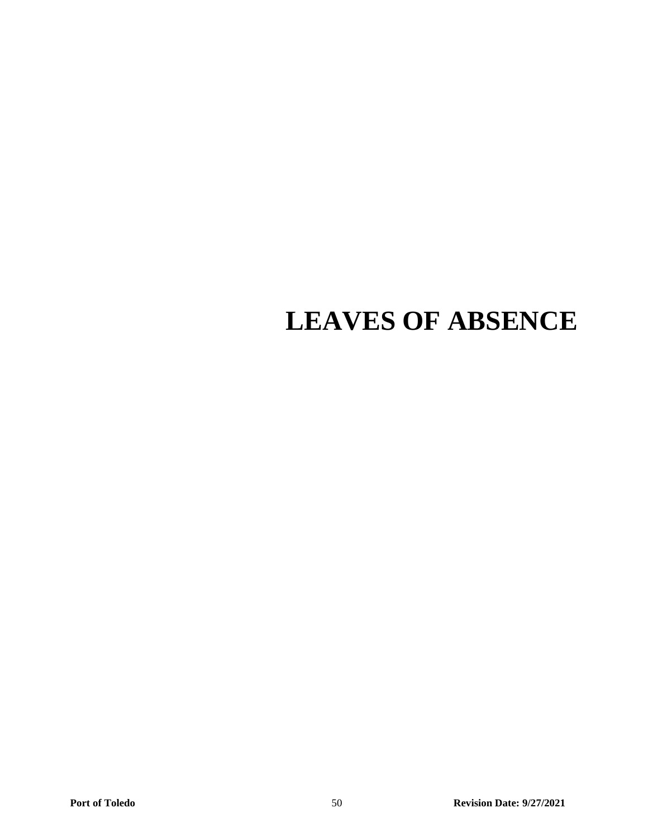# **LEAVES OF ABSENCE**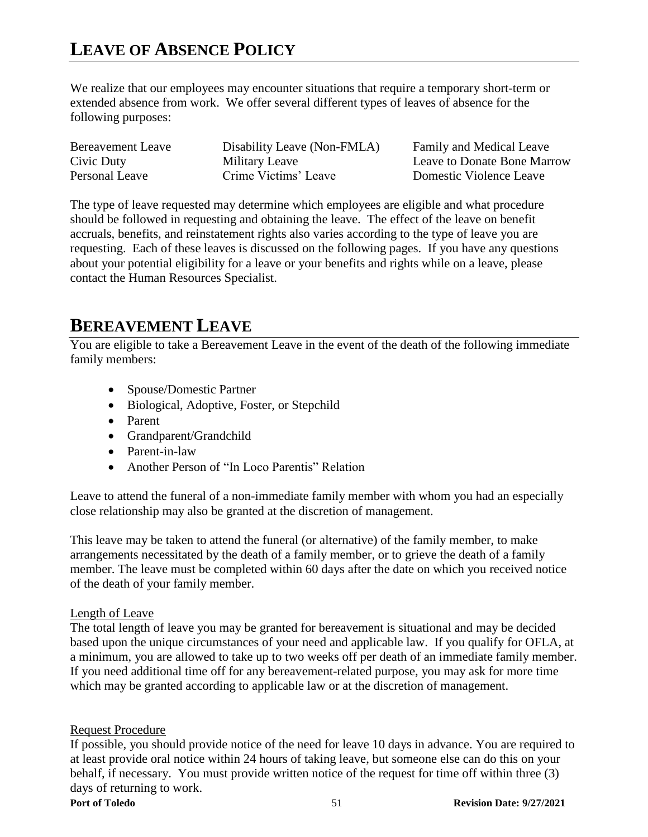## **LEAVE OF ABSENCE POLICY**

We realize that our employees may encounter situations that require a temporary short-term or extended absence from work. We offer several different types of leaves of absence for the following purposes:

| Bereavement Leave | Disability Leave (Non-FMLA) | Family and Medical Leave           |
|-------------------|-----------------------------|------------------------------------|
| Civic Duty        | Military Leave              | <b>Leave to Donate Bone Marrow</b> |
| Personal Leave    | Crime Victims' Leave        | Domestic Violence Leave            |

The type of leave requested may determine which employees are eligible and what procedure should be followed in requesting and obtaining the leave. The effect of the leave on benefit accruals, benefits, and reinstatement rights also varies according to the type of leave you are requesting. Each of these leaves is discussed on the following pages. If you have any questions about your potential eligibility for a leave or your benefits and rights while on a leave, please contact the Human Resources Specialist.

## **BEREAVEMENT LEAVE**

You are eligible to take a Bereavement Leave in the event of the death of the following immediate family members:

- Spouse/Domestic Partner
- Biological, Adoptive, Foster, or Stepchild
- Parent
- Grandparent/Grandchild
- Parent-in-law
- Another Person of "In Loco Parentis" Relation

Leave to attend the funeral of a non-immediate family member with whom you had an especially close relationship may also be granted at the discretion of management.

This leave may be taken to attend the funeral (or alternative) of the family member, to make arrangements necessitated by the death of a family member, or to grieve the death of a family member. The leave must be completed within 60 days after the date on which you received notice of the death of your family member.

#### Length of Leave

The total length of leave you may be granted for bereavement is situational and may be decided based upon the unique circumstances of your need and applicable law. If you qualify for OFLA, at a minimum, you are allowed to take up to two weeks off per death of an immediate family member. If you need additional time off for any bereavement-related purpose, you may ask for more time which may be granted according to applicable law or at the discretion of management.

#### Request Procedure

If possible, you should provide notice of the need for leave 10 days in advance. You are required to at least provide oral notice within 24 hours of taking leave, but someone else can do this on your behalf, if necessary. You must provide written notice of the request for time off within three (3) days of returning to work.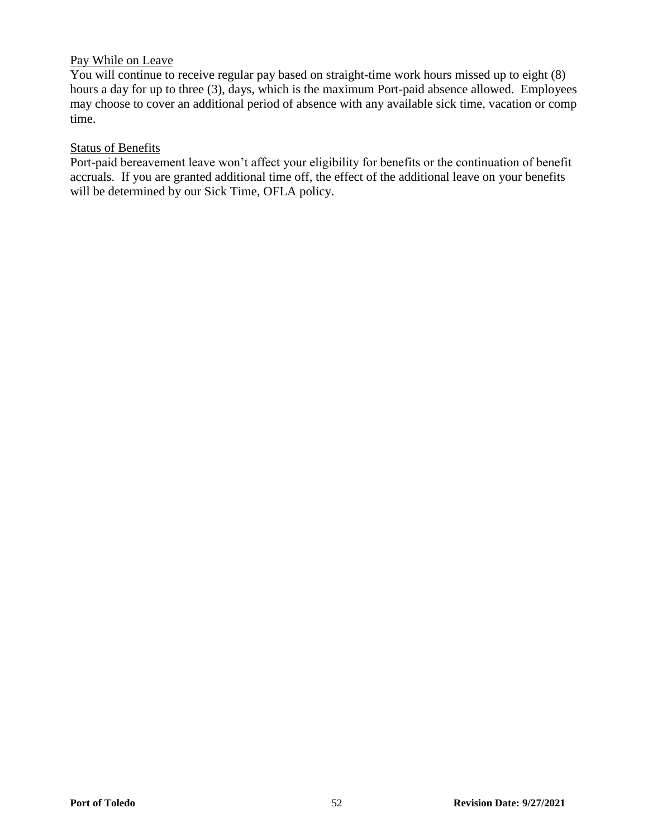#### Pay While on Leave

You will continue to receive regular pay based on straight-time work hours missed up to eight (8) hours a day for up to three (3), days, which is the maximum Port-paid absence allowed. Employees may choose to cover an additional period of absence with any available sick time, vacation or comp time.

#### Status of Benefits

Port-paid bereavement leave won't affect your eligibility for benefits or the continuation of benefit accruals. If you are granted additional time off, the effect of the additional leave on your benefits will be determined by our Sick Time, OFLA policy.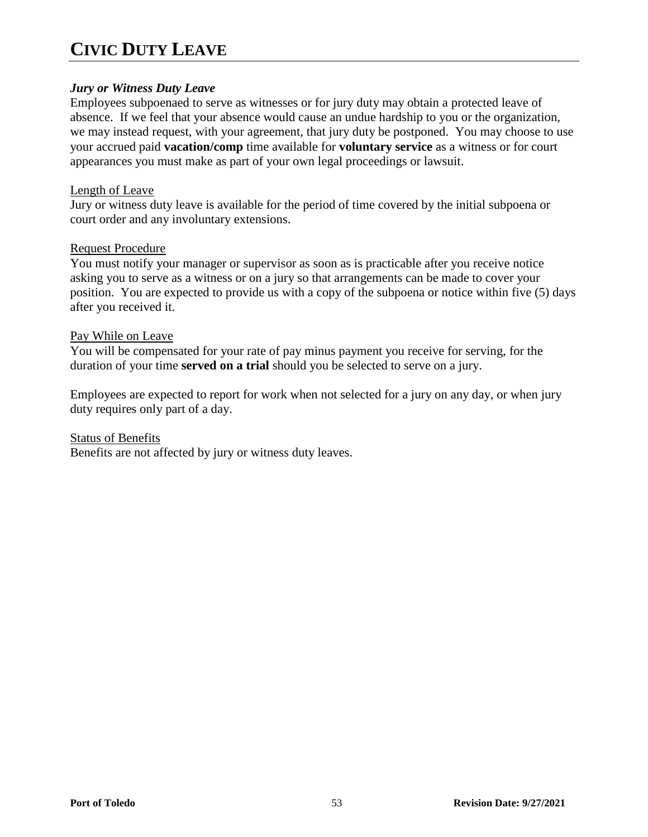## **CIVIC DUTY LEAVE**

#### *Jury or Witness Duty Leave*

Employees subpoenaed to serve as witnesses or for jury duty may obtain a protected leave of absence. If we feel that your absence would cause an undue hardship to you or the organization, we may instead request, with your agreement, that jury duty be postponed. You may choose to use your accrued paid **vacation/comp** time available for **voluntary service** as a witness or for court appearances you must make as part of your own legal proceedings or lawsuit.

#### Length of Leave

Jury or witness duty leave is available for the period of time covered by the initial subpoena or court order and any involuntary extensions.

#### Request Procedure

You must notify your manager or supervisor as soon as is practicable after you receive notice asking you to serve as a witness or on a jury so that arrangements can be made to cover your position. You are expected to provide us with a copy of the subpoena or notice within five (5) days after you received it.

#### Pay While on Leave

You will be compensated for your rate of pay minus payment you receive for serving, for the duration of your time **served on a trial** should you be selected to serve on a jury.

Employees are expected to report for work when not selected for a jury on any day, or when jury duty requires only part of a day.

#### Status of Benefits

Benefits are not affected by jury or witness duty leaves.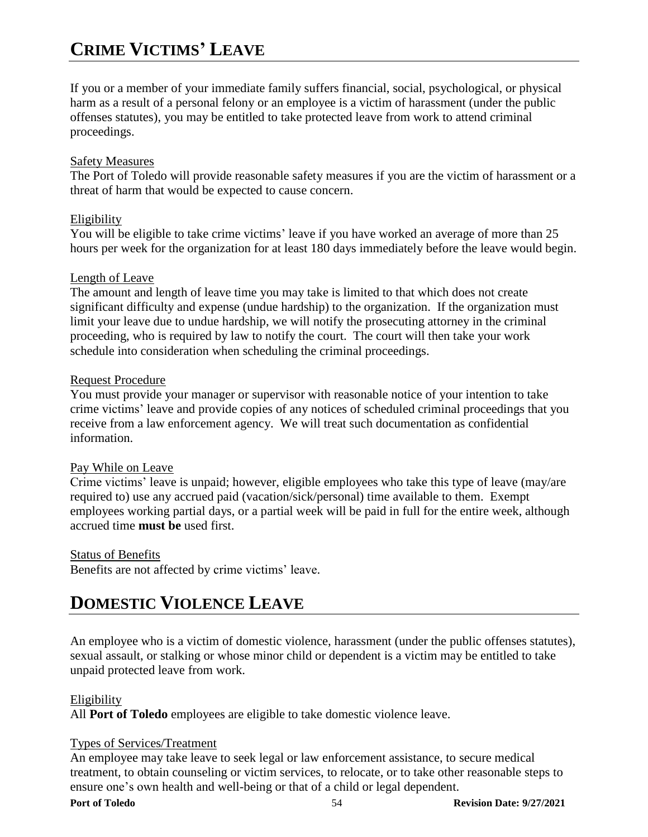## **CRIME VICTIMS' LEAVE**

If you or a member of your immediate family suffers financial, social, psychological, or physical harm as a result of a personal felony or an employee is a victim of harassment (under the public offenses statutes), you may be entitled to take protected leave from work to attend criminal proceedings.

#### Safety Measures

The Port of Toledo will provide reasonable safety measures if you are the victim of harassment or a threat of harm that would be expected to cause concern.

#### Eligibility

You will be eligible to take crime victims' leave if you have worked an average of more than 25 hours per week for the organization for at least 180 days immediately before the leave would begin.

#### Length of Leave

The amount and length of leave time you may take is limited to that which does not create significant difficulty and expense (undue hardship) to the organization. If the organization must limit your leave due to undue hardship, we will notify the prosecuting attorney in the criminal proceeding, who is required by law to notify the court. The court will then take your work schedule into consideration when scheduling the criminal proceedings.

#### Request Procedure

You must provide your manager or supervisor with reasonable notice of your intention to take crime victims' leave and provide copies of any notices of scheduled criminal proceedings that you receive from a law enforcement agency. We will treat such documentation as confidential information.

#### Pay While on Leave

Crime victims' leave is unpaid; however, eligible employees who take this type of leave (may/are required to) use any accrued paid (vacation/sick/personal) time available to them. Exempt employees working partial days, or a partial week will be paid in full for the entire week, although accrued time **must be** used first.

#### Status of Benefits

Benefits are not affected by crime victims' leave.

## **DOMESTIC VIOLENCE LEAVE**

An employee who is a victim of domestic violence, harassment (under the public offenses statutes), sexual assault, or stalking or whose minor child or dependent is a victim may be entitled to take unpaid protected leave from work.

#### Eligibility

All **Port of Toledo** employees are eligible to take domestic violence leave.

#### Types of Services/Treatment

An employee may take leave to seek legal or law enforcement assistance, to secure medical treatment, to obtain counseling or victim services, to relocate, or to take other reasonable steps to ensure one's own health and well-being or that of a child or legal dependent.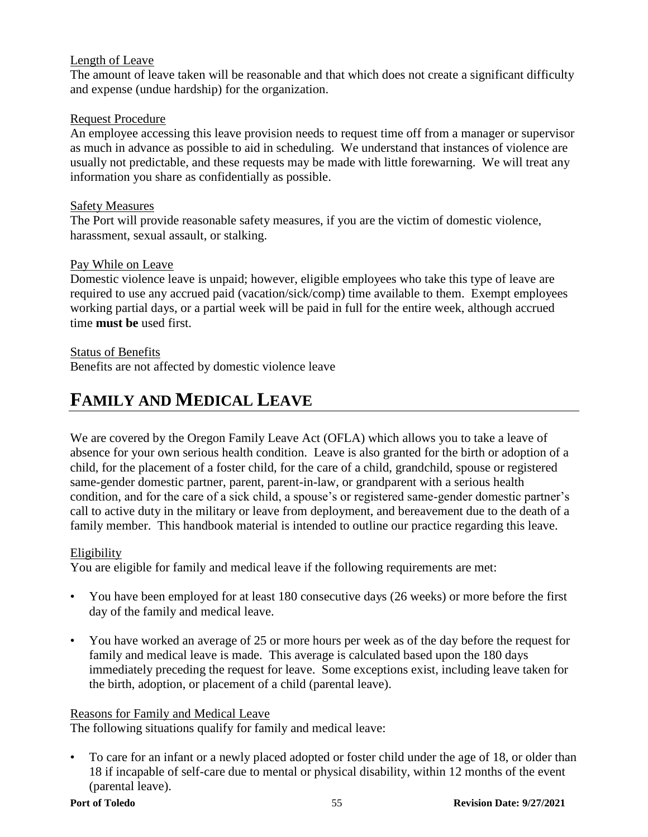#### Length of Leave

The amount of leave taken will be reasonable and that which does not create a significant difficulty and expense (undue hardship) for the organization.

#### Request Procedure

An employee accessing this leave provision needs to request time off from a manager or supervisor as much in advance as possible to aid in scheduling. We understand that instances of violence are usually not predictable, and these requests may be made with little forewarning. We will treat any information you share as confidentially as possible.

#### Safety Measures

The Port will provide reasonable safety measures, if you are the victim of domestic violence, harassment, sexual assault, or stalking.

#### Pay While on Leave

Domestic violence leave is unpaid; however, eligible employees who take this type of leave are required to use any accrued paid (vacation/sick/comp) time available to them. Exempt employees working partial days, or a partial week will be paid in full for the entire week, although accrued time **must be** used first.

#### Status of Benefits

Benefits are not affected by domestic violence leave

## **FAMILY AND MEDICAL LEAVE**

We are covered by the Oregon Family Leave Act (OFLA) which allows you to take a leave of absence for your own serious health condition. Leave is also granted for the birth or adoption of a child, for the placement of a foster child, for the care of a child, grandchild, spouse or registered same-gender domestic partner, parent, parent-in-law, or grandparent with a serious health condition, and for the care of a sick child, a spouse's or registered same-gender domestic partner's call to active duty in the military or leave from deployment, and bereavement due to the death of a family member. This handbook material is intended to outline our practice regarding this leave.

#### Eligibility

You are eligible for family and medical leave if the following requirements are met:

- You have been employed for at least 180 consecutive days (26 weeks) or more before the first day of the family and medical leave.
- You have worked an average of 25 or more hours per week as of the day before the request for family and medical leave is made. This average is calculated based upon the 180 days immediately preceding the request for leave. Some exceptions exist, including leave taken for the birth, adoption, or placement of a child (parental leave).

#### Reasons for Family and Medical Leave

The following situations qualify for family and medical leave:

• To care for an infant or a newly placed adopted or foster child under the age of 18, or older than 18 if incapable of self-care due to mental or physical disability, within 12 months of the event (parental leave).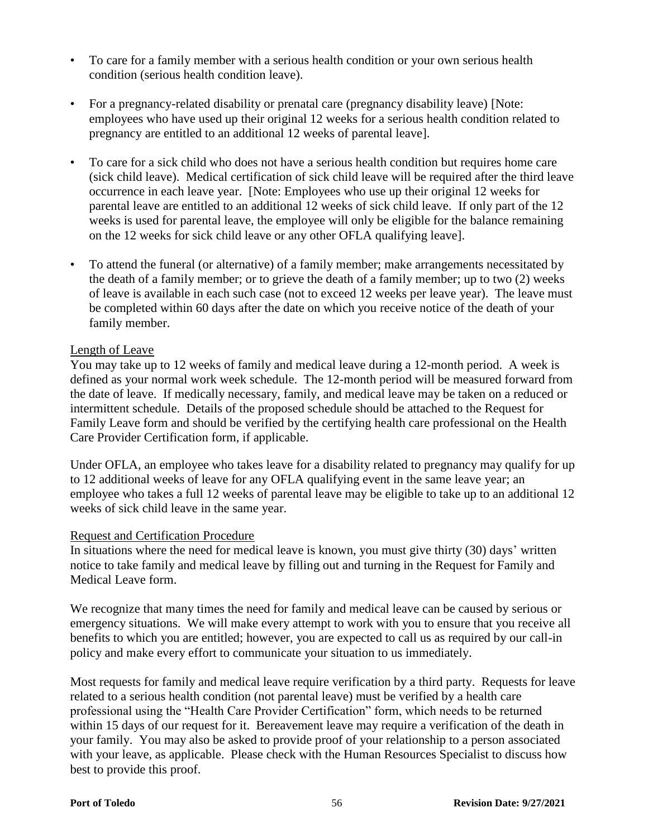- To care for a family member with a serious health condition or your own serious health condition (serious health condition leave).
- For a pregnancy-related disability or prenatal care (pregnancy disability leave) [Note: employees who have used up their original 12 weeks for a serious health condition related to pregnancy are entitled to an additional 12 weeks of parental leave].
- To care for a sick child who does not have a serious health condition but requires home care (sick child leave). Medical certification of sick child leave will be required after the third leave occurrence in each leave year. [Note: Employees who use up their original 12 weeks for parental leave are entitled to an additional 12 weeks of sick child leave. If only part of the 12 weeks is used for parental leave, the employee will only be eligible for the balance remaining on the 12 weeks for sick child leave or any other OFLA qualifying leave].
- To attend the funeral (or alternative) of a family member; make arrangements necessitated by the death of a family member; or to grieve the death of a family member; up to two (2) weeks of leave is available in each such case (not to exceed 12 weeks per leave year). The leave must be completed within 60 days after the date on which you receive notice of the death of your family member.

#### Length of Leave

You may take up to 12 weeks of family and medical leave during a 12-month period. A week is defined as your normal work week schedule. The 12-month period will be measured forward from the date of leave. If medically necessary, family, and medical leave may be taken on a reduced or intermittent schedule. Details of the proposed schedule should be attached to the Request for Family Leave form and should be verified by the certifying health care professional on the Health Care Provider Certification form, if applicable.

Under OFLA, an employee who takes leave for a disability related to pregnancy may qualify for up to 12 additional weeks of leave for any OFLA qualifying event in the same leave year; an employee who takes a full 12 weeks of parental leave may be eligible to take up to an additional 12 weeks of sick child leave in the same year.

#### Request and Certification Procedure

In situations where the need for medical leave is known, you must give thirty (30) days' written notice to take family and medical leave by filling out and turning in the Request for Family and Medical Leave form.

We recognize that many times the need for family and medical leave can be caused by serious or emergency situations. We will make every attempt to work with you to ensure that you receive all benefits to which you are entitled; however, you are expected to call us as required by our call-in policy and make every effort to communicate your situation to us immediately.

Most requests for family and medical leave require verification by a third party. Requests for leave related to a serious health condition (not parental leave) must be verified by a health care professional using the "Health Care Provider Certification" form, which needs to be returned within 15 days of our request for it. Bereavement leave may require a verification of the death in your family. You may also be asked to provide proof of your relationship to a person associated with your leave, as applicable. Please check with the Human Resources Specialist to discuss how best to provide this proof.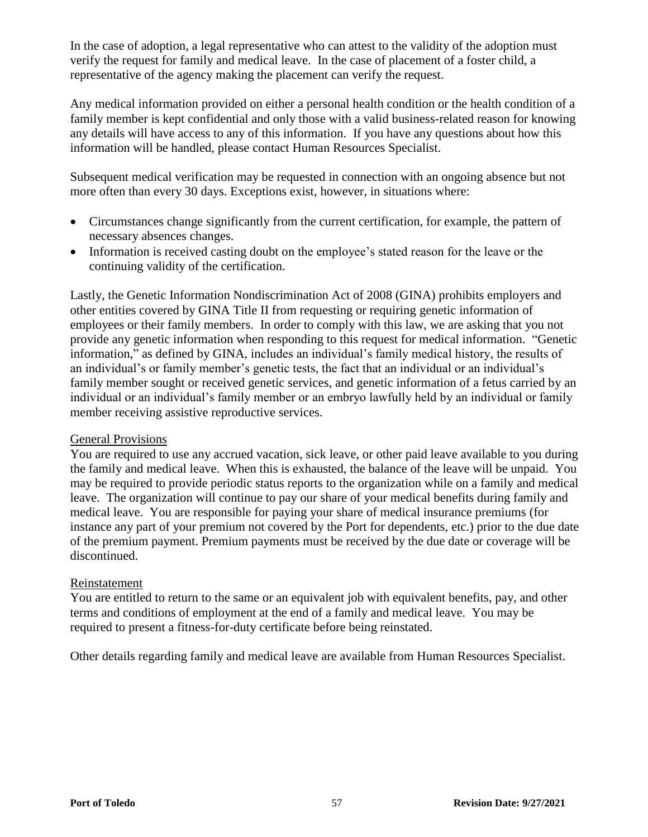In the case of adoption, a legal representative who can attest to the validity of the adoption must verify the request for family and medical leave. In the case of placement of a foster child, a representative of the agency making the placement can verify the request.

Any medical information provided on either a personal health condition or the health condition of a family member is kept confidential and only those with a valid business-related reason for knowing any details will have access to any of this information. If you have any questions about how this information will be handled, please contact Human Resources Specialist.

Subsequent medical verification may be requested in connection with an ongoing absence but not more often than every 30 days. Exceptions exist, however, in situations where:

- Circumstances change significantly from the current certification, for example, the pattern of necessary absences changes.
- Information is received casting doubt on the employee's stated reason for the leave or the continuing validity of the certification.

Lastly, the Genetic Information Nondiscrimination Act of 2008 (GINA) prohibits employers and other entities covered by GINA Title II from requesting or requiring genetic information of employees or their family members. In order to comply with this law, we are asking that you not provide any genetic information when responding to this request for medical information. "Genetic information," as defined by GINA, includes an individual's family medical history, the results of an individual's or family member's genetic tests, the fact that an individual or an individual's family member sought or received genetic services, and genetic information of a fetus carried by an individual or an individual's family member or an embryo lawfully held by an individual or family member receiving assistive reproductive services.

#### General Provisions

You are required to use any accrued vacation, sick leave, or other paid leave available to you during the family and medical leave. When this is exhausted, the balance of the leave will be unpaid. You may be required to provide periodic status reports to the organization while on a family and medical leave. The organization will continue to pay our share of your medical benefits during family and medical leave. You are responsible for paying your share of medical insurance premiums (for instance any part of your premium not covered by the Port for dependents, etc.) prior to the due date of the premium payment. Premium payments must be received by the due date or coverage will be discontinued.

#### Reinstatement

You are entitled to return to the same or an equivalent job with equivalent benefits, pay, and other terms and conditions of employment at the end of a family and medical leave. You may be required to present a fitness-for-duty certificate before being reinstated.

Other details regarding family and medical leave are available from Human Resources Specialist.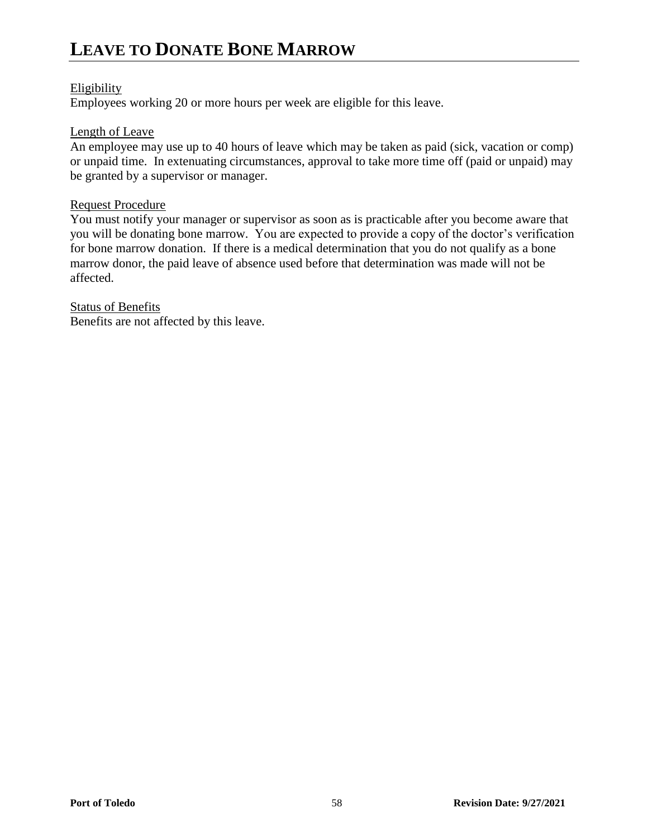## **LEAVE TO DONATE BONE MARROW**

#### Eligibility

Employees working 20 or more hours per week are eligible for this leave.

#### Length of Leave

An employee may use up to 40 hours of leave which may be taken as paid (sick, vacation or comp) or unpaid time. In extenuating circumstances, approval to take more time off (paid or unpaid) may be granted by a supervisor or manager.

#### Request Procedure

You must notify your manager or supervisor as soon as is practicable after you become aware that you will be donating bone marrow. You are expected to provide a copy of the doctor's verification for bone marrow donation. If there is a medical determination that you do not qualify as a bone marrow donor, the paid leave of absence used before that determination was made will not be affected.

**Status of Benefits** Benefits are not affected by this leave.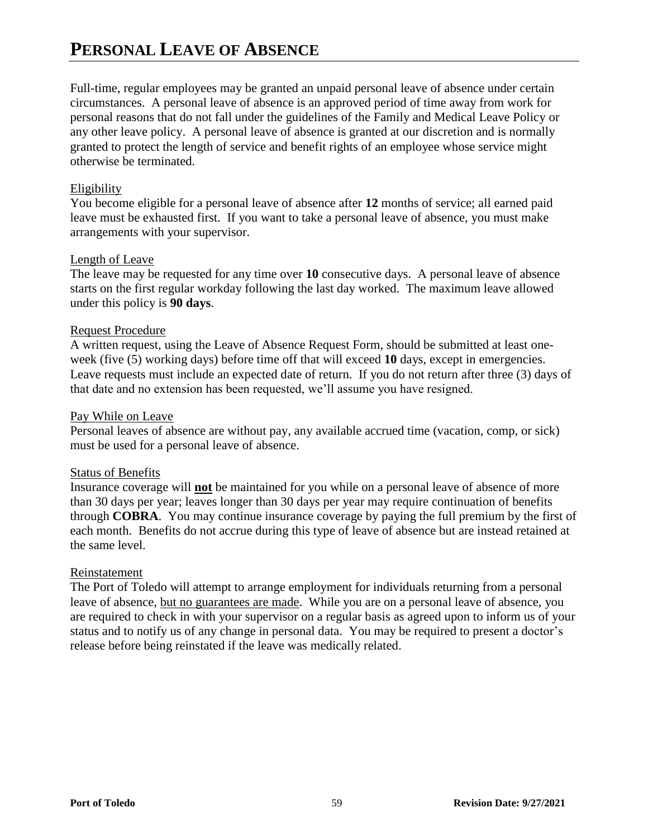## **PERSONAL LEAVE OF ABSENCE**

Full-time, regular employees may be granted an unpaid personal leave of absence under certain circumstances. A personal leave of absence is an approved period of time away from work for personal reasons that do not fall under the guidelines of the Family and Medical Leave Policy or any other leave policy. A personal leave of absence is granted at our discretion and is normally granted to protect the length of service and benefit rights of an employee whose service might otherwise be terminated.

#### Eligibility

You become eligible for a personal leave of absence after **12** months of service; all earned paid leave must be exhausted first. If you want to take a personal leave of absence, you must make arrangements with your supervisor.

#### Length of Leave

The leave may be requested for any time over **10** consecutive days. A personal leave of absence starts on the first regular workday following the last day worked. The maximum leave allowed under this policy is **90 days**.

#### Request Procedure

A written request, using the Leave of Absence Request Form, should be submitted at least oneweek (five (5) working days) before time off that will exceed 10 days, except in emergencies. Leave requests must include an expected date of return. If you do not return after three (3) days of that date and no extension has been requested, we'll assume you have resigned.

#### Pay While on Leave

Personal leaves of absence are without pay, any available accrued time (vacation, comp, or sick) must be used for a personal leave of absence.

#### Status of Benefits

Insurance coverage will **not** be maintained for you while on a personal leave of absence of more than 30 days per year; leaves longer than 30 days per year may require continuation of benefits through **COBRA**. You may continue insurance coverage by paying the full premium by the first of each month. Benefits do not accrue during this type of leave of absence but are instead retained at the same level.

#### Reinstatement

The Port of Toledo will attempt to arrange employment for individuals returning from a personal leave of absence, but no guarantees are made. While you are on a personal leave of absence, you are required to check in with your supervisor on a regular basis as agreed upon to inform us of your status and to notify us of any change in personal data. You may be required to present a doctor's release before being reinstated if the leave was medically related.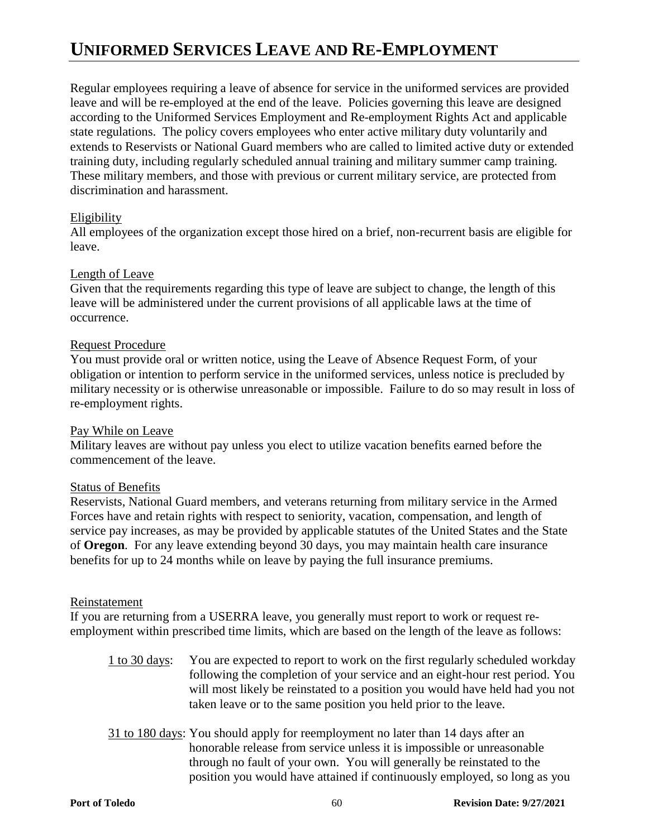## **UNIFORMED SERVICES LEAVE AND RE-EMPLOYMENT**

Regular employees requiring a leave of absence for service in the uniformed services are provided leave and will be re-employed at the end of the leave. Policies governing this leave are designed according to the Uniformed Services Employment and Re-employment Rights Act and applicable state regulations. The policy covers employees who enter active military duty voluntarily and extends to Reservists or National Guard members who are called to limited active duty or extended training duty, including regularly scheduled annual training and military summer camp training. These military members, and those with previous or current military service, are protected from discrimination and harassment.

#### Eligibility

All employees of the organization except those hired on a brief, non-recurrent basis are eligible for leave.

#### Length of Leave

Given that the requirements regarding this type of leave are subject to change, the length of this leave will be administered under the current provisions of all applicable laws at the time of occurrence.

#### Request Procedure

You must provide oral or written notice, using the Leave of Absence Request Form, of your obligation or intention to perform service in the uniformed services, unless notice is precluded by military necessity or is otherwise unreasonable or impossible. Failure to do so may result in loss of re-employment rights.

#### Pay While on Leave

Military leaves are without pay unless you elect to utilize vacation benefits earned before the commencement of the leave.

#### Status of Benefits

Reservists, National Guard members, and veterans returning from military service in the Armed Forces have and retain rights with respect to seniority, vacation, compensation, and length of service pay increases, as may be provided by applicable statutes of the United States and the State of **Oregon**. For any leave extending beyond 30 days, you may maintain health care insurance benefits for up to 24 months while on leave by paying the full insurance premiums.

#### Reinstatement

If you are returning from a USERRA leave, you generally must report to work or request reemployment within prescribed time limits, which are based on the length of the leave as follows:

- 1 to 30 days: You are expected to report to work on the first regularly scheduled workday following the completion of your service and an eight-hour rest period. You will most likely be reinstated to a position you would have held had you not taken leave or to the same position you held prior to the leave.
- 31 to 180 days: You should apply for reemployment no later than 14 days after an honorable release from service unless it is impossible or unreasonable through no fault of your own. You will generally be reinstated to the position you would have attained if continuously employed, so long as you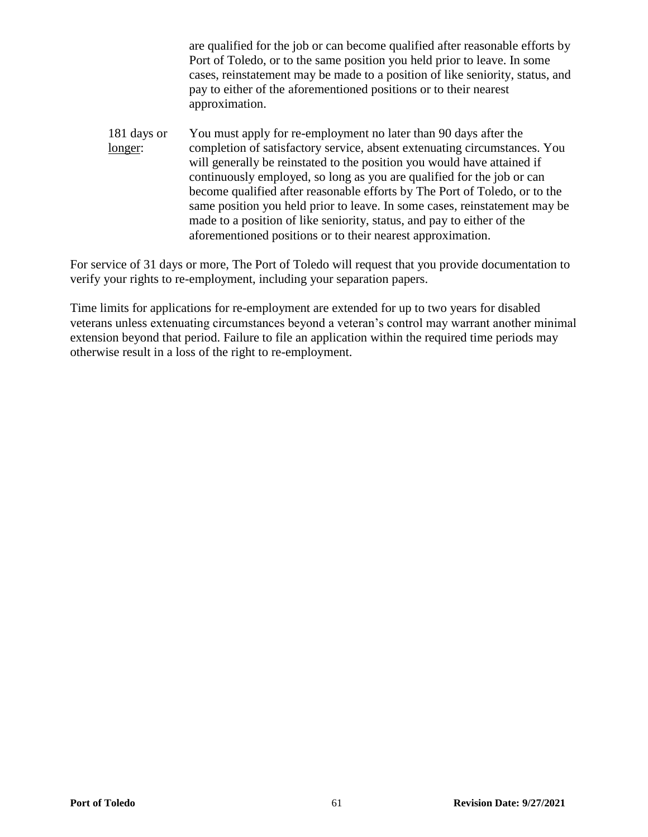are qualified for the job or can become qualified after reasonable efforts by Port of Toledo, or to the same position you held prior to leave. In some cases, reinstatement may be made to a position of like seniority, status, and pay to either of the aforementioned positions or to their nearest approximation.

181 days or You must apply for re-employment no later than 90 days after the longer: completion of satisfactory service, absent extenuating circumstances. You will generally be reinstated to the position you would have attained if continuously employed, so long as you are qualified for the job or can become qualified after reasonable efforts by The Port of Toledo, or to the same position you held prior to leave. In some cases, reinstatement may be made to a position of like seniority, status, and pay to either of the aforementioned positions or to their nearest approximation.

For service of 31 days or more, The Port of Toledo will request that you provide documentation to verify your rights to re-employment, including your separation papers.

Time limits for applications for re-employment are extended for up to two years for disabled veterans unless extenuating circumstances beyond a veteran's control may warrant another minimal extension beyond that period. Failure to file an application within the required time periods may otherwise result in a loss of the right to re-employment.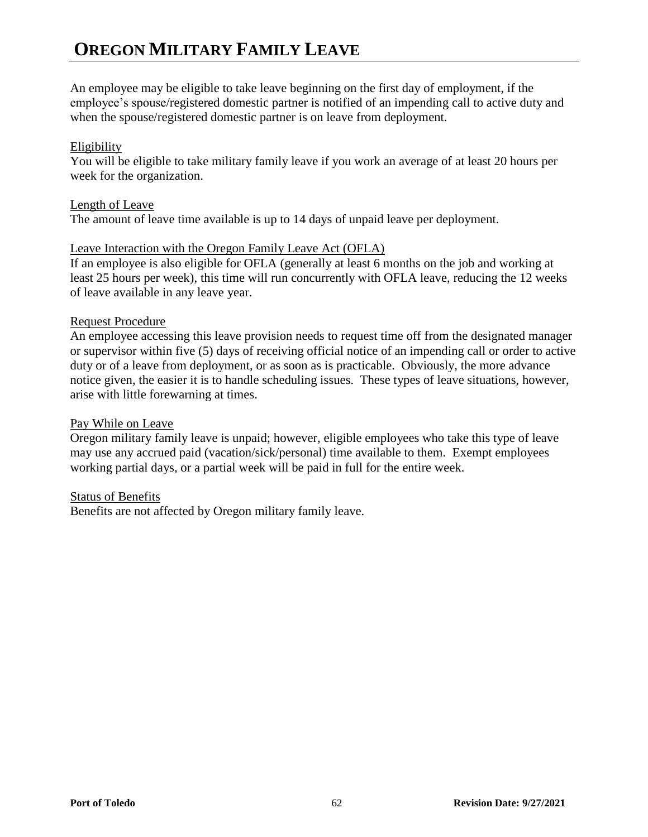## **OREGON MILITARY FAMILY LEAVE**

An employee may be eligible to take leave beginning on the first day of employment, if the employee's spouse/registered domestic partner is notified of an impending call to active duty and when the spouse/registered domestic partner is on leave from deployment.

#### Eligibility

You will be eligible to take military family leave if you work an average of at least 20 hours per week for the organization.

#### Length of Leave

The amount of leave time available is up to 14 days of unpaid leave per deployment.

#### Leave Interaction with the Oregon Family Leave Act (OFLA)

If an employee is also eligible for OFLA (generally at least 6 months on the job and working at least 25 hours per week), this time will run concurrently with OFLA leave, reducing the 12 weeks of leave available in any leave year.

#### Request Procedure

An employee accessing this leave provision needs to request time off from the designated manager or supervisor within five (5) days of receiving official notice of an impending call or order to active duty or of a leave from deployment, or as soon as is practicable. Obviously, the more advance notice given, the easier it is to handle scheduling issues. These types of leave situations, however, arise with little forewarning at times.

#### Pay While on Leave

Oregon military family leave is unpaid; however, eligible employees who take this type of leave may use any accrued paid (vacation/sick/personal) time available to them. Exempt employees working partial days, or a partial week will be paid in full for the entire week.

#### Status of Benefits

Benefits are not affected by Oregon military family leave.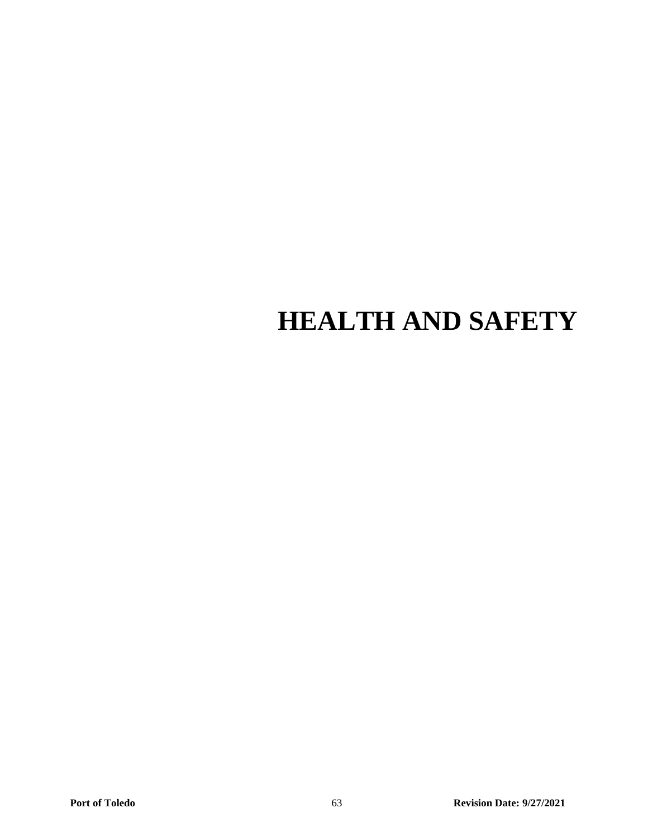# **HEALTH AND SAFETY**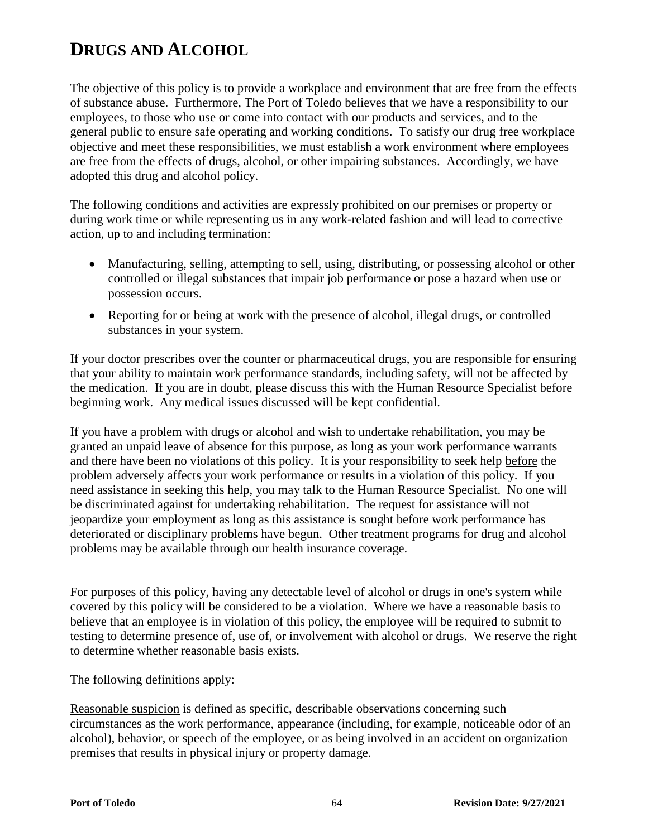## **DRUGS AND ALCOHOL**

The objective of this policy is to provide a workplace and environment that are free from the effects of substance abuse. Furthermore, The Port of Toledo believes that we have a responsibility to our employees, to those who use or come into contact with our products and services, and to the general public to ensure safe operating and working conditions. To satisfy our drug free workplace objective and meet these responsibilities, we must establish a work environment where employees are free from the effects of drugs, alcohol, or other impairing substances. Accordingly, we have adopted this drug and alcohol policy.

The following conditions and activities are expressly prohibited on our premises or property or during work time or while representing us in any work-related fashion and will lead to corrective action, up to and including termination:

- Manufacturing, selling, attempting to sell, using, distributing, or possessing alcohol or other controlled or illegal substances that impair job performance or pose a hazard when use or possession occurs.
- Reporting for or being at work with the presence of alcohol, illegal drugs, or controlled substances in your system.

If your doctor prescribes over the counter or pharmaceutical drugs, you are responsible for ensuring that your ability to maintain work performance standards, including safety, will not be affected by the medication. If you are in doubt, please discuss this with the Human Resource Specialist before beginning work. Any medical issues discussed will be kept confidential.

If you have a problem with drugs or alcohol and wish to undertake rehabilitation, you may be granted an unpaid leave of absence for this purpose, as long as your work performance warrants and there have been no violations of this policy. It is your responsibility to seek help before the problem adversely affects your work performance or results in a violation of this policy. If you need assistance in seeking this help, you may talk to the Human Resource Specialist. No one will be discriminated against for undertaking rehabilitation. The request for assistance will not jeopardize your employment as long as this assistance is sought before work performance has deteriorated or disciplinary problems have begun. Other treatment programs for drug and alcohol problems may be available through our health insurance coverage.

For purposes of this policy, having any detectable level of alcohol or drugs in one's system while covered by this policy will be considered to be a violation. Where we have a reasonable basis to believe that an employee is in violation of this policy, the employee will be required to submit to testing to determine presence of, use of, or involvement with alcohol or drugs. We reserve the right to determine whether reasonable basis exists.

The following definitions apply:

Reasonable suspicion is defined as specific, describable observations concerning such circumstances as the work performance, appearance (including, for example, noticeable odor of an alcohol), behavior, or speech of the employee, or as being involved in an accident on organization premises that results in physical injury or property damage.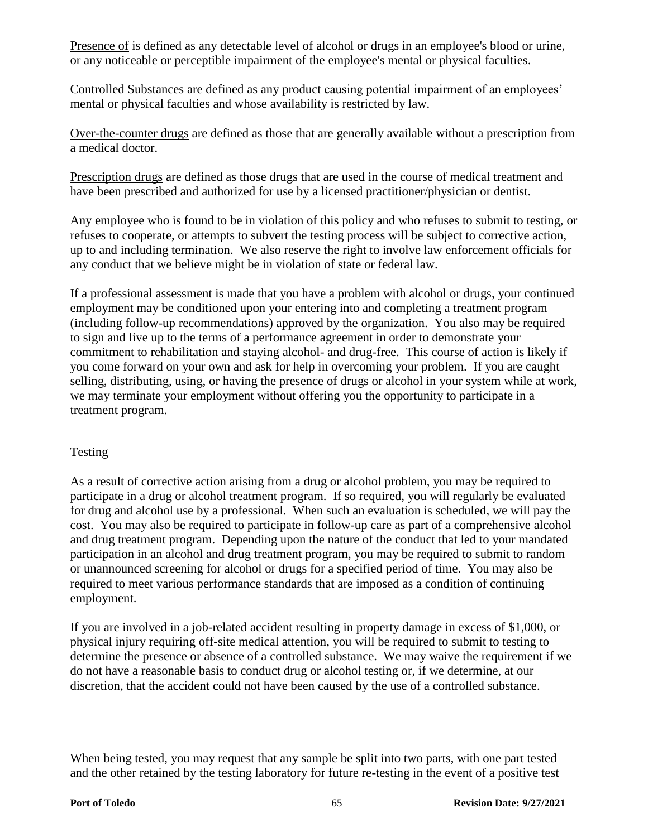Presence of is defined as any detectable level of alcohol or drugs in an employee's blood or urine, or any noticeable or perceptible impairment of the employee's mental or physical faculties.

Controlled Substances are defined as any product causing potential impairment of an employees' mental or physical faculties and whose availability is restricted by law.

Over-the-counter drugs are defined as those that are generally available without a prescription from a medical doctor.

Prescription drugs are defined as those drugs that are used in the course of medical treatment and have been prescribed and authorized for use by a licensed practitioner/physician or dentist.

Any employee who is found to be in violation of this policy and who refuses to submit to testing, or refuses to cooperate, or attempts to subvert the testing process will be subject to corrective action, up to and including termination. We also reserve the right to involve law enforcement officials for any conduct that we believe might be in violation of state or federal law.

If a professional assessment is made that you have a problem with alcohol or drugs, your continued employment may be conditioned upon your entering into and completing a treatment program (including follow-up recommendations) approved by the organization. You also may be required to sign and live up to the terms of a performance agreement in order to demonstrate your commitment to rehabilitation and staying alcohol- and drug-free. This course of action is likely if you come forward on your own and ask for help in overcoming your problem. If you are caught selling, distributing, using, or having the presence of drugs or alcohol in your system while at work, we may terminate your employment without offering you the opportunity to participate in a treatment program.

#### Testing

As a result of corrective action arising from a drug or alcohol problem, you may be required to participate in a drug or alcohol treatment program. If so required, you will regularly be evaluated for drug and alcohol use by a professional. When such an evaluation is scheduled, we will pay the cost. You may also be required to participate in follow-up care as part of a comprehensive alcohol and drug treatment program. Depending upon the nature of the conduct that led to your mandated participation in an alcohol and drug treatment program, you may be required to submit to random or unannounced screening for alcohol or drugs for a specified period of time. You may also be required to meet various performance standards that are imposed as a condition of continuing employment.

If you are involved in a job-related accident resulting in property damage in excess of \$1,000, or physical injury requiring off-site medical attention, you will be required to submit to testing to determine the presence or absence of a controlled substance. We may waive the requirement if we do not have a reasonable basis to conduct drug or alcohol testing or, if we determine, at our discretion, that the accident could not have been caused by the use of a controlled substance.

When being tested, you may request that any sample be split into two parts, with one part tested and the other retained by the testing laboratory for future re-testing in the event of a positive test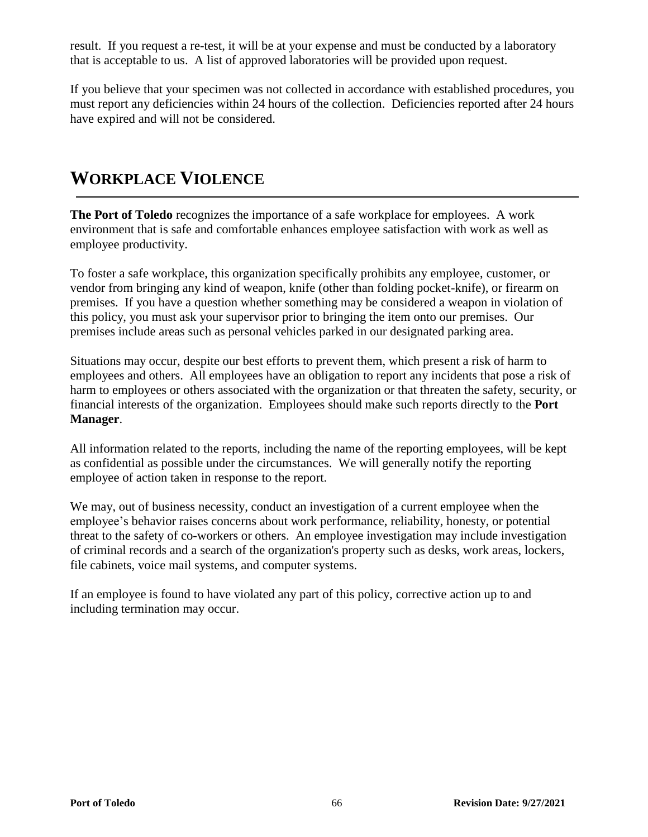result. If you request a re-test, it will be at your expense and must be conducted by a laboratory that is acceptable to us. A list of approved laboratories will be provided upon request.

If you believe that your specimen was not collected in accordance with established procedures, you must report any deficiencies within 24 hours of the collection. Deficiencies reported after 24 hours have expired and will not be considered.

## **WORKPLACE VIOLENCE**

**The Port of Toledo** recognizes the importance of a safe workplace for employees. A work environment that is safe and comfortable enhances employee satisfaction with work as well as employee productivity.

To foster a safe workplace, this organization specifically prohibits any employee, customer, or vendor from bringing any kind of weapon, knife (other than folding pocket-knife), or firearm on premises. If you have a question whether something may be considered a weapon in violation of this policy, you must ask your supervisor prior to bringing the item onto our premises. Our premises include areas such as personal vehicles parked in our designated parking area.

Situations may occur, despite our best efforts to prevent them, which present a risk of harm to employees and others. All employees have an obligation to report any incidents that pose a risk of harm to employees or others associated with the organization or that threaten the safety, security, or financial interests of the organization. Employees should make such reports directly to the **Port Manager**.

All information related to the reports, including the name of the reporting employees, will be kept as confidential as possible under the circumstances. We will generally notify the reporting employee of action taken in response to the report.

We may, out of business necessity, conduct an investigation of a current employee when the employee's behavior raises concerns about work performance, reliability, honesty, or potential threat to the safety of co-workers or others. An employee investigation may include investigation of criminal records and a search of the organization's property such as desks, work areas, lockers, file cabinets, voice mail systems, and computer systems.

If an employee is found to have violated any part of this policy, corrective action up to and including termination may occur.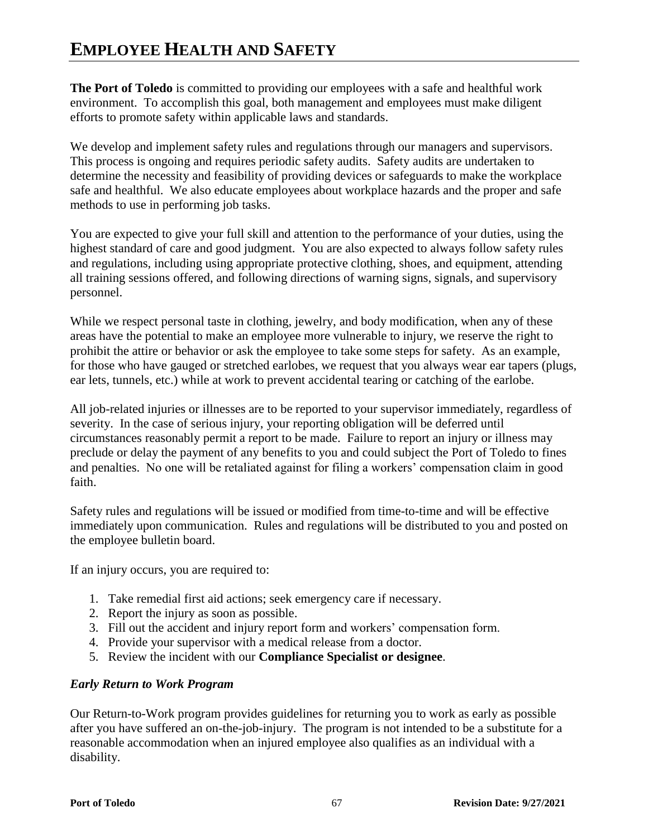## **EMPLOYEE HEALTH AND SAFETY**

**The Port of Toledo** is committed to providing our employees with a safe and healthful work environment. To accomplish this goal, both management and employees must make diligent efforts to promote safety within applicable laws and standards.

We develop and implement safety rules and regulations through our managers and supervisors. This process is ongoing and requires periodic safety audits. Safety audits are undertaken to determine the necessity and feasibility of providing devices or safeguards to make the workplace safe and healthful. We also educate employees about workplace hazards and the proper and safe methods to use in performing job tasks.

You are expected to give your full skill and attention to the performance of your duties, using the highest standard of care and good judgment. You are also expected to always follow safety rules and regulations, including using appropriate protective clothing, shoes, and equipment, attending all training sessions offered, and following directions of warning signs, signals, and supervisory personnel.

While we respect personal taste in clothing, jewelry, and body modification, when any of these areas have the potential to make an employee more vulnerable to injury, we reserve the right to prohibit the attire or behavior or ask the employee to take some steps for safety. As an example, for those who have gauged or stretched earlobes, we request that you always wear ear tapers (plugs, ear lets, tunnels, etc.) while at work to prevent accidental tearing or catching of the earlobe.

All job-related injuries or illnesses are to be reported to your supervisor immediately, regardless of severity. In the case of serious injury, your reporting obligation will be deferred until circumstances reasonably permit a report to be made. Failure to report an injury or illness may preclude or delay the payment of any benefits to you and could subject the Port of Toledo to fines and penalties. No one will be retaliated against for filing a workers' compensation claim in good faith.

Safety rules and regulations will be issued or modified from time-to-time and will be effective immediately upon communication. Rules and regulations will be distributed to you and posted on the employee bulletin board.

If an injury occurs, you are required to:

- 1. Take remedial first aid actions; seek emergency care if necessary.
- 2. Report the injury as soon as possible.
- 3. Fill out the accident and injury report form and workers' compensation form.
- 4. Provide your supervisor with a medical release from a doctor.
- 5. Review the incident with our **Compliance Specialist or designee**.

#### *Early Return to Work Program*

Our Return-to-Work program provides guidelines for returning you to work as early as possible after you have suffered an on-the-job-injury. The program is not intended to be a substitute for a reasonable accommodation when an injured employee also qualifies as an individual with a disability.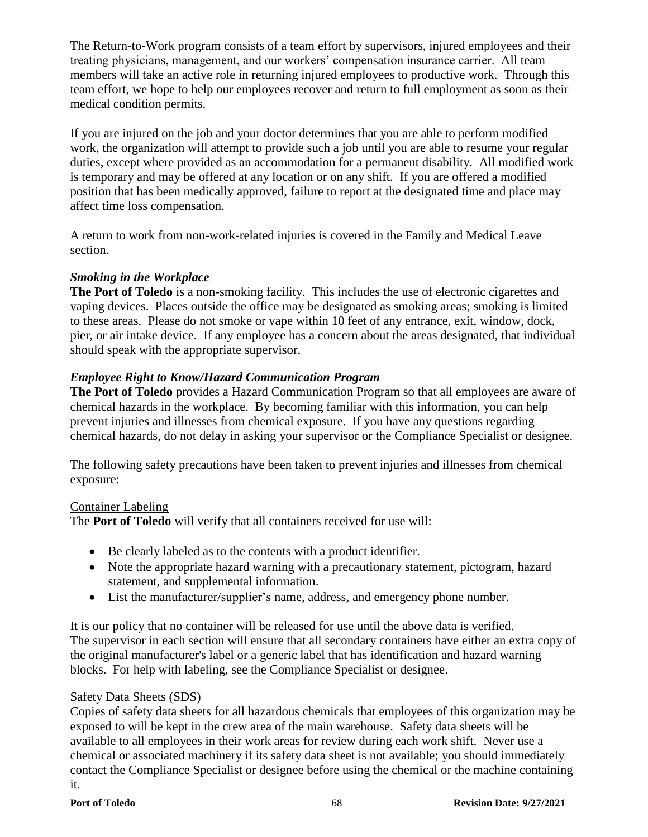The Return-to-Work program consists of a team effort by supervisors, injured employees and their treating physicians, management, and our workers' compensation insurance carrier. All team members will take an active role in returning injured employees to productive work. Through this team effort, we hope to help our employees recover and return to full employment as soon as their medical condition permits.

If you are injured on the job and your doctor determines that you are able to perform modified work, the organization will attempt to provide such a job until you are able to resume your regular duties, except where provided as an accommodation for a permanent disability. All modified work is temporary and may be offered at any location or on any shift. If you are offered a modified position that has been medically approved, failure to report at the designated time and place may affect time loss compensation.

A return to work from non-work-related injuries is covered in the Family and Medical Leave section.

#### *Smoking in the Workplace*

**The Port of Toledo** is a non-smoking facility. This includes the use of electronic cigarettes and vaping devices. Places outside the office may be designated as smoking areas; smoking is limited to these areas. Please do not smoke or vape within 10 feet of any entrance, exit, window, dock, pier, or air intake device. If any employee has a concern about the areas designated, that individual should speak with the appropriate supervisor.

### *Employee Right to Know/Hazard Communication Program*

**The Port of Toledo** provides a Hazard Communication Program so that all employees are aware of chemical hazards in the workplace. By becoming familiar with this information, you can help prevent injuries and illnesses from chemical exposure. If you have any questions regarding chemical hazards, do not delay in asking your supervisor or the Compliance Specialist or designee.

The following safety precautions have been taken to prevent injuries and illnesses from chemical exposure:

#### Container Labeling

The **Port of Toledo** will verify that all containers received for use will:

- Be clearly labeled as to the contents with a product identifier.
- Note the appropriate hazard warning with a precautionary statement, pictogram, hazard statement, and supplemental information.
- List the manufacturer/supplier's name, address, and emergency phone number.

It is our policy that no container will be released for use until the above data is verified. The supervisor in each section will ensure that all secondary containers have either an extra copy of the original manufacturer's label or a generic label that has identification and hazard warning blocks. For help with labeling, see the Compliance Specialist or designee.

#### Safety Data Sheets (SDS)

Copies of safety data sheets for all hazardous chemicals that employees of this organization may be exposed to will be kept in the crew area of the main warehouse. Safety data sheets will be available to all employees in their work areas for review during each work shift. Never use a chemical or associated machinery if its safety data sheet is not available; you should immediately contact the Compliance Specialist or designee before using the chemical or the machine containing it.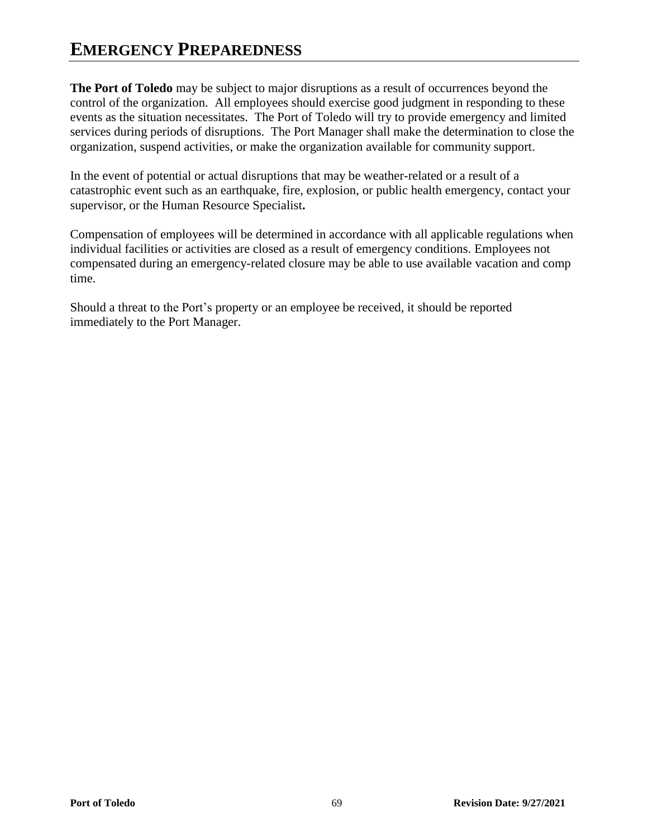## **EMERGENCY PREPAREDNESS**

**The Port of Toledo** may be subject to major disruptions as a result of occurrences beyond the control of the organization. All employees should exercise good judgment in responding to these events as the situation necessitates. The Port of Toledo will try to provide emergency and limited services during periods of disruptions. The Port Manager shall make the determination to close the organization, suspend activities, or make the organization available for community support.

In the event of potential or actual disruptions that may be weather-related or a result of a catastrophic event such as an earthquake, fire, explosion, or public health emergency, contact your supervisor, or the Human Resource Specialist**.** 

Compensation of employees will be determined in accordance with all applicable regulations when individual facilities or activities are closed as a result of emergency conditions. Employees not compensated during an emergency-related closure may be able to use available vacation and comp time.

Should a threat to the Port's property or an employee be received, it should be reported immediately to the Port Manager.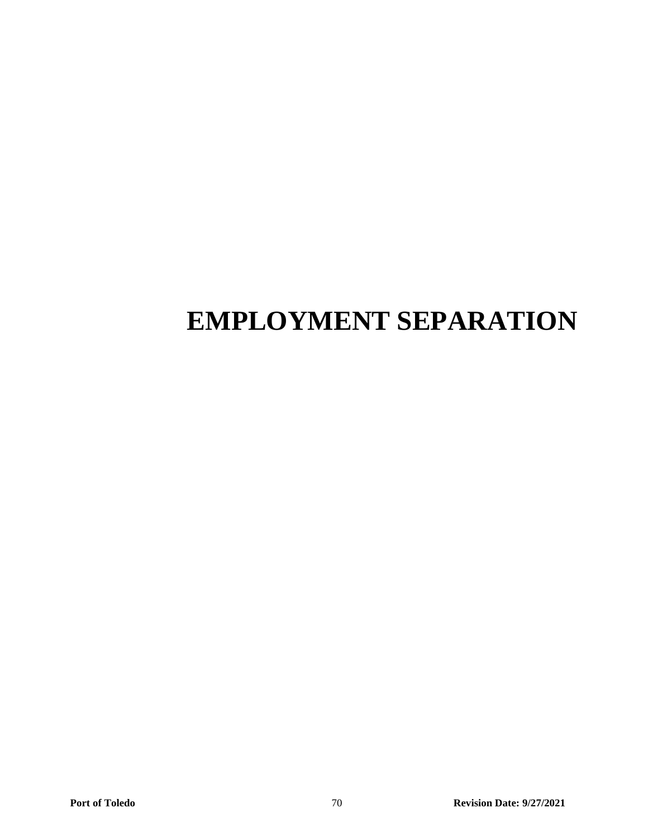# **EMPLOYMENT SEPARATION**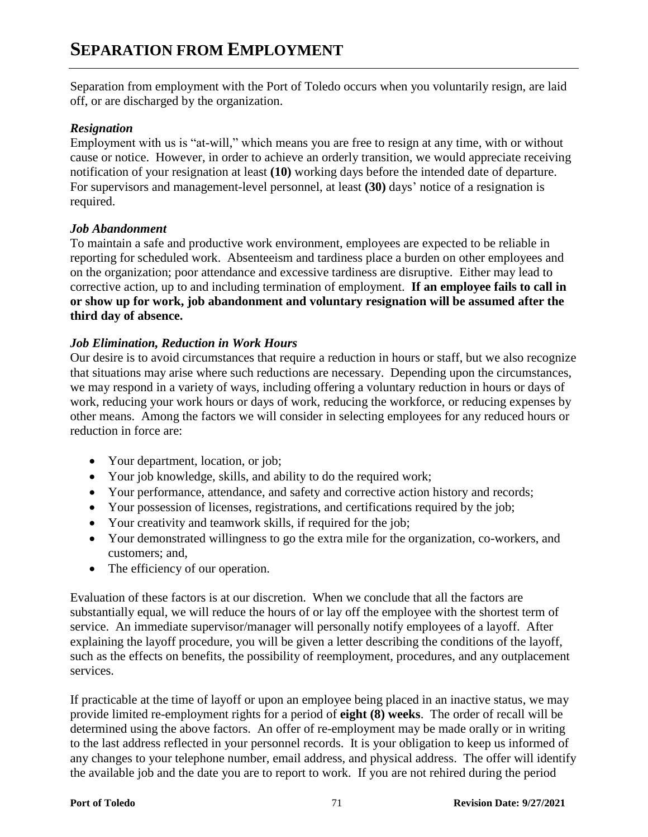Separation from employment with the Port of Toledo occurs when you voluntarily resign, are laid off, or are discharged by the organization.

#### *Resignation*

Employment with us is "at-will," which means you are free to resign at any time, with or without cause or notice. However, in order to achieve an orderly transition, we would appreciate receiving notification of your resignation at least **(10)** working days before the intended date of departure. For supervisors and management-level personnel, at least **(30)** days' notice of a resignation is required.

#### *Job Abandonment*

To maintain a safe and productive work environment, employees are expected to be reliable in reporting for scheduled work. Absenteeism and tardiness place a burden on other employees and on the organization; poor attendance and excessive tardiness are disruptive. Either may lead to corrective action, up to and including termination of employment. **If an employee fails to call in or show up for work, job abandonment and voluntary resignation will be assumed after the third day of absence.**

#### *Job Elimination, Reduction in Work Hours*

Our desire is to avoid circumstances that require a reduction in hours or staff, but we also recognize that situations may arise where such reductions are necessary. Depending upon the circumstances, we may respond in a variety of ways, including offering a voluntary reduction in hours or days of work, reducing your work hours or days of work, reducing the workforce, or reducing expenses by other means. Among the factors we will consider in selecting employees for any reduced hours or reduction in force are:

- Your department, location, or job;
- Your job knowledge, skills, and ability to do the required work;
- Your performance, attendance, and safety and corrective action history and records;
- Your possession of licenses, registrations, and certifications required by the job;
- Your creativity and teamwork skills, if required for the job;
- Your demonstrated willingness to go the extra mile for the organization, co-workers, and customers; and,
- The efficiency of our operation.

Evaluation of these factors is at our discretion. When we conclude that all the factors are substantially equal, we will reduce the hours of or lay off the employee with the shortest term of service. An immediate supervisor/manager will personally notify employees of a layoff. After explaining the layoff procedure, you will be given a letter describing the conditions of the layoff, such as the effects on benefits, the possibility of reemployment, procedures, and any outplacement services.

If practicable at the time of layoff or upon an employee being placed in an inactive status, we may provide limited re-employment rights for a period of **eight (8) weeks**. The order of recall will be determined using the above factors. An offer of re-employment may be made orally or in writing to the last address reflected in your personnel records. It is your obligation to keep us informed of any changes to your telephone number, email address, and physical address. The offer will identify the available job and the date you are to report to work. If you are not rehired during the period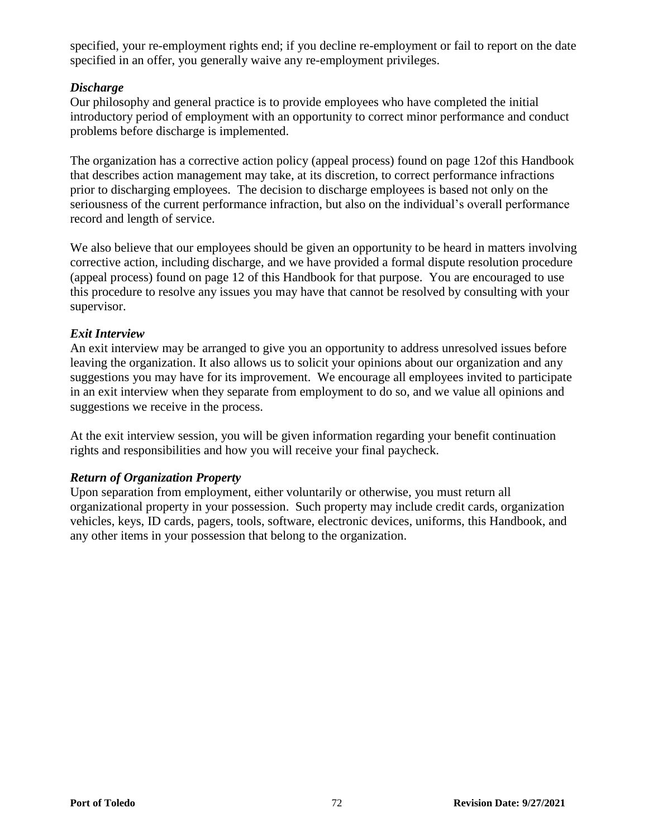specified, your re-employment rights end; if you decline re-employment or fail to report on the date specified in an offer, you generally waive any re-employment privileges.

#### *Discharge*

Our philosophy and general practice is to provide employees who have completed the initial introductory period of employment with an opportunity to correct minor performance and conduct problems before discharge is implemented.

The organization has a corrective action policy (appeal process) found on page 12of this Handbook that describes action management may take, at its discretion, to correct performance infractions prior to discharging employees. The decision to discharge employees is based not only on the seriousness of the current performance infraction, but also on the individual's overall performance record and length of service.

We also believe that our employees should be given an opportunity to be heard in matters involving corrective action, including discharge, and we have provided a formal dispute resolution procedure (appeal process) found on page 12 of this Handbook for that purpose. You are encouraged to use this procedure to resolve any issues you may have that cannot be resolved by consulting with your supervisor.

#### *Exit Interview*

An exit interview may be arranged to give you an opportunity to address unresolved issues before leaving the organization. It also allows us to solicit your opinions about our organization and any suggestions you may have for its improvement. We encourage all employees invited to participate in an exit interview when they separate from employment to do so, and we value all opinions and suggestions we receive in the process.

At the exit interview session, you will be given information regarding your benefit continuation rights and responsibilities and how you will receive your final paycheck.

#### *Return of Organization Property*

Upon separation from employment, either voluntarily or otherwise, you must return all organizational property in your possession. Such property may include credit cards, organization vehicles, keys, ID cards, pagers, tools, software, electronic devices, uniforms, this Handbook, and any other items in your possession that belong to the organization.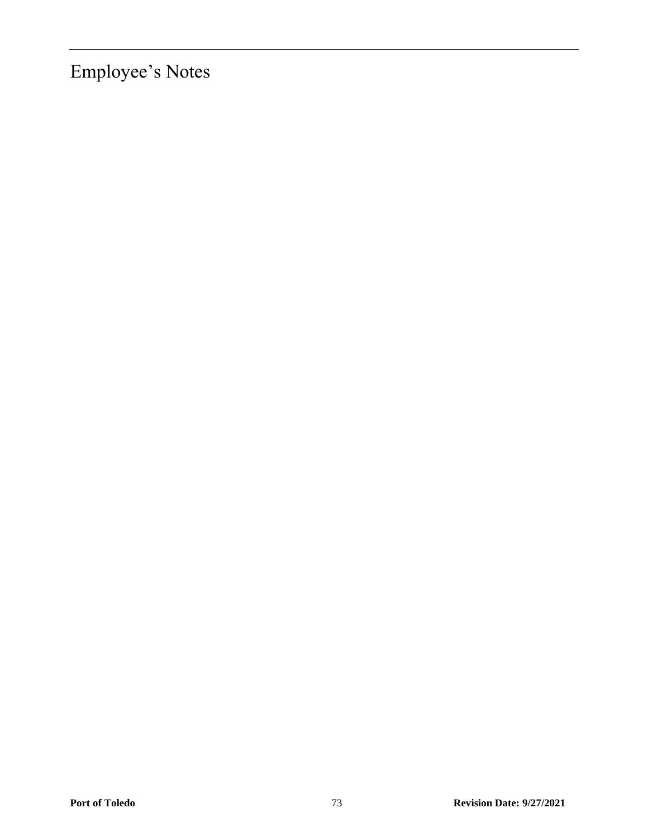Employee's Notes